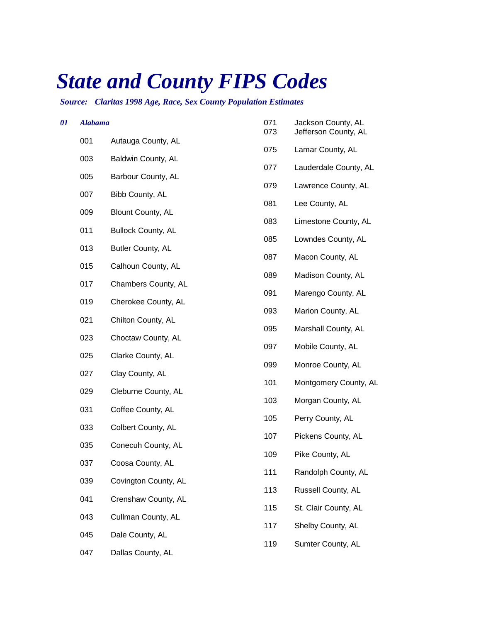# *State and County FIPS Codes*

*Source: Claritas 1998 Age, Race, Sex County Population Estimates*

| 01 | <b>Alabama</b> |                           | 071<br>073 | Jackson County, AL<br>Jefferson County, AL |
|----|----------------|---------------------------|------------|--------------------------------------------|
|    | 001            | Autauga County, AL        |            |                                            |
|    | 003            | Baldwin County, AL        | 075        | Lamar County, AL                           |
|    | 005            | Barbour County, AL        | 077        | Lauderdale County, AL                      |
|    | 007            | Bibb County, AL           | 079        | Lawrence County, AL                        |
|    | 009            | <b>Blount County, AL</b>  | 081        | Lee County, AL                             |
|    | 011            | <b>Bullock County, AL</b> | 083        | Limestone County, AL                       |
|    |                |                           | 085        | Lowndes County, AL                         |
|    | 013            | <b>Butler County, AL</b>  | 087        | Macon County, AL                           |
|    | 015            | Calhoun County, AL        | 089        | Madison County, AL                         |
|    | 017            | Chambers County, AL       | 091        | Marengo County, AL                         |
|    | 019            | Cherokee County, AL       | 093        | Marion County, AL                          |
|    | 021            | Chilton County, AL        | 095        | Marshall County, AL                        |
|    | 023            | Choctaw County, AL        | 097        | Mobile County, AL                          |
|    | 025            | Clarke County, AL         | 099        | Monroe County, AL                          |
|    | 027            | Clay County, AL           | 101        | Montgomery County, AL                      |
|    | 029            | Cleburne County, AL       | 103        | Morgan County, AL                          |
|    | 031            | Coffee County, AL         | 105        |                                            |
|    | 033            | Colbert County, AL        |            | Perry County, AL                           |
|    | 035            | Conecuh County, AL        | 107        | Pickens County, AL                         |
|    | 037            | Coosa County, AL          | 109        | Pike County, AL                            |
|    | 039            | Covington County, AL      | 111        | Randolph County, AL                        |
|    | 041            | Crenshaw County, AL       | 113        | Russell County, AL                         |
|    | 043            | Cullman County, AL        | 115        | St. Clair County, AL                       |
|    |                |                           | 117        | Shelby County, AL                          |
|    | 045            | Dale County, AL           | 119        | Sumter County, AL                          |
|    | 047            | Dallas County, AL         |            |                                            |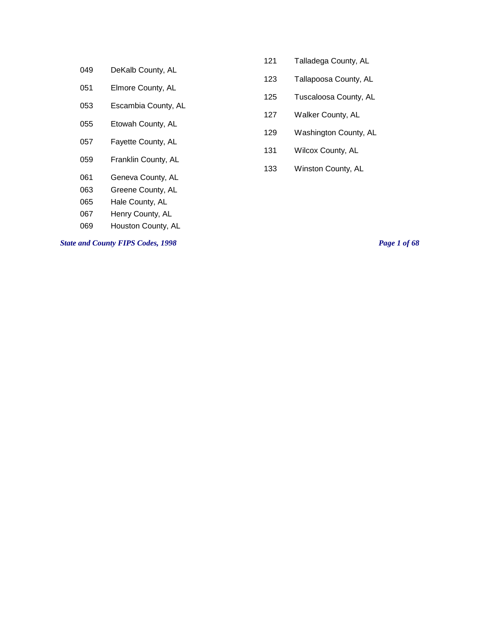- DeKalb County, AL
- Elmore County, AL
- Escambia County, AL
- Etowah County, AL
- Fayette County, AL
- Franklin County, AL
- Geneva County, AL
- Greene County, AL
- Hale County, AL
- Henry County, AL
- Houston County, AL

*State and County FIPS Codes, 1998 Page 1 of 68*

- Talladega County, AL
- Tallapoosa County, AL
- Tuscaloosa County, AL
- Walker County, AL
- Washington County, AL
- Wilcox County, AL
- Winston County, AL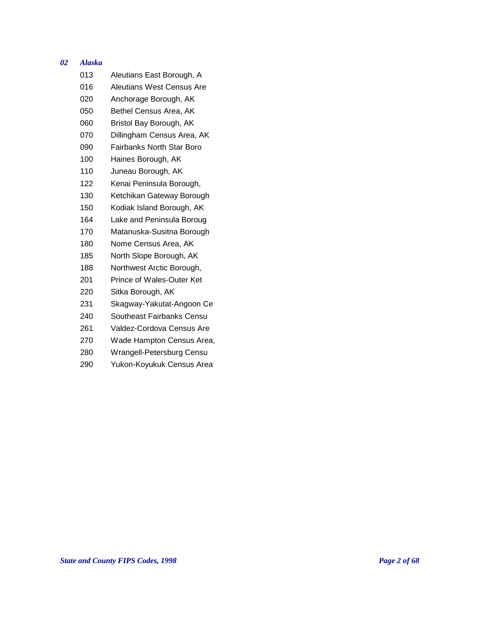## *Alaska*

| Amsnu |                                  |
|-------|----------------------------------|
| 013   | Aleutians East Borough, A        |
| 016   | <b>Aleutians West Census Are</b> |
| 020   | Anchorage Borough, AK            |
| 050   | Bethel Census Area, AK           |
| 060   | Bristol Bay Borough, AK          |
| 070   | Dillingham Census Area, AK       |
| 090   | <b>Fairbanks North Star Boro</b> |
| 100   | Haines Borough, AK               |
| 110   | Juneau Borough, AK               |
| 122   | Kenai Peninsula Borough,         |
| 130   | Ketchikan Gateway Borough        |
| 150   | Kodiak Island Borough, AK        |
| 164   | Lake and Peninsula Boroug        |
| 170   | Matanuska-Susitna Borough        |
| 180   | Nome Census Area, AK             |
| 185   | North Slope Borough, AK          |
| 188   | Northwest Arctic Borough,        |
| 201   | Prince of Wales-Outer Ket        |
| 220   | Sitka Borough, AK                |
| 231   | Skagway-Yakutat-Angoon Ce        |
| 240   | Southeast Fairbanks Censu        |
| 261   | Valdez-Cordova Census Are        |
| 270   | Wade Hampton Census Area,        |
| 280   | Wrangell-Petersburg Censu        |
| 290   | Yukon-Koyukuk Census Area        |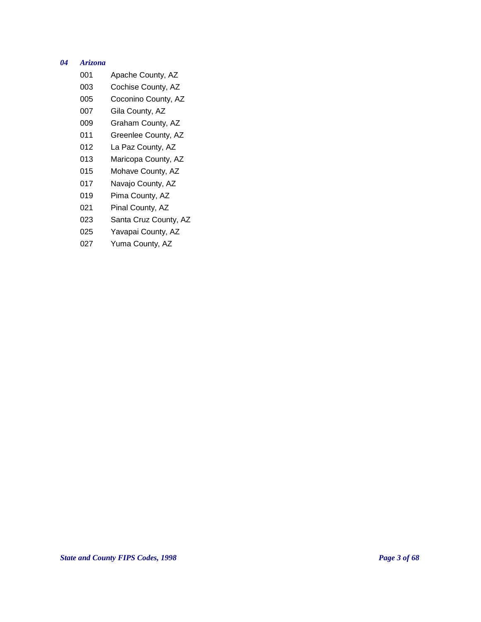#### *Arizona*

- Apache County, AZ
- Cochise County, AZ
- Coconino County, AZ
- Gila County, AZ
- Graham County, AZ
- Greenlee County, AZ
- La Paz County, AZ
- Maricopa County, AZ
- Mohave County, AZ
- Navajo County, AZ
- Pima County, AZ
- Pinal County, AZ
- Santa Cruz County, AZ
- Yavapai County, AZ
- Yuma County, AZ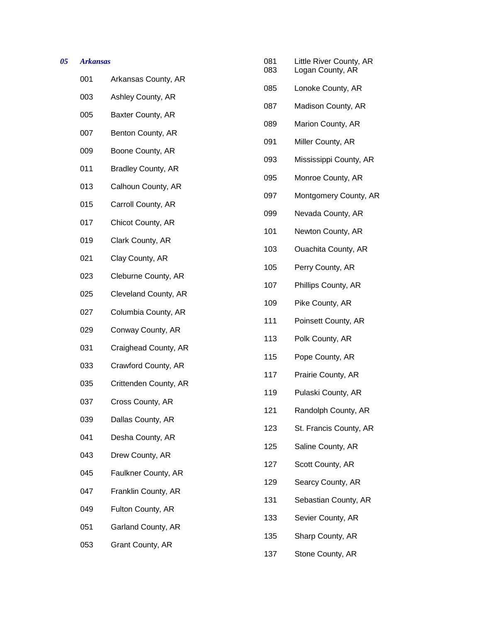- Arkansas County, AR
- Ashley County, AR
- Baxter County, AR
- Benton County, AR
- Boone County, AR
- Bradley County, AR
- Calhoun County, AR
- Carroll County, AR
- Chicot County, AR
- Clark County, AR
- Clay County, AR
- Cleburne County, AR
- Cleveland County, AR
- Columbia County, AR
- Conway County, AR
- Craighead County, AR
- Crawford County, AR
- Crittenden County, AR
- Cross County, AR
- Dallas County, AR
- Desha County, AR
- Drew County, AR
- Faulkner County, AR
- Franklin County, AR
- Fulton County, AR
- Garland County, AR
- Grant County, AR

| 05 | <b>Arkansas</b> |                           | 081<br>083 | Little River County, AR<br>Logan County, AR |
|----|-----------------|---------------------------|------------|---------------------------------------------|
|    | 001             | Arkansas County, AR       | 085        | Lonoke County, AR                           |
|    | 003             | Ashley County, AR         | 087        | Madison County, AR                          |
|    | 005             | Baxter County, AR         | 089        | Marion County, AR                           |
|    | 007             | Benton County, AR         | 091        | Miller County, AR                           |
|    | 009             | Boone County, AR          | 093        | Mississippi County, AR                      |
|    | 011             | <b>Bradley County, AR</b> |            |                                             |
|    | 013             | Calhoun County, AR        | 095        | Monroe County, AR                           |
|    | 015             | Carroll County, AR        | 097        | Montgomery County, AR                       |
|    | 017             | Chicot County, AR         | 099        | Nevada County, AR                           |
|    | 019             | Clark County, AR          | 101        | Newton County, AR                           |
|    | 021             | Clay County, AR           | 103        | <b>Ouachita County, AR</b>                  |
|    | 023             | Cleburne County, AR       | 105        | Perry County, AR                            |
|    | 025             | Cleveland County, AR      | 107        | Phillips County, AR                         |
|    | 027             | Columbia County, AR       | 109        | Pike County, AR                             |
|    | 029             | Conway County, AR         | 111        | Poinsett County, AR                         |
|    | 031             | Craighead County, AR      | 113        | Polk County, AR                             |
|    | 033             | Crawford County, AR       | 115        | Pope County, AR                             |
|    | 035             | Crittenden County, AR     | 117        | Prairie County, AR                          |
|    | 037             | Cross County, AR          | 119        | Pulaski County, AR                          |
|    | 039             |                           | 121        | Randolph County, AR                         |
|    |                 | Dallas County, AR         | 123        | St. Francis County, AR                      |
|    | 041             | Desha County, AR          | 125        | Saline County, AR                           |
|    | 043             | Drew County, AR           | 127        | Scott County, AR                            |
|    | 045             | Faulkner County, AR       | 129        | Searcy County, AR                           |
|    | 047             | Franklin County, AR       | 131        | Sebastian County, AR                        |
|    | 049             | Fulton County, AR         | 133        | Sevier County, AR                           |
|    | 051             | Garland County, AR        |            |                                             |

- Sharp County, AR
- Stone County, AR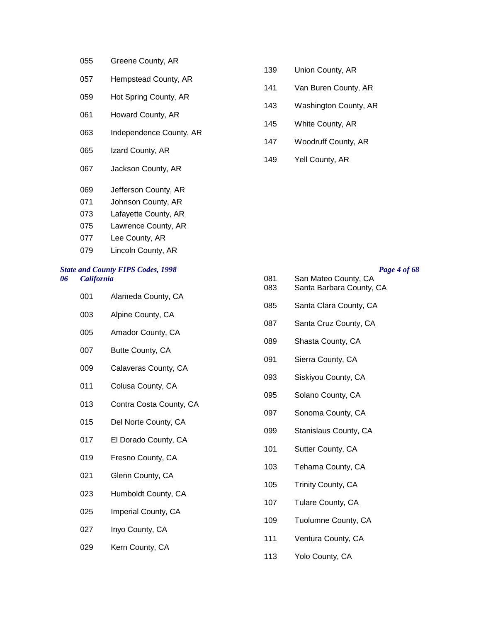- Greene County, AR
- Hempstead County, AR
- Hot Spring County, AR
- Howard County, AR
- Independence County, AR
- Izard County, AR
- Jackson County, AR
- Jefferson County, AR
- Johnson County, AR
- Lafayette County, AR
- Lawrence County, AR
- Lee County, AR
- Lincoln County, AR

#### *State and County FIPS Codes, 1998 Page 4 of 68 California* 081 San Mateo County, CA

- Alameda County, CA
- Alpine County, CA
- Amador County, CA
- Butte County, CA
- Calaveras County, CA
- Colusa County, CA
- Contra Costa County, CA
- Del Norte County, CA
- El Dorado County, CA
- Fresno County, CA
- Glenn County, CA
- Humboldt County, CA
- Imperial County, CA
- Inyo County, CA
- Kern County, CA
- Union County, AR
- Van Buren County, AR
- Washington County, AR
- White County, AR
- Woodruff County, AR
- Yell County, AR

- Santa Barbara County, CA Santa Clara County, CA Santa Cruz County, CA Shasta County, CA Sierra County, CA Siskiyou County, CA Solano County, CA Sonoma County, CA Stanislaus County, CA Sutter County, CA Tehama County, CA Trinity County, CA Tulare County, CA Tuolumne County, CA
- Ventura County, CA
- Yolo County, CA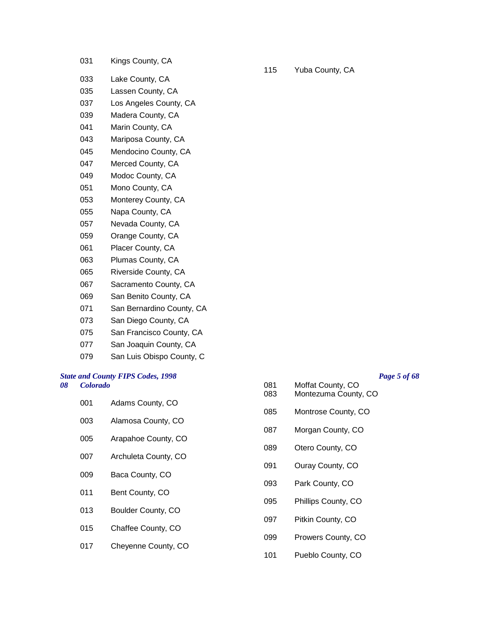| 033 | Lake County, CA           |
|-----|---------------------------|
| 035 | Lassen County, CA         |
| 037 | Los Angeles County, CA    |
| 039 | Madera County, CA         |
| 041 | Marin County, CA          |
| 043 | Mariposa County, CA       |
| 045 | Mendocino County, CA      |
| 047 | Merced County, CA         |
| 049 | Modoc County, CA          |
| 051 | Mono County, CA           |
| 053 | Monterey County, CA       |
| 055 | Napa County, CA           |
| 057 | Nevada County, CA         |
| 059 | Orange County, CA         |
| 061 | Placer County, CA         |
| 063 | Plumas County, CA         |
| 065 | Riverside County, CA      |
| 067 | Sacramento County, CA     |
| 069 | San Benito County, CA     |
| 071 | San Bernardino County, CA |
| 073 | San Diego County, CA      |
| 075 | San Francisco County, CA  |
| 077 | San Joaquin County, CA    |

Kings County, CA

San Luis Obispo County, C

*State and County FIPS Codes, 1998 Page 5 of 68*<br> *Page 5 of 68*<br> *Page 5 of 68*<br> *Page 5 of 68 Colorado* 081 Moffat County, CO

- Adams County, CO
- Alamosa County, CO
- Arapahoe County, CO
- Archuleta County, CO
- Baca County, CO
- Bent County, CO
- Boulder County, CO
- Chaffee County, CO
- Cheyenne County, CO
- 
- 
- 

- Montezuma County, CO
- Montrose County, CO
- Morgan County, CO
- Otero County, CO
- Ouray County, CO
- Park County, CO
- Phillips County, CO
- Pitkin County, CO
- Prowers County, CO
- Pueblo County, CO

Yuba County, CA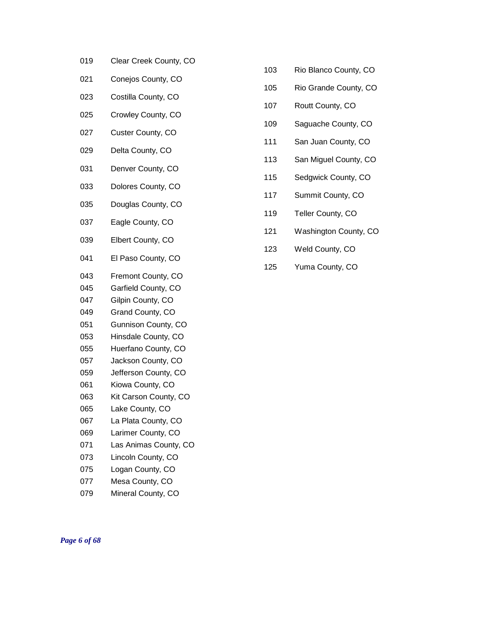- Clear Creek County, CO
- Conejos County, CO
- Costilla County, CO
- Crowley County, CO
- Custer County, CO
- Delta County, CO
- Denver County, CO
- Dolores County, CO
- Douglas County, CO
- Eagle County, CO
- Elbert County, CO
- El Paso County, CO
- Fremont County, CO
- Garfield County, CO
- Gilpin County, CO
- Grand County, CO
- Gunnison County, CO
- Hinsdale County, CO
- Huerfano County, CO
- Jackson County, CO
- Jefferson County, CO
- Kiowa County, CO
- Kit Carson County, CO
- Lake County, CO
- La Plata County, CO
- Larimer County, CO
- Las Animas County, CO
- Lincoln County, CO
- Logan County, CO
- Mesa County, CO
- Mineral County, CO
- Rio Blanco County, CO
- Rio Grande County, CO
- Routt County, CO
- Saguache County, CO
- San Juan County, CO
- San Miguel County, CO
- Sedgwick County, CO
- Summit County, CO
- Teller County, CO
- Washington County, CO
- Weld County, CO
- Yuma County, CO

*Page 6 of 68*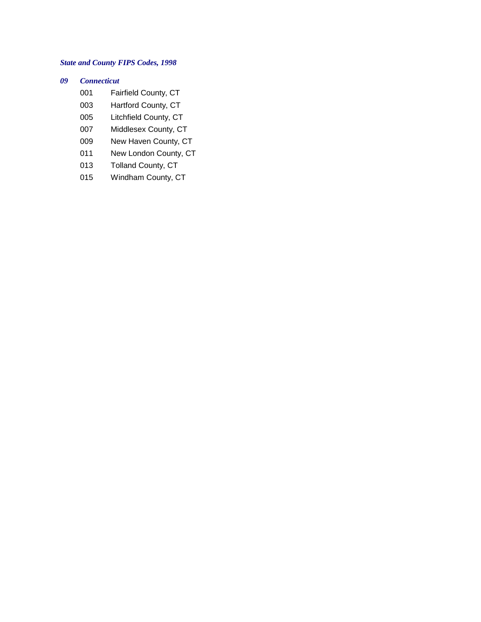#### *State and County FIPS Codes, 1998*

### *Connecticut*

- Fairfield County, CT
- Hartford County, CT
- Litchfield County, CT
- Middlesex County, CT
- New Haven County, CT
- 011 New London County, CT
- Tolland County, CT
- Windham County, CT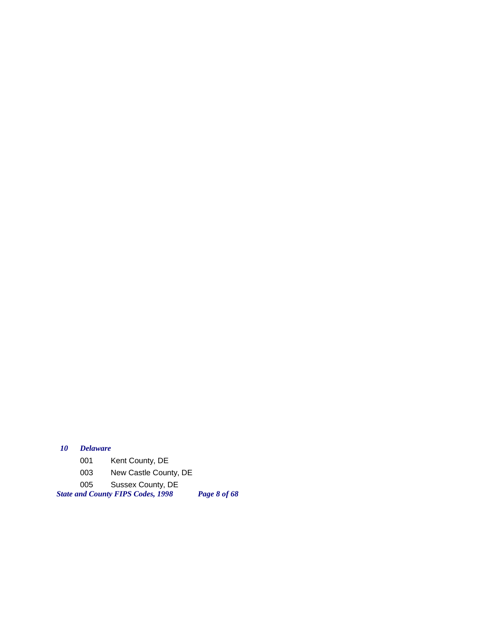#### *10 Delaware*

001 Kent County, DE

003 New Castle County, DE

005 Sussex County, DE

*State and County FIPS Codes, 1998 Page 8 of 68*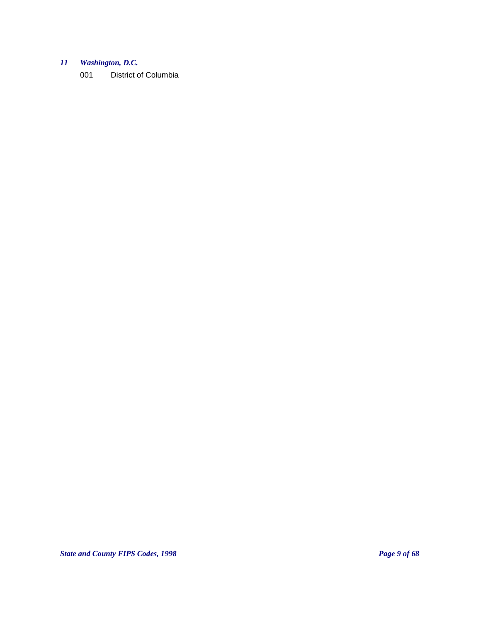### *Washington, D.C.*

District of Columbia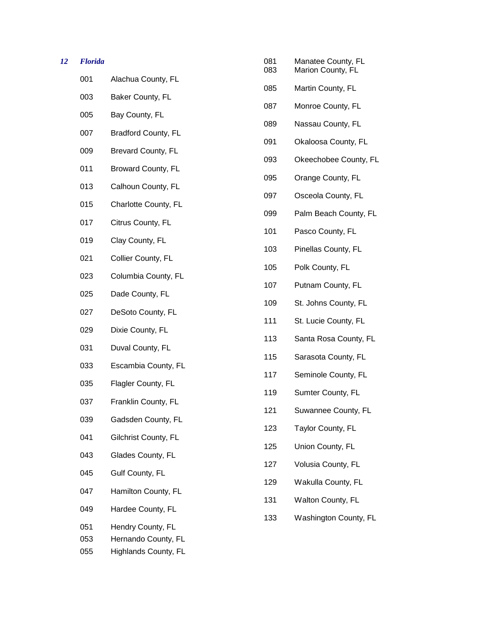| 12 | <b>Florida</b>    |                                                                         | 081<br>083 | Manatee County, FL<br>Marion County, FL |
|----|-------------------|-------------------------------------------------------------------------|------------|-----------------------------------------|
|    | 001               | Alachua County, FL                                                      | 085        | Martin County, FL                       |
|    | 003               | Baker County, FL                                                        | 087        | Monroe County, FL                       |
|    | 005               | Bay County, FL                                                          |            |                                         |
|    | 007               | <b>Bradford County, FL</b>                                              | 089        | Nassau County, FL                       |
|    | 009               | <b>Brevard County, FL</b>                                               | 091        | Okaloosa County, FL                     |
|    | 011               | <b>Broward County, FL</b>                                               | 093        | Okeechobee County, FL                   |
|    | 013               | Calhoun County, FL                                                      | 095        | Orange County, FL                       |
|    | 015               | Charlotte County, FL                                                    | 097        | Osceola County, FL                      |
|    | 017               | Citrus County, FL                                                       | 099        | Palm Beach County, FL                   |
|    | 019               | Clay County, FL                                                         | 101        | Pasco County, FL                        |
|    | 021               | Collier County, FL                                                      | 103        | Pinellas County, FL                     |
|    | 023               | Columbia County, FL                                                     | 105        | Polk County, FL                         |
|    | 025               | Dade County, FL                                                         | 107        | Putnam County, FL                       |
|    | 027               | DeSoto County, FL                                                       | 109        | St. Johns County, FL                    |
|    | 029               | Dixie County, FL                                                        | 111        | St. Lucie County, FL                    |
|    | 031               | Duval County, FL                                                        | 113        | Santa Rosa County, FL                   |
|    |                   |                                                                         | 115        | Sarasota County, FL                     |
|    | 033               | Escambia County, FL                                                     | 117        | Seminole County, FL                     |
|    | 035               | Flagler County, FL                                                      | 119        | Sumter County, FL                       |
|    | 037               | Franklin County, FL                                                     | 121        | Suwannee County, FL                     |
|    | 039               | Gadsden County, FL                                                      | 123        | Taylor County, FL                       |
|    | 041               | Gilchrist County, FL                                                    | 125        | Union County, FL                        |
|    | 043               | Glades County, FL                                                       | 127        | Volusia County, FL                      |
|    | 045               | Gulf County, FL                                                         | 129        | Wakulla County, FL                      |
|    | 047               | Hamilton County, FL                                                     | 131        | Walton County, FL                       |
|    | 049               | Hardee County, FL                                                       | 133        | Washington County, FL                   |
|    | 051<br>053<br>055 | Hendry County, FL<br>Hernando County, FL<br><b>Highlands County, FL</b> |            |                                         |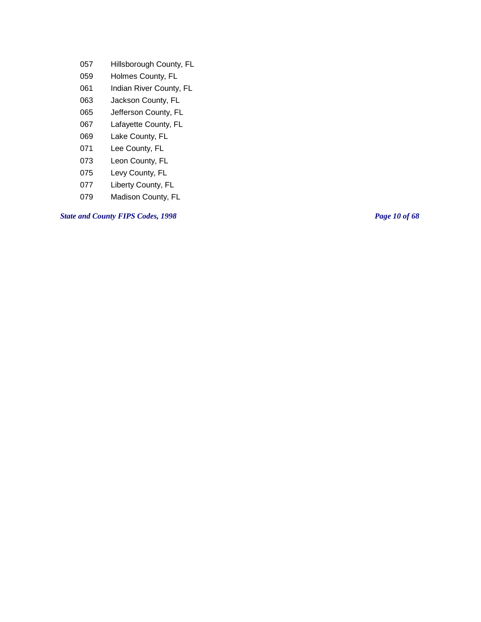- Hillsborough County, FL
- Holmes County, FL
- 061 Indian River County, FL
- Jackson County, FL
- Jefferson County, FL
- Lafayette County, FL
- Lake County, FL
- Lee County, FL
- Leon County, FL
- Levy County, FL
- Liberty County, FL
- Madison County, FL

*State and County FIPS Codes, 1998 Page 10 of 68*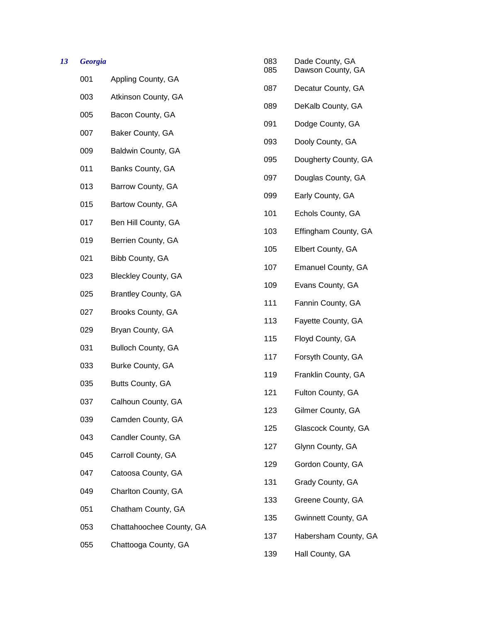| 13 | <b>Georgia</b> |                            | 083<br>085 | Dade County, GA<br>Dawson County, GA |
|----|----------------|----------------------------|------------|--------------------------------------|
|    | 001            | Appling County, GA         | 087        | Decatur County, GA                   |
|    | 003            | Atkinson County, GA        | 089        | DeKalb County, GA                    |
|    | 005            | Bacon County, GA           | 091        | Dodge County, GA                     |
|    | 007            | Baker County, GA           | 093        | Dooly County, GA                     |
|    | 009            | Baldwin County, GA         | 095        | Dougherty County, GA                 |
|    | 011            | Banks County, GA           |            |                                      |
|    | 013            | Barrow County, GA          | 097        | Douglas County, GA                   |
|    | 015            | Bartow County, GA          | 099        | Early County, GA                     |
|    | 017            | Ben Hill County, GA        | 101        | Echols County, GA                    |
|    | 019            | Berrien County, GA         | 103        | Effingham County, GA                 |
|    | 021            | Bibb County, GA            | 105        | Elbert County, GA                    |
|    | 023            | <b>Bleckley County, GA</b> | 107        | <b>Emanuel County, GA</b>            |
|    | 025            | <b>Brantley County, GA</b> | 109        | Evans County, GA                     |
|    | 027            | Brooks County, GA          | 111        | Fannin County, GA                    |
|    | 029            | Bryan County, GA           | 113        | Fayette County, GA                   |
|    | 031            | <b>Bulloch County, GA</b>  | 115        | Floyd County, GA                     |
|    | 033            | Burke County, GA           | 117        | Forsyth County, GA                   |
|    | 035            | Butts County, GA           | 119        | Franklin County, GA                  |
|    | 037            | Calhoun County, GA         | 121        | Fulton County, GA                    |
|    | 039            | Camden County, GA          | 123        | Gilmer County, GA                    |
|    | 043            | Candler County, GA         | 125        | Glascock County, GA                  |
|    | 045            | Carroll County, GA         | 127        | Glynn County, GA                     |
|    | 047            | Catoosa County, GA         | 129        | Gordon County, GA                    |
|    | 049            | Charlton County, GA        | 131        | Grady County, GA                     |
|    | 051            | Chatham County, GA         | 133        | Greene County, GA                    |
|    |                |                            | 135        | Gwinnett County, GA                  |
|    | 053            | Chattahoochee County, GA   | 137        | Habersham County, GA                 |
|    | 055            | Chattooga County, GA       | 139        | Hall County, GA                      |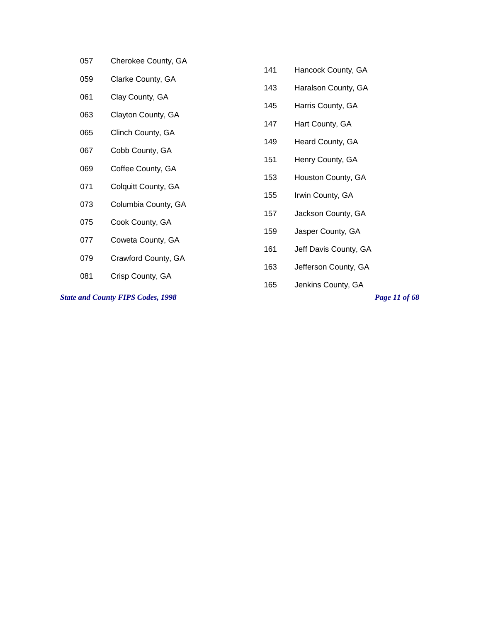- Cherokee County, GA
- Clarke County, GA
- Clay County, GA
- Clayton County, GA
- Clinch County, GA
- Cobb County, GA
- Coffee County, GA
- 071 Colquitt County, GA
- Columbia County, GA
- Cook County, GA
- Coweta County, GA
- Crawford County, GA
- Crisp County, GA

*State and County FIPS Codes, 1998 Page 11 of 68*

- Hancock County, GA
- Haralson County, GA
- Harris County, GA
- Hart County, GA
- Heard County, GA
- Henry County, GA
- Houston County, GA
- Irwin County, GA
- Jackson County, GA
- Jasper County, GA
- Jeff Davis County, GA
- Jefferson County, GA
- Jenkins County, GA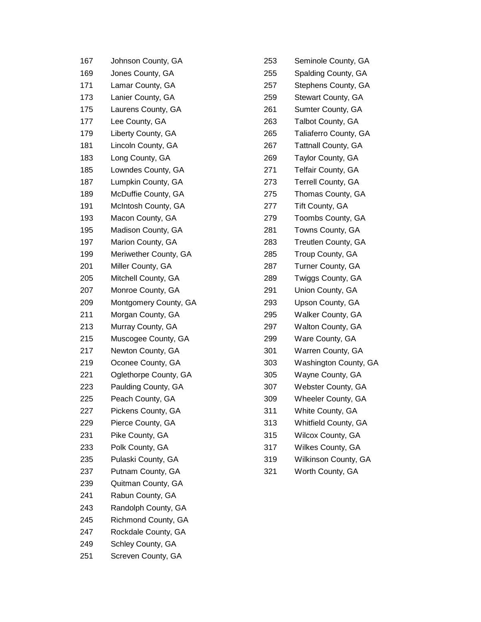| 167 | Johnson County, GA    | 253 | Seminole County, GA        |
|-----|-----------------------|-----|----------------------------|
| 169 | Jones County, GA      | 255 | Spalding County, GA        |
| 171 | Lamar County, GA      | 257 | Stephens County, GA        |
| 173 | Lanier County, GA     | 259 | Stewart County, GA         |
| 175 | Laurens County, GA    | 261 | Sumter County, GA          |
| 177 | Lee County, GA        | 263 | Talbot County, GA          |
| 179 | Liberty County, GA    | 265 | Taliaferro County, GA      |
| 181 | Lincoln County, GA    | 267 | <b>Tattnall County, GA</b> |
| 183 | Long County, GA       | 269 | Taylor County, GA          |
| 185 | Lowndes County, GA    | 271 | Telfair County, GA         |
| 187 | Lumpkin County, GA    | 273 | Terrell County, GA         |
| 189 | McDuffie County, GA   | 275 | Thomas County, GA          |
| 191 | McIntosh County, GA   | 277 | Tift County, GA            |
| 193 | Macon County, GA      | 279 | Toombs County, GA          |
| 195 | Madison County, GA    | 281 | Towns County, GA           |
| 197 | Marion County, GA     | 283 | Treutlen County, GA        |
| 199 | Meriwether County, GA | 285 | Troup County, GA           |
| 201 | Miller County, GA     | 287 | Turner County, GA          |
| 205 | Mitchell County, GA   | 289 | Twiggs County, GA          |
| 207 | Monroe County, GA     | 291 | Union County, GA           |
| 209 | Montgomery County, GA | 293 | Upson County, GA           |
| 211 | Morgan County, GA     | 295 | <b>Walker County, GA</b>   |
| 213 | Murray County, GA     | 297 | Walton County, GA          |
| 215 | Muscogee County, GA   | 299 | Ware County, GA            |
| 217 | Newton County, GA     | 301 | Warren County, GA          |
| 219 | Oconee County, GA     | 303 | Washington County, GA      |
| 221 | Oglethorpe County, GA | 305 | Wayne County, GA           |
| 223 | Paulding County, GA   | 307 | Webster County, GA         |
| 225 | Peach County, GA      | 309 | <b>Wheeler County, GA</b>  |
| 227 | Pickens County, GA    | 311 | White County, GA           |
| 229 | Pierce County, GA     | 313 | Whitfield County, GA       |
| 231 | Pike County, GA       | 315 | Wilcox County, GA          |
| 233 | Polk County, GA       | 317 | Wilkes County, GA          |
| 235 | Pulaski County, GA    | 319 | Wilkinson County, GA       |
| 237 | Putnam County, GA     | 321 | Worth County, GA           |
| 239 | Quitman County, GA    |     |                            |
| 241 | Rabun County, GA      |     |                            |
| 243 | Randolph County, GA   |     |                            |
| 245 | Richmond County, GA   |     |                            |
| 247 | Rockdale County, GA   |     |                            |
| 249 | Schley County, GA     |     |                            |
| 251 | Screven County, GA    |     |                            |

| 253 | Seminole County, GA        |
|-----|----------------------------|
| 255 | Spalding County, GA        |
| 257 | Stephens County, GA        |
| 259 | Stewart County, GA         |
| 261 | Sumter County, GA          |
| 263 | Talbot County, GA          |
| 265 | Taliaferro County, GA      |
| 267 | <b>Tattnall County, GA</b> |
| 269 | Taylor County, GA          |
| 271 | Telfair County, GA         |
| 273 | <b>Terrell County, GA</b>  |
| 275 | Thomas County, GA          |
| 277 | Tift County, GA            |
| 279 | Toombs County, GA          |
| 281 | Towns County, GA           |
| 283 | Treutlen County, GA        |
| 285 | Troup County, GA           |
| 287 | Turner County, GA          |
| 289 | Twiggs County, GA          |
| 291 | Union County, GA           |
| 293 | Upson County, GA           |
| 295 | Walker County, GA          |
| 297 | Walton County, GA          |
| 299 | Ware County, GA            |
| 301 | Warren County, GA          |
| 303 | Washington County, G/      |
| 305 | Wayne County, GA           |
| 307 | Webster County, GA         |
| 309 | Wheeler County, GA         |
| 311 | White County, GA           |
| 313 | Whitfield County, GA       |
| 315 | Wilcox County, GA          |
| 317 | Wilkes County, GA          |
| 319 | Wilkinson County, GA       |
| 321 | Worth County, GA           |
|     |                            |
|     |                            |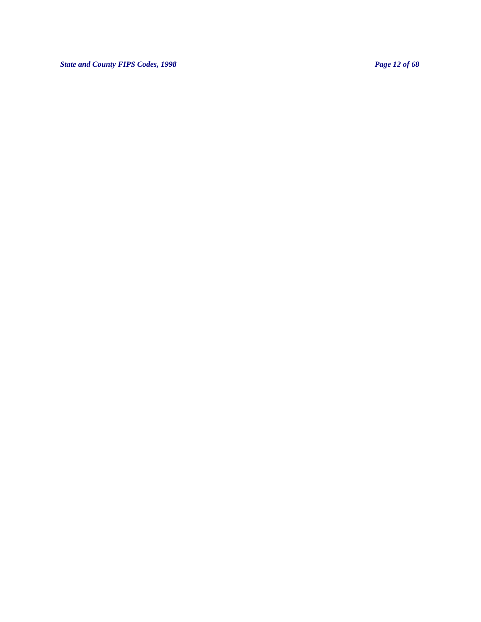*State and County FIPS Codes, 1998 Page 12 of 68*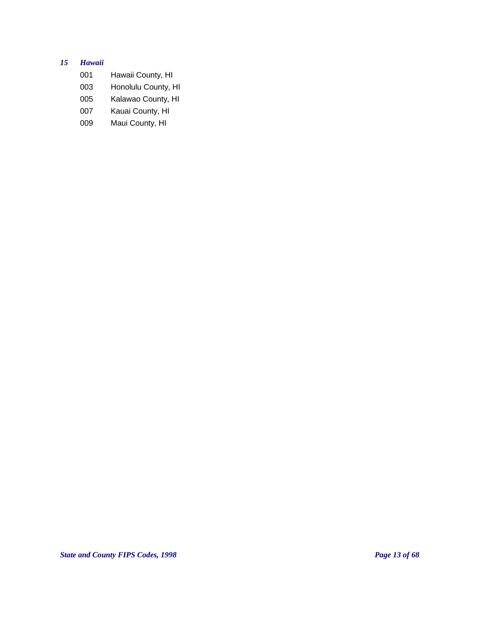### *Hawaii*

- Hawaii County, HI
- Honolulu County, HI
- Kalawao County, HI
- Kauai County, HI
- Maui County, HI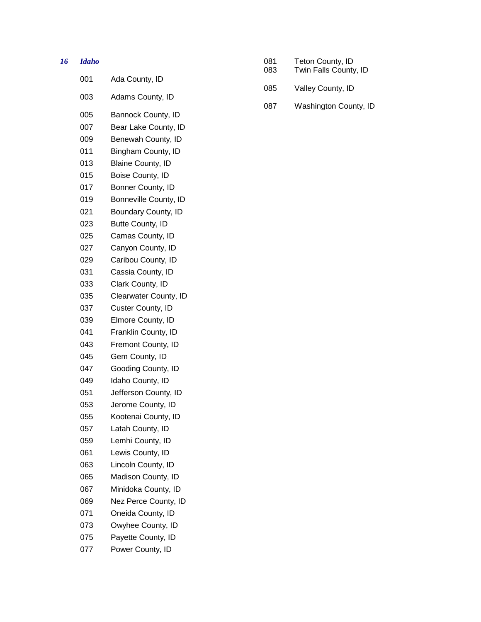| 16 | <b>Idaho</b> |                          | 081<br>083 | Teton County, ID<br><b>Twin Falls Count</b> |
|----|--------------|--------------------------|------------|---------------------------------------------|
|    | 001          | Ada County, ID           | 085        | Valley County, ID                           |
|    | 003          | Adams County, ID         | 087        | <b>Washington Cou</b>                       |
|    | 005          | Bannock County, ID       |            |                                             |
|    | 007          | Bear Lake County, ID     |            |                                             |
|    | 009          | Benewah County, ID       |            |                                             |
|    | 011          | Bingham County, ID       |            |                                             |
|    | 013          | <b>Blaine County, ID</b> |            |                                             |
|    | 015          | Boise County, ID         |            |                                             |
|    | 017          | Bonner County, ID        |            |                                             |
|    | 019          | Bonneville County, ID    |            |                                             |
|    | 021          | Boundary County, ID      |            |                                             |
|    | 023          | Butte County, ID         |            |                                             |
|    | 025          | Camas County, ID         |            |                                             |
|    | 027          | Canyon County, ID        |            |                                             |
|    | 029          | Caribou County, ID       |            |                                             |
|    | 031          | Cassia County, ID        |            |                                             |
|    | 033          | Clark County, ID         |            |                                             |
|    | 035          | Clearwater County, ID    |            |                                             |
|    | 037          | Custer County, ID        |            |                                             |
|    | 039          | Elmore County, ID        |            |                                             |
|    | 041          | Franklin County, ID      |            |                                             |
|    | 043          | Fremont County, ID       |            |                                             |
|    | 045          | Gem County, ID           |            |                                             |
|    | 047          | Gooding County, ID       |            |                                             |
|    | 049          | Idaho County, ID         |            |                                             |
|    | 051          | Jefferson County, ID     |            |                                             |
|    | 053          | Jerome County, ID        |            |                                             |
|    | 055          | Kootenai County, ID      |            |                                             |
|    | 057          | Latah County, ID         |            |                                             |
|    | 059          | Lemhi County, ID         |            |                                             |
|    | 061          | Lewis County, ID         |            |                                             |
|    | 063          | Lincoln County, ID       |            |                                             |
|    | 065          | Madison County, ID       |            |                                             |
|    | 067          | Minidoka County, ID      |            |                                             |
|    | 069          | Nez Perce County, ID     |            |                                             |
|    | 071          | Oneida County, ID        |            |                                             |
|    | 073          | Owyhee County, ID        |            |                                             |
|    | 075          | Payette County, ID       |            |                                             |
|    | 077          | Power County, ID         |            |                                             |

| 081<br>083 | Teton County, ID<br>Twin Falls County, ID |
|------------|-------------------------------------------|
| 085        | Valley County, ID                         |
| 087        | Washington County, ID                     |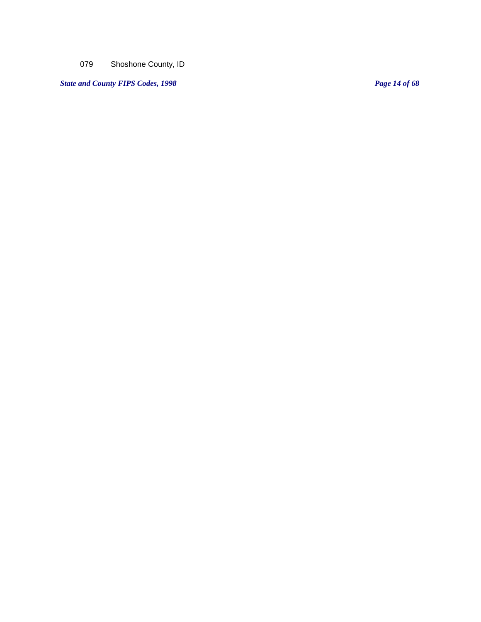### 079 Shoshone County, ID

*State and County FIPS Codes, 1998 Page 14 of 68*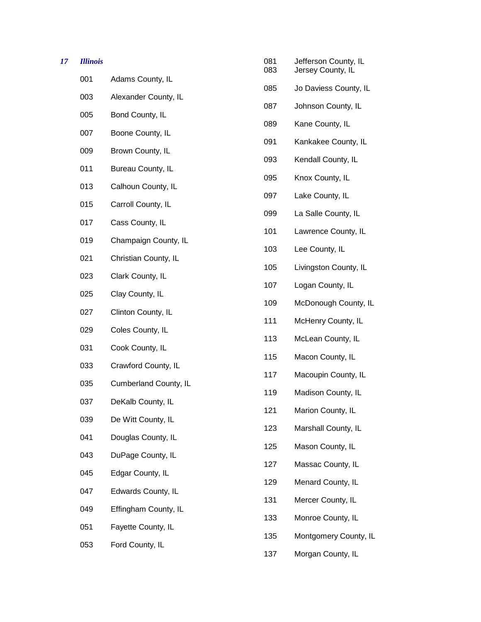| 083<br>Jersey County, IL<br>001<br>Adams County, IL<br>085<br>Jo Daviess County, IL<br>003<br>Alexander County, IL<br>087<br>Johnson County, IL<br>005<br>Bond County, IL<br>089<br>Kane County, IL<br>007<br>Boone County, IL<br>091<br>Kankakee County, IL<br>009<br>Brown County, IL<br>093<br>Kendall County, IL<br>011<br>Bureau County, IL<br>095<br>Knox County, IL |  |
|----------------------------------------------------------------------------------------------------------------------------------------------------------------------------------------------------------------------------------------------------------------------------------------------------------------------------------------------------------------------------|--|
|                                                                                                                                                                                                                                                                                                                                                                            |  |
|                                                                                                                                                                                                                                                                                                                                                                            |  |
|                                                                                                                                                                                                                                                                                                                                                                            |  |
|                                                                                                                                                                                                                                                                                                                                                                            |  |
|                                                                                                                                                                                                                                                                                                                                                                            |  |
|                                                                                                                                                                                                                                                                                                                                                                            |  |
| Calhoun County, IL<br>013                                                                                                                                                                                                                                                                                                                                                  |  |
| 097<br>Lake County, IL<br>Carroll County, IL<br>015                                                                                                                                                                                                                                                                                                                        |  |
| 099<br>La Salle County, IL<br>Cass County, IL<br>017                                                                                                                                                                                                                                                                                                                       |  |
| 101<br>Lawrence County, IL<br>019<br>Champaign County, IL                                                                                                                                                                                                                                                                                                                  |  |
| 103<br>Lee County, IL<br>021<br>Christian County, IL                                                                                                                                                                                                                                                                                                                       |  |
| 105<br>Livingston County, IL<br>023<br>Clark County, IL                                                                                                                                                                                                                                                                                                                    |  |
| 107<br>Logan County, IL<br>025<br>Clay County, IL                                                                                                                                                                                                                                                                                                                          |  |
| 109<br>McDonough County, IL<br>027<br>Clinton County, IL                                                                                                                                                                                                                                                                                                                   |  |
| 111<br>McHenry County, IL<br>029<br>Coles County, IL                                                                                                                                                                                                                                                                                                                       |  |
| 113<br>McLean County, IL<br>031<br>Cook County, IL                                                                                                                                                                                                                                                                                                                         |  |
| 115<br>Macon County, IL<br>Crawford County, IL<br>033                                                                                                                                                                                                                                                                                                                      |  |
| 117<br>Macoupin County, IL                                                                                                                                                                                                                                                                                                                                                 |  |
| Cumberland County, IL<br>035<br>Madison County, IL<br>119                                                                                                                                                                                                                                                                                                                  |  |
| 037<br>DeKalb County, IL<br>121<br>Marion County, IL                                                                                                                                                                                                                                                                                                                       |  |
| 039<br>De Witt County, IL<br>123<br>Marshall County, IL                                                                                                                                                                                                                                                                                                                    |  |
| 041<br>Douglas County, IL<br>125<br>Mason County, IL                                                                                                                                                                                                                                                                                                                       |  |
| 043<br>DuPage County, IL<br>127<br>Massac County, IL                                                                                                                                                                                                                                                                                                                       |  |
| 045<br>Edgar County, IL<br>129<br>Menard County, IL                                                                                                                                                                                                                                                                                                                        |  |
| 047<br>Edwards County, IL<br>131<br>Mercer County, IL                                                                                                                                                                                                                                                                                                                      |  |
| 049<br>Effingham County, IL<br>133<br>Monroe County, IL                                                                                                                                                                                                                                                                                                                    |  |
| 051<br>Fayette County, IL<br>135<br>Montgomery County, IL                                                                                                                                                                                                                                                                                                                  |  |
| Ford County, IL<br>053<br>137<br>Morgan County, IL                                                                                                                                                                                                                                                                                                                         |  |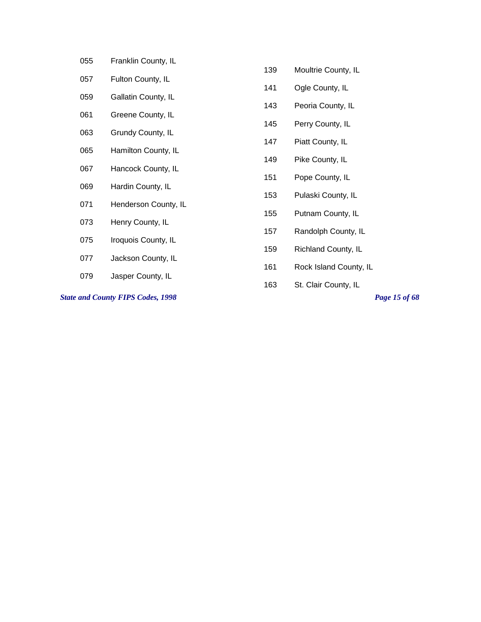| 055 | Franklin County, IL |  |
|-----|---------------------|--|
|-----|---------------------|--|

- Fulton County, IL
- Gallatin County, IL
- Greene County, IL
- Grundy County, IL
- Hamilton County, IL
- Hancock County, IL
- Hardin County, IL
- 071 Henderson County, IL
- Henry County, IL
- Iroquois County, IL
- Jackson County, IL
- Jasper County, IL

*State and County FIPS Codes, 1998 Page 15 of 68*

- Moultrie County, IL
- Ogle County, IL
- Peoria County, IL
- Perry County, IL
- Piatt County, IL
- Pike County, IL
- Pope County, IL
- Pulaski County, IL
- Putnam County, IL
- Randolph County, IL
- Richland County, IL
- Rock Island County, IL
- St. Clair County, IL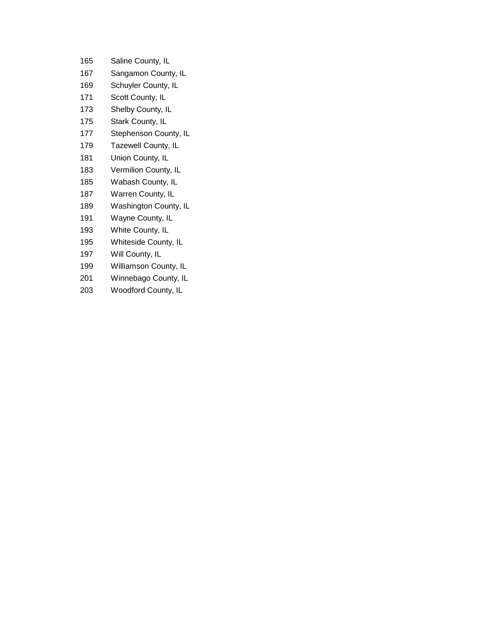- Saline County, IL
- Sangamon County, IL
- Schuyler County, IL
- Scott County, IL
- Shelby County, IL
- Stark County, IL
- Stephenson County, IL
- Tazewell County, IL
- Union County, IL
- 183 Vermilion County, IL
- Wabash County, IL
- Warren County, IL
- Washington County, IL
- Wayne County, IL
- White County, IL
- Whiteside County, IL
- Will County, IL
- Williamson County, IL
- Winnebago County, IL
- Woodford County, IL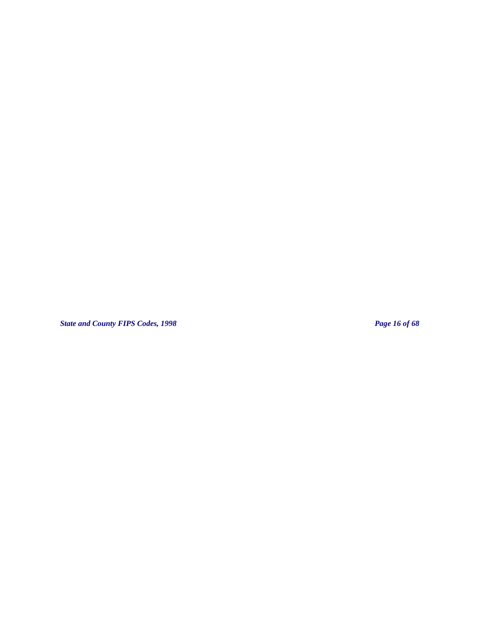*State and County FIPS Codes, 1998 Page 16 of 68*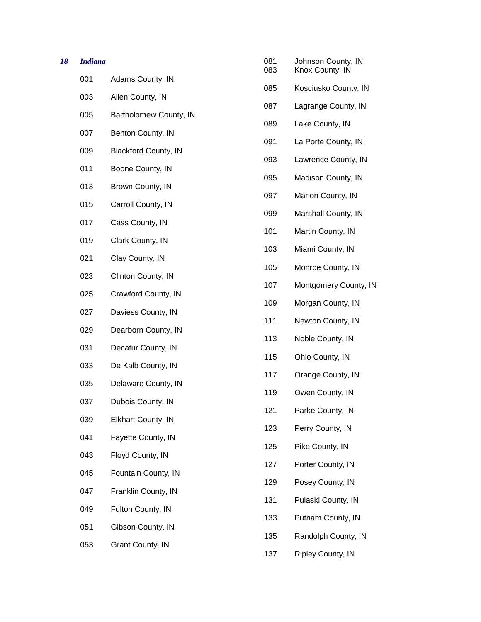| 18 | <b>Indiana</b> |                             | 081<br>083 | Johnson County, IN<br>Knox County, IN |
|----|----------------|-----------------------------|------------|---------------------------------------|
|    | 001            | Adams County, IN            | 085        | Kosciusko County, IN                  |
|    | 003            | Allen County, IN            | 087        | Lagrange County, IN                   |
|    | 005            | Bartholomew County, IN      | 089        | Lake County, IN                       |
|    | 007            | Benton County, IN           | 091        | La Porte County, IN                   |
|    | 009            | <b>Blackford County, IN</b> | 093        | Lawrence County, IN                   |
|    | 011            | Boone County, IN            | 095        | Madison County, IN                    |
|    | 013            | Brown County, IN            |            |                                       |
|    | 015            | Carroll County, IN          | 097        | Marion County, IN                     |
|    | 017            | Cass County, IN             | 099        | Marshall County, IN                   |
|    | 019            | Clark County, IN            | 101        | Martin County, IN                     |
|    | 021            | Clay County, IN             | 103        | Miami County, IN                      |
|    | 023            | Clinton County, IN          | 105        | Monroe County, IN                     |
|    | 025            | Crawford County, IN         | 107        | Montgomery County, IN                 |
|    | 027            | Daviess County, IN          | 109        | Morgan County, IN                     |
|    | 029            | Dearborn County, IN         | 111        | Newton County, IN                     |
|    | 031            | Decatur County, IN          | 113        | Noble County, IN                      |
|    | 033            | De Kalb County, IN          | 115        | Ohio County, IN                       |
|    | 035            | Delaware County, IN         | 117        | Orange County, IN                     |
|    | 037            | Dubois County, IN           | 119        | Owen County, IN                       |
|    | 039            |                             | 121        | Parke County, IN                      |
|    |                | Elkhart County, IN          | 123        | Perry County, IN                      |
|    | 041            | Fayette County, IN          | 125        | Pike County, IN                       |
|    | 043            | Floyd County, IN            | 127        | Porter County, IN                     |
|    | 045            | Fountain County, IN         | 129        | Posey County, IN                      |
|    | 047            | Franklin County, IN         | 131        | Pulaski County, IN                    |
|    | 049            | Fulton County, IN           | 133        | Putnam County, IN                     |
|    | 051            | Gibson County, IN           | 135        | Randolph County, IN                   |
|    | 053            | Grant County, IN            | 137        | Ripley County, IN                     |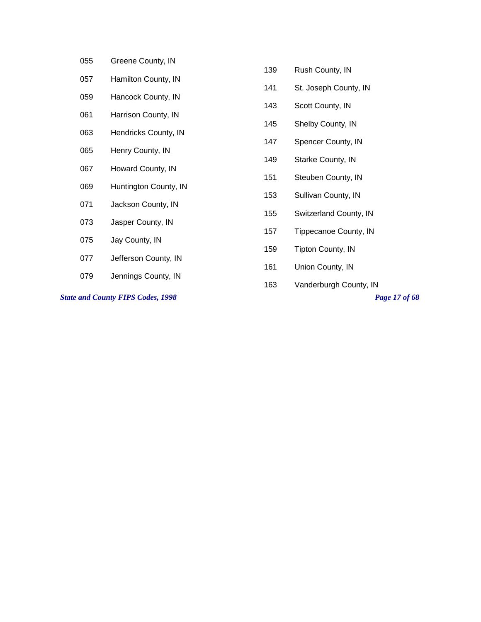| 055 | Greene County, IN |
|-----|-------------------|
|-----|-------------------|

Hamilton County, IN

Hancock County, IN

061 Harrison County, IN

Hendricks County, IN

Henry County, IN

Howard County, IN

Huntington County, IN

Jackson County, IN

Jasper County, I N

Jay County, IN

Jefferson County, IN

Jennings County, IN

*State and County FIPS Codes, 1998 Page 17 of 68*

Rush County, IN

St. Joseph County, IN

Scott County, IN

Shelby County, IN

Spencer County, IN

Starke County, IN

Steuben County, IN

Sullivan County, IN

Switzerland County, IN

Tippecanoe County, IN

Tipton County, IN

Union County, IN

Vanderburgh County, IN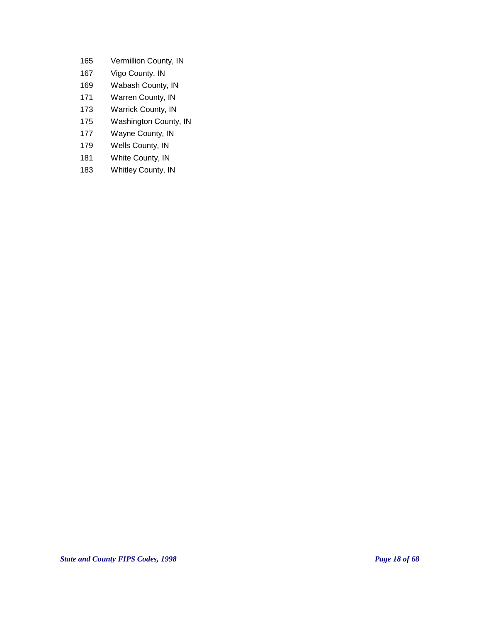- Vermillion County, IN
- Vigo County, IN
- Wabash County, IN
- Warren County, IN
- Warrick County, IN
- Washington County, IN
- Wayne County, IN
- Wells County, IN
- White County, IN
- Whitley County, IN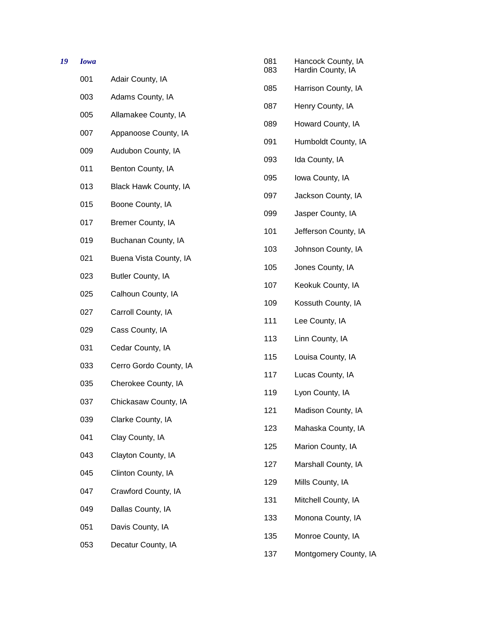| 19 | <b>Iowa</b> |                        | 081<br>083 | Hancock County, IA<br>Hardin County, IA |
|----|-------------|------------------------|------------|-----------------------------------------|
|    | 001         | Adair County, IA       | 085        | Harrison County, IA                     |
|    | 003         | Adams County, IA       | 087        | Henry County, IA                        |
|    | 005         | Allamakee County, IA   | 089        | Howard County, IA                       |
|    | 007         | Appanoose County, IA   | 091        | Humboldt County, IA                     |
|    | 009         | Audubon County, IA     | 093        | Ida County, IA                          |
|    | 011         | Benton County, IA      | 095        | Iowa County, IA                         |
|    | 013         | Black Hawk County, IA  | 097        | Jackson County, IA                      |
|    | 015         | Boone County, IA       | 099        | Jasper County, IA                       |
|    | 017         | Bremer County, IA      | 101        | Jefferson County, IA                    |
|    | 019         | Buchanan County, IA    | 103        | Johnson County, IA                      |
|    | 021         | Buena Vista County, IA | 105        | Jones County, IA                        |
|    | 023         | Butler County, IA      | 107        | Keokuk County, IA                       |
|    | 025         | Calhoun County, IA     | 109        | Kossuth County, IA                      |
|    | 027         | Carroll County, IA     | 111        | Lee County, IA                          |
|    | 029         | Cass County, IA        | 113        | Linn County, IA                         |
|    | 031         | Cedar County, IA       | 115        | Louisa County, IA                       |
|    | 033         | Cerro Gordo County, IA | 117        | Lucas County, IA                        |
|    | 035         | Cherokee County, IA    | 119        | Lyon County, IA                         |
|    | 037         | Chickasaw County, IA   | 121        | Madison County, IA                      |
|    | 039         | Clarke County, IA      | 123        | Mahaska County, IA                      |
|    | 041         | Clay County, IA        | 125        | Marion County, IA                       |
|    | 043         | Clayton County, IA     | 127        | Marshall County, IA                     |
|    | 045         | Clinton County, IA     | 129        |                                         |
|    | 047         | Crawford County, IA    | 131        | Mills County, IA                        |
|    | 049         | Dallas County, IA      |            | Mitchell County, IA                     |
|    | 051         | Davis County, IA       | 133        | Monona County, IA                       |
|    | 053         | Decatur County, IA     | 135        | Monroe County, IA                       |
|    |             |                        | 137        | Montgomery County, IA                   |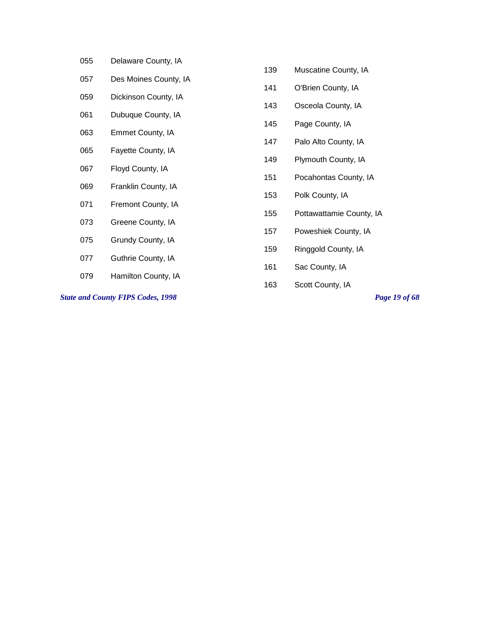- Delaware County, IA
- Des Moines County, IA
- Dickinson County, IA
- 061 Dubuque County, IA
- Emmet County, IA
- Fayette County, IA
- Floyd County, IA
- Franklin County, IA
- Fremont County, IA
- Greene County, IA
- Grundy County, IA
- Guthrie County, IA
- Hamilton County, IA

*State and County FIPS Codes, 1998 Page 19 of 68*

- Muscatine County, IA
- O'Brien County, IA
- Osceola County, IA
- Page County, IA
- Palo Alto County, IA
- Plymouth County, IA
- Pocahontas County, IA
- Polk County, IA
- Pottawattamie County, IA
- Poweshiek County, IA
- Ringgold County, IA
- Sac County, IA
- Scott County, IA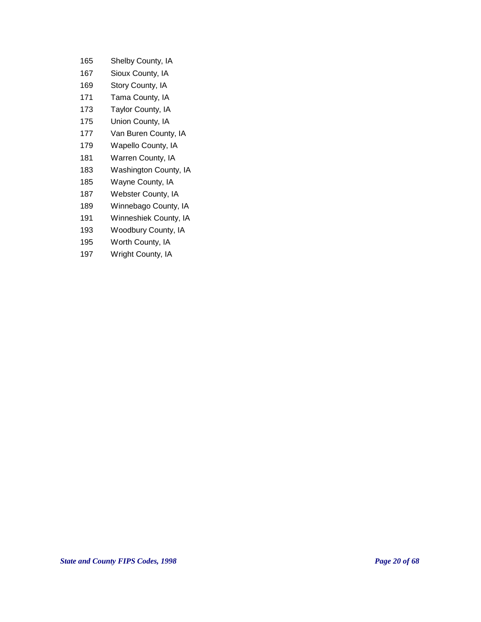| 165 | Shelby County, IA |  |
|-----|-------------------|--|
|     |                   |  |

- Sioux County, IA
- Story County, IA
- Tama County, IA
- 173 Taylor County, IA
- Union County, IA
- Van Buren County, IA
- Wapello County, IA
- Warren County, IA
- Washington County, IA
- Wayne County, IA
- Webster County, IA
- Winnebago County, IA
- Winneshiek County, IA
- Woodbury County, IA
- Worth County, IA
- Wright County, IA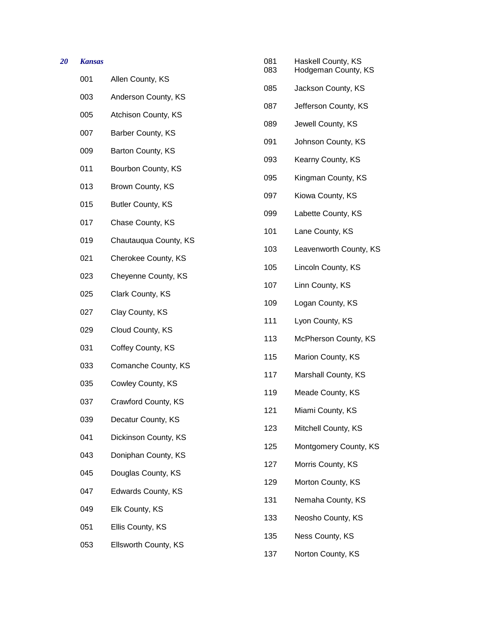| 20 | <b>Kansas</b> |                          | 081<br>083 | Haskell County, KS<br>Hodgeman County, KS |
|----|---------------|--------------------------|------------|-------------------------------------------|
|    | 001           | Allen County, KS         | 085        | Jackson County, KS                        |
|    | 003           | Anderson County, KS      | 087        | Jefferson County, KS                      |
|    | 005           | Atchison County, KS      | 089        | Jewell County, KS                         |
|    | 007           | Barber County, KS        | 091        | Johnson County, KS                        |
|    | 009           | Barton County, KS        | 093        | Kearny County, KS                         |
|    | 011           | Bourbon County, KS       | 095        | Kingman County, KS                        |
|    | 013           | Brown County, KS         | 097        | Kiowa County, KS                          |
|    | 015           | <b>Butler County, KS</b> | 099        | Labette County, KS                        |
|    | 017           | Chase County, KS         | 101        | Lane County, KS                           |
|    | 019           | Chautauqua County, KS    | 103        |                                           |
|    | 021           | Cherokee County, KS      |            | Leavenworth County, KS                    |
|    | 023           | Cheyenne County, KS      | 105        | Lincoln County, KS                        |
|    | 025           | Clark County, KS         | 107        | Linn County, KS                           |
|    | 027           | Clay County, KS          | 109        | Logan County, KS                          |
|    | 029           | Cloud County, KS         | 111        | Lyon County, KS                           |
|    | 031           | Coffey County, KS        | 113        | McPherson County, KS                      |
|    | 033           | Comanche County, KS      | 115        | Marion County, KS                         |
|    | 035           | Cowley County, KS        | 117        | Marshall County, KS                       |
|    | 037           | Crawford County, KS      | 119        | Meade County, KS                          |
|    | 039           | Decatur County, KS       | 121        | Miami County, KS                          |
|    | 041           | Dickinson County, KS     | 123        | Mitchell County, KS                       |
|    | 043           | Doniphan County, KS      | 125        | Montgomery County, KS                     |
|    | 045           | Douglas County, KS       | 127        | Morris County, KS                         |
|    | 047           | Edwards County, KS       | 129        | Morton County, KS                         |
|    | 049           | Elk County, KS           | 131        | Nemaha County, KS                         |
|    | 051           | Ellis County, KS         | 133        | Neosho County, KS                         |
|    |               | Ellsworth County, KS     | 135        | Ness County, KS                           |
|    | 053           |                          | 137        | Norton County, KS                         |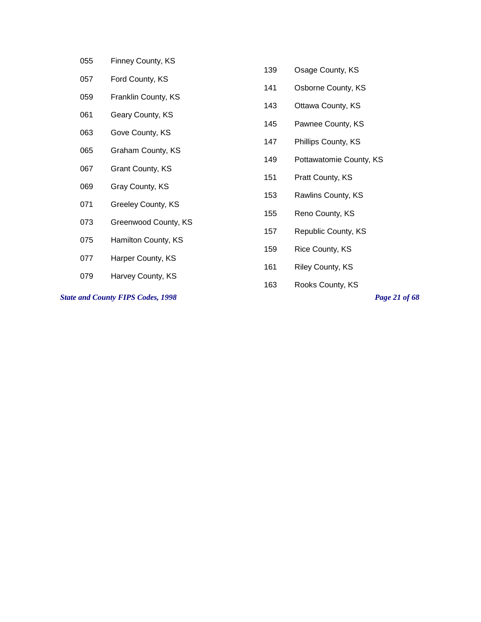- Finney County, KS
- Ford County, KS
- Franklin County, KS
- Geary County, KS
- Gove County, K S
- Graham County, KS
- Grant County, KS
- Gray County, KS
- Greeley County, KS
- Greenwood County, KS
- Hamilton County, KS
- Harper County, KS
- Harvey County, KS

*State and County FIPS Codes, 1998 Page 21 of 68*

- Osage County, KS
- Osborne County, KS
- Ottawa County, KS
- Pawnee County, KS
- Phillips County, KS
- Pottawatomie County, KS
- Pratt County, KS
- Rawlins County, KS
- Reno County, KS
- Republic County, KS
- Rice County, KS
- Riley County, KS
- Rooks County, KS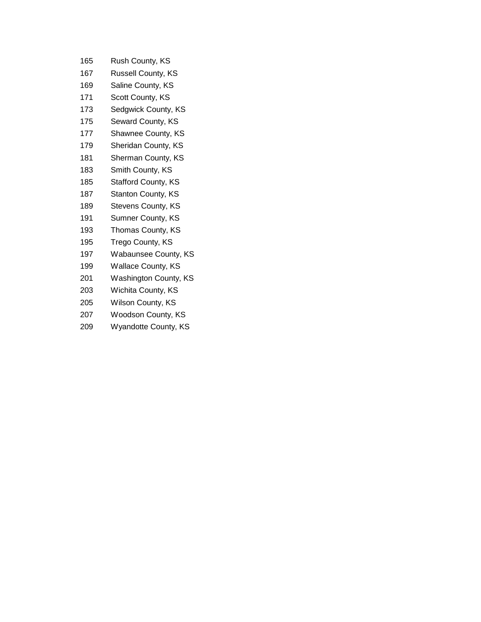- Rush County, KS Russell County, KS Saline County, KS Scott County, KS Sedgwick County, KS Seward County, KS Shawnee County, KS Sheridan County, KS 181 Sherman County, KS Smith County, KS Stafford County, KS Stanton County, KS Stevens County, KS Sumner County, KS Thomas County, KS Trego County, KS Wabaunsee County, KS Wallace County, KS Washington County, KS Wichita County, KS Wilson County, KS Woodson County, KS
- Wyandotte County, KS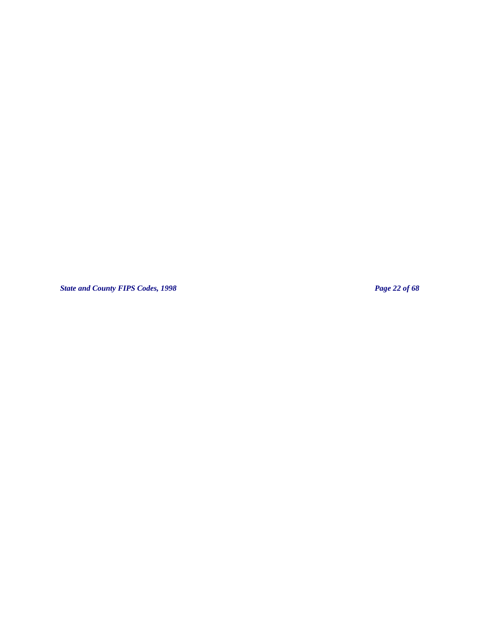*State and County FIPS Codes, 1998 Page 22 of 68*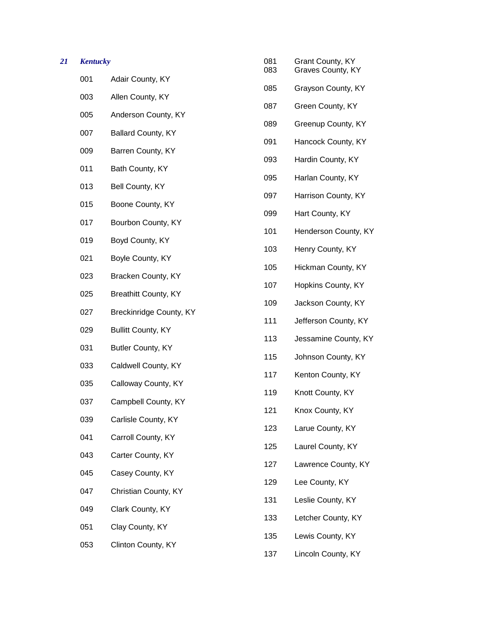| 21 | <b>Kentucky</b> |                                | 081<br>083 | Grant County, KY<br>Graves County, KY |
|----|-----------------|--------------------------------|------------|---------------------------------------|
|    | 001             | Adair County, KY               | 085        |                                       |
|    | 003             | Allen County, KY               |            | Grayson County, KY                    |
|    | 005             | Anderson County, KY            | 087        | Green County, KY                      |
|    | 007             | <b>Ballard County, KY</b>      | 089        | Greenup County, KY                    |
|    | 009             | Barren County, KY              | 091        | Hancock County, KY                    |
|    | 011             | Bath County, KY                | 093        | Hardin County, KY                     |
|    | 013             | Bell County, KY                | 095        | Harlan County, KY                     |
|    | 015             | Boone County, KY               | 097        | Harrison County, KY                   |
|    | 017             | Bourbon County, KY             | 099        | Hart County, KY                       |
|    | 019             | Boyd County, KY                | 101        | Henderson County, KY                  |
|    | 021             | Boyle County, KY               | 103        | Henry County, KY                      |
|    | 023             | Bracken County, KY             | 105        | Hickman County, KY                    |
|    | 025             | <b>Breathitt County, KY</b>    | 107        | Hopkins County, KY                    |
|    | 027             | <b>Breckinridge County, KY</b> | 109        | Jackson County, KY                    |
|    | 029             | <b>Bullitt County, KY</b>      | 111        | Jefferson County, KY                  |
|    | 031             | <b>Butler County, KY</b>       | 113        | Jessamine County, KY                  |
|    |                 |                                | 115        | Johnson County, KY                    |
|    | 033             | Caldwell County, KY            | 117        | Kenton County, KY                     |
|    | 035             | Calloway County, KY            | 119        | Knott County, KY                      |
|    | 037             | Campbell County, KY            | 121        | Knox County, KY                       |
|    | 039             | Carlisle County, KY            | 123        | Larue County, KY                      |
|    | 041             | Carroll County, KY             | 125        | Laurel County, KY                     |
|    | 043             | Carter County, KY              | 127        | Lawrence County, KY                   |
|    | 045             | Casey County, KY               | 129        | Lee County, KY                        |
|    | 047             | Christian County, KY           | 131        | Leslie County, KY                     |
|    | 049             | Clark County, KY               | 133        | Letcher County, KY                    |
|    | 051             | Clay County, KY                | 135        | Lewis County, KY                      |
|    | 053             | Clinton County, KY             | 137        | Lincoln County, KY                    |
|    |                 |                                |            |                                       |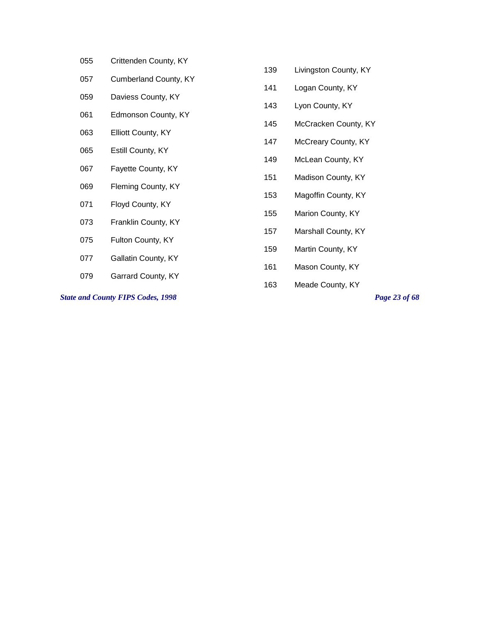- Crittenden County, KY
- Cumberland County, KY
- Daviess County, KY
- Edmonson County, KY
- Elliott County, KY
- Estill County, KY
- Fayette County, KY
- Fleming County, KY
- Floyd County, KY
- Franklin County, KY
- Fulton County, KY
- Gallatin County, KY
- Garrard County, KY

*State and County FIPS Codes, 1998 Page 23 of 68*

- Livingston County, KY
- Logan County, KY
- Lyon County, KY
- McCracken County, KY
- McCreary County, KY
- McLean County, KY
- Madison County, KY
- Magoffin County, KY
- Marion County, KY
- Marshall County, KY
- Martin County, KY
- Mason County, KY
- Meade County, KY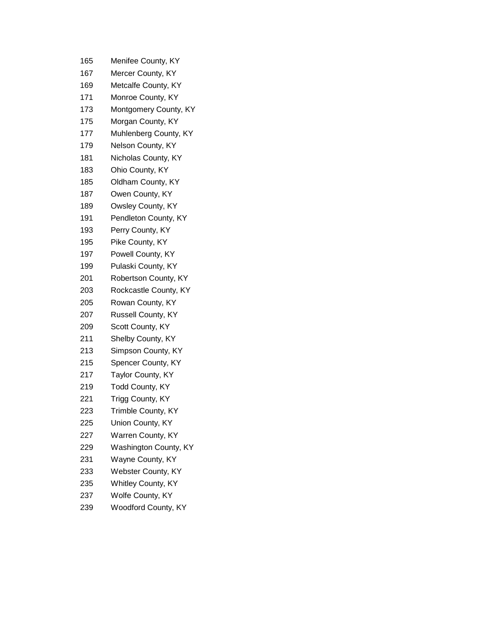| 165 | Menifee County, KY        |
|-----|---------------------------|
| 167 | Mercer County, KY         |
| 169 | Metcalfe County, KY       |
| 171 | Monroe County, KY         |
| 173 | Montgomery County, KY     |
| 175 | Morgan County, KY         |
| 177 | Muhlenberg County, KY     |
| 179 | Nelson County, KY         |
| 181 | Nicholas County, KY       |
| 183 | Ohio County, KY           |
| 185 | Oldham County, KY         |
| 187 | Owen County, KY           |
| 189 | Owsley County, KY         |
| 191 | Pendleton County, KY      |
| 193 | Perry County, KY          |
| 195 | Pike County, KY           |
| 197 | Powell County, KY         |
| 199 | Pulaski County, KY        |
| 201 | Robertson County, KY      |
| 203 | Rockcastle County, KY     |
| 205 | Rowan County, KY          |
| 207 | Russell County, KY        |
| 209 | Scott County, KY          |
| 211 | Shelby County, KY         |
| 213 | Simpson County, KY        |
| 215 | Spencer County, KY        |
| 217 | Taylor County, KY         |
| 219 | <b>Todd County, KY</b>    |
| 221 | Trigg County, KY          |
| 223 | Trimble County, KY        |
| 225 | Union County, KY          |
| 227 | Warren County, KY         |
| 229 | Washington County, KY     |
| 231 | Wayne County, KY          |
| 233 | <b>Webster County, KY</b> |
| 235 | <b>Whitley County, KY</b> |
| 237 | Wolfe County, KY          |
| 239 | Woodford County, KY       |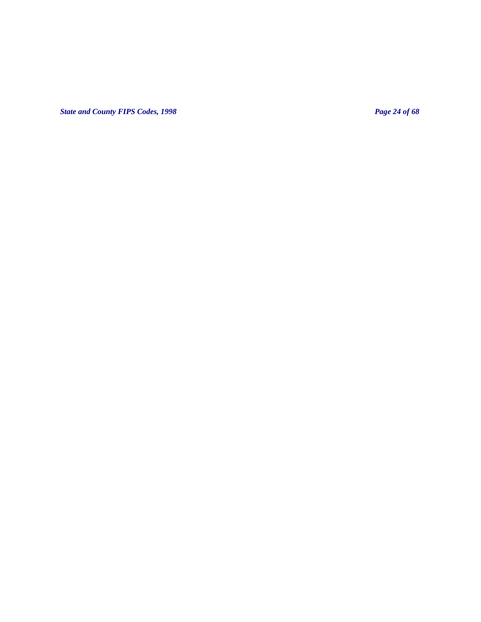*State and County FIPS Codes, 1998 Page 24 of 68*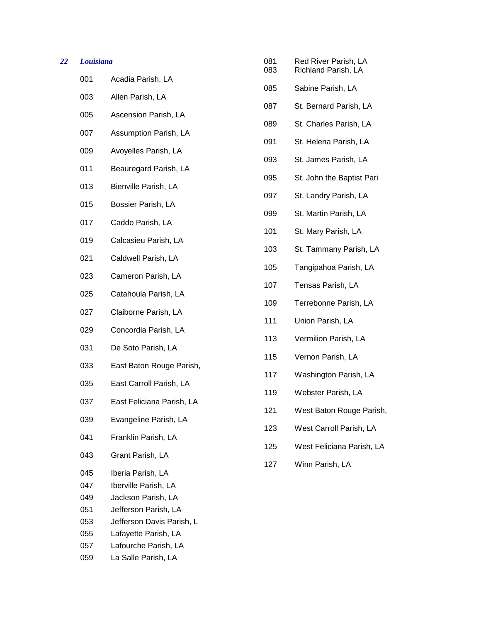| 22 | Louisiana |                           | 081<br>083 | Red River Parish, LA<br>Richland Parish, LA |
|----|-----------|---------------------------|------------|---------------------------------------------|
|    | 001       | Acadia Parish, LA         |            |                                             |
|    | 003       | Allen Parish, LA          | 085        | Sabine Parish, LA                           |
|    | 005       | Ascension Parish, LA      | 087        | St. Bernard Parish, LA                      |
|    | 007       | Assumption Parish, LA     | 089        | St. Charles Parish, LA                      |
|    | 009       | Avoyelles Parish, LA      | 091        | St. Helena Parish, LA                       |
|    | 011       |                           | 093        | St. James Parish, LA                        |
|    |           | Beauregard Parish, LA     | 095        | St. John the Baptist Pari                   |
|    | 013       | Bienville Parish, LA      | 097        | St. Landry Parish, LA                       |
|    | 015       | Bossier Parish, LA        | 099        | St. Martin Parish, LA                       |
|    | 017       | Caddo Parish, LA          | 101        | St. Mary Parish, LA                         |
|    | 019       | Calcasieu Parish, LA      | 103        | St. Tammany Parish, LA                      |
|    | 021       | Caldwell Parish, LA       |            |                                             |
|    | 023       | Cameron Parish, LA        | 105        | Tangipahoa Parish, LA                       |
|    | 025       | Catahoula Parish, LA      | 107        | Tensas Parish, LA                           |
|    | 027       | Claiborne Parish, LA      | 109        | Terrebonne Parish, LA                       |
|    | 029       | Concordia Parish, LA      | 111        | Union Parish, LA                            |
|    |           |                           | 113        | Vermilion Parish, LA                        |
|    | 031       | De Soto Parish, LA        | 115        | Vernon Parish, LA                           |
|    | 033       | East Baton Rouge Parish,  | 117        | Washington Parish, LA                       |
|    | 035       | East Carroll Parish, LA   | 119        | Webster Parish, LA                          |
|    | 037       | East Feliciana Parish, LA | 121        | West Baton Rouge Parish,                    |
|    | 039       | Evangeline Parish, LA     | 123        | West Carroll Parish, LA                     |
|    | 041       | Franklin Parish, LA       |            |                                             |
|    | 043       | Grant Parish, LA          | 125        | West Feliciana Parish, LA                   |
|    | 045       | Iberia Parish, LA         | 127        | Winn Parish, LA                             |
|    | 047       | Iberville Parish, LA      |            |                                             |
|    | 049       | Jackson Parish, LA        |            |                                             |
|    | 051       | Jefferson Parish, LA      |            |                                             |

- Jefferson Davis Parish, L
- Lafayette Parish, LA
- Lafourche Parish, LA
- La Salle Parish, LA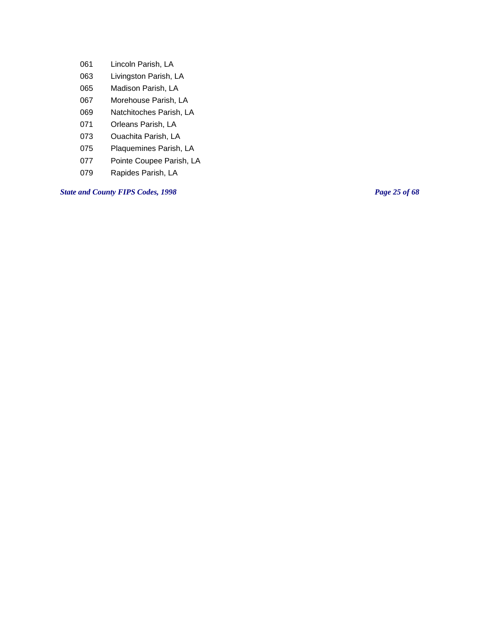- Lincoln Parish, LA
- Livingston Parish, LA
- Madison Parish, LA
- Morehouse Parish, LA
- Natchitoches Parish, LA
- Orleans Parish, LA
- Ouachita Parish, LA
- Plaquemines Parish, LA
- Pointe Coupee Parish, LA
- Rapides Parish, LA

*State and County FIPS Codes, 1998 Page 25 of 68*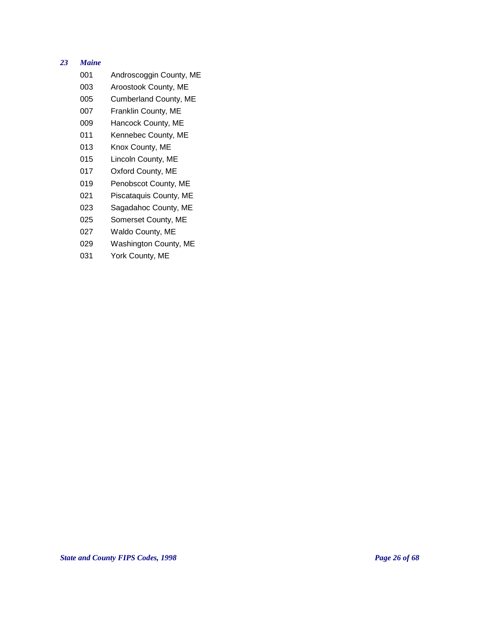## *Maine*

- Androscoggin County, ME
- Aroostook County, ME
- Cumberland County, ME
- Franklin County, ME
- Hancock County, ME
- Kennebec County, ME
- Knox County, ME
- Lincoln County, ME
- Oxford County, ME
- Penobscot County, ME
- Piscataquis County, ME
- Sagadahoc County, ME
- Somerset County, ME
- Waldo County, ME
- Washington County, ME
- York County, ME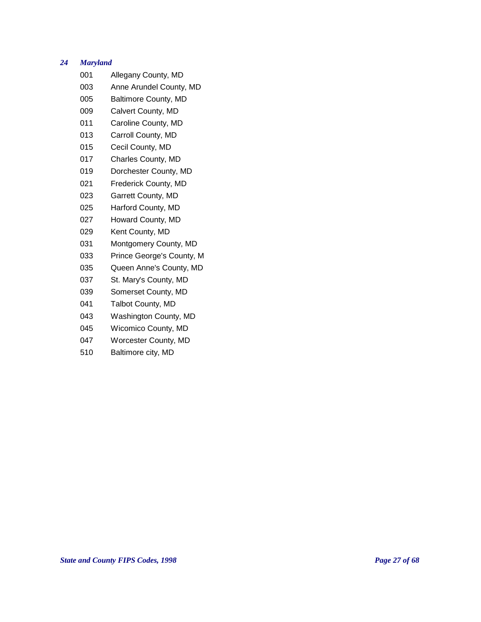### *Maryland*

- Allegany County, MD
- Anne Arundel County, MD
- Baltimore County, MD
- Calvert County, MD
- Caroline County, MD
- Carroll County, MD
- Cecil County, MD
- Charles County, MD
- Dorchester County, MD
- Frederick County, MD
- Garrett County, MD
- Harford County, MD
- Howard County, MD
- Kent County, MD
- Montgomery County, MD
- Prince George's County, M
- Queen Anne's County, MD
- St. Mary's County, MD
- Somerset County, MD
- Talbot County, MD
- Washington County, MD
- Wicomico County, MD
- Worcester County, MD
- Baltimore city, MD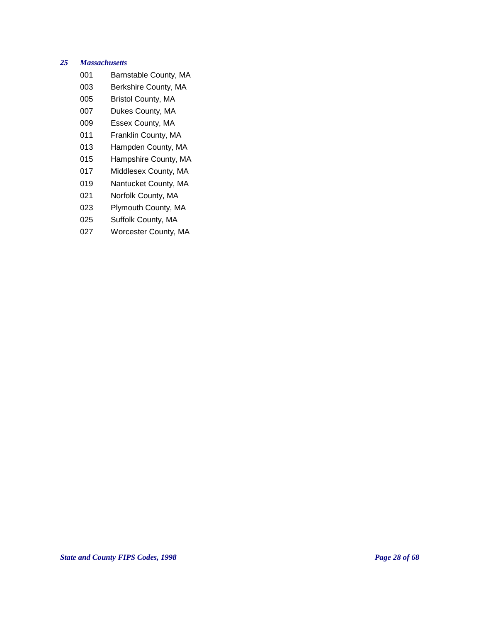#### *Massachusetts*

- Barnstable County, MA
- Berkshire County, MA
- Bristol County, MA
- Dukes County, MA
- Essex County, MA
- Franklin County, MA
- Hampden County, MA
- Hampshire County, MA
- Middlesex County, MA
- Nantucket County, MA
- Norfolk County, MA
- Plymouth County, MA
- Suffolk County, MA
- Worcester County, MA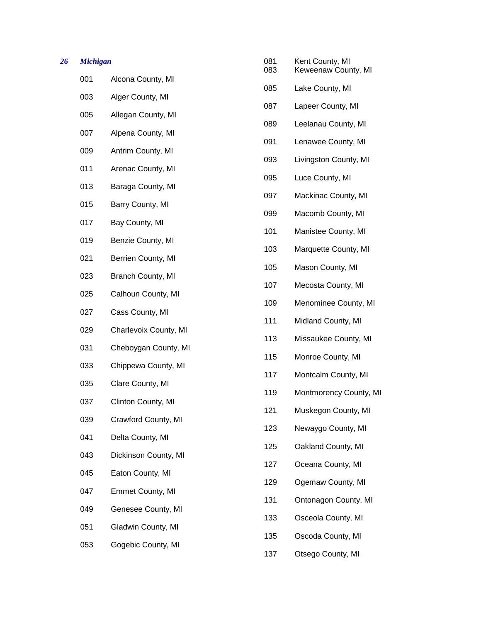| 26 | <b>Michigan</b> |                         | 081<br>083 | Kent County, MI<br>Keweenaw County, MI |
|----|-----------------|-------------------------|------------|----------------------------------------|
|    | 001             | Alcona County, MI       | 085        | Lake County, MI                        |
|    | 003             | Alger County, MI        | 087        | Lapeer County, MI                      |
|    | 005             | Allegan County, MI      | 089        |                                        |
|    | 007             | Alpena County, MI       |            | Leelanau County, MI                    |
|    | 009             | Antrim County, MI       | 091        | Lenawee County, MI                     |
|    | 011             | Arenac County, MI       | 093        | Livingston County, MI                  |
|    | 013             | Baraga County, MI       | 095        | Luce County, MI                        |
|    | 015             | Barry County, MI        | 097        | Mackinac County, MI                    |
|    | 017             | Bay County, MI          | 099        | Macomb County, MI                      |
|    | 019             | Benzie County, MI       | 101        | Manistee County, MI                    |
|    | 021             | Berrien County, MI      | 103        | Marquette County, MI                   |
|    | 023             | Branch County, MI       | 105        | Mason County, MI                       |
|    | 025             | Calhoun County, MI      | 107        | Mecosta County, MI                     |
|    | 027             | Cass County, MI         | 109        | Menominee County, MI                   |
|    |                 |                         | 111        | Midland County, MI                     |
|    | 029             | Charlevoix County, MI   | 113        | Missaukee County, MI                   |
|    | 031             | Cheboygan County, MI    | 115        | Monroe County, MI                      |
|    | 033             | Chippewa County, MI     | 117        | Montcalm County, MI                    |
|    | 035             | Clare County, MI        | 119        | Montmorency County, MI                 |
|    | 037             | Clinton County, MI      | 121        | Muskegon County, MI                    |
|    | 039             | Crawford County, MI     | 123        | Newaygo County, MI                     |
|    | 041             | Delta County, MI        | 125        | Oakland County, MI                     |
|    | 043             | Dickinson County, MI    | 127        | Oceana County, MI                      |
|    | 045             | Eaton County, MI        | 129        | Ogemaw County, MI                      |
|    | 047             | <b>Emmet County, MI</b> | 131        | Ontonagon County, MI                   |
|    | 049             | Genesee County, MI      | 133        | Osceola County, MI                     |
|    | 051             | Gladwin County, MI      | 135        | Oscoda County, MI                      |
|    | 053             | Gogebic County, MI      |            |                                        |

Otsego County, MI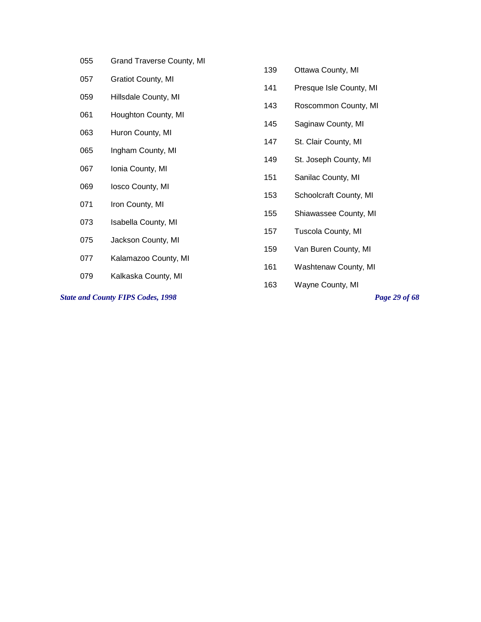- Grand Traverse County, MI
- Gratiot County, MI
- Hillsdale County, MI
- Houghton County, MI
- Huron County, MI
- Ingham County, MI
- Ionia County, MI
- Iosco County, MI
- 071 Iron County, MI
- Isabella County, MI
- Jackson County, MI
- Kalamazoo County, MI
- Kalkaska County, MI

*State and County FIPS Codes, 1998 Page 29 of 68*

- Ottawa County, MI
- Presque Isle County, MI
- Roscommon County, MI
- Saginaw County, MI
- St. Clair County, MI
- St. Joseph County, MI
- Sanilac County, MI
- Schoolcraft County, MI
- Shiawassee County, MI
- Tuscola County, MI
- Van Buren County, MI
- Washtenaw County, MI
- Wayne County, MI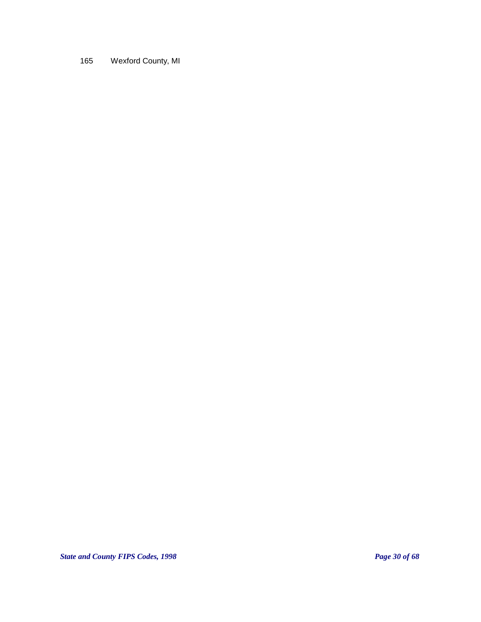# 165 Wexford County, MI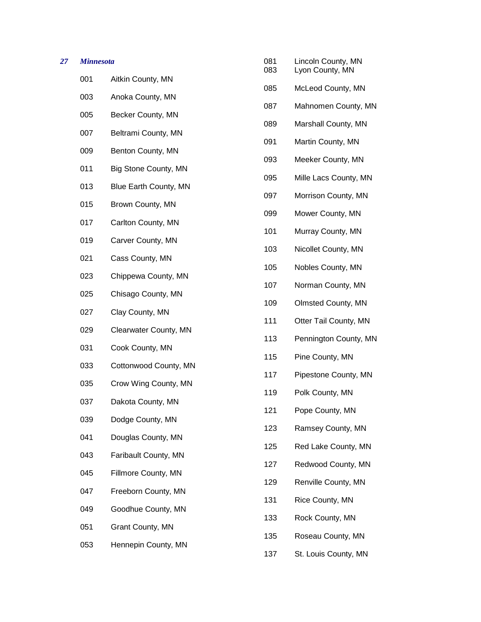# **Minnesota**  Aitkin County, MN Anoka County, MN Becker County, MN Beltrami County, MN Benton County, MN 011 Big Stone County, MN Blue Earth County, MN Brown County, MN Carlton County, MN Carver County, MN Cass County, MN Chippewa County, MN Chisago County, MN Clay County, MN Clearwater County, MN Cook County, MN Cottonwood County, MN Crow Wing County, MN Dakota County, MN Dodge County, MN

- Douglas County, MN
- Faribault County, MN
- Fillmore County, MN
- Freeborn County, MN
- Goodhue County, MN
- Grant County, MN
- Hennepin County, MN

| 081<br>083 | Lincoln County, MN<br>Lyon County, MN |
|------------|---------------------------------------|
| 085        | McLeod County, MN                     |
| 087        | Mahnomen County, MN                   |
| 089        | Marshall County, MN                   |
| 091        | Martin County, MN                     |
| 093        | Meeker County, MN                     |
| 095        | Mille Lacs County, MN                 |
| 097        | Morrison County, MN                   |
| 099        | Mower County, MN                      |
| 101        | Murray County, MN                     |
| 103        | Nicollet County, MN                   |
| 105        | Nobles County, MN                     |
| 107        | Norman County, MN                     |
| 109        | <b>Olmsted County, MN</b>             |
| 111        | Otter Tail County, MN                 |
| 113        | Pennington County, MN                 |
| 115        | Pine County, MN                       |
| 117        | Pipestone County, MN                  |
| 119        | Polk County, MN                       |
| 121        | Pope County, MN                       |
| 123        | Ramsey County, MN                     |
| 125        | Red Lake County, MN                   |
| 127        | Redwood County, MN                    |
| 129        | Renville County, MN                   |

- Rice County, MN
- Rock County, MN
- Roseau County, MN
- St. Louis County, MN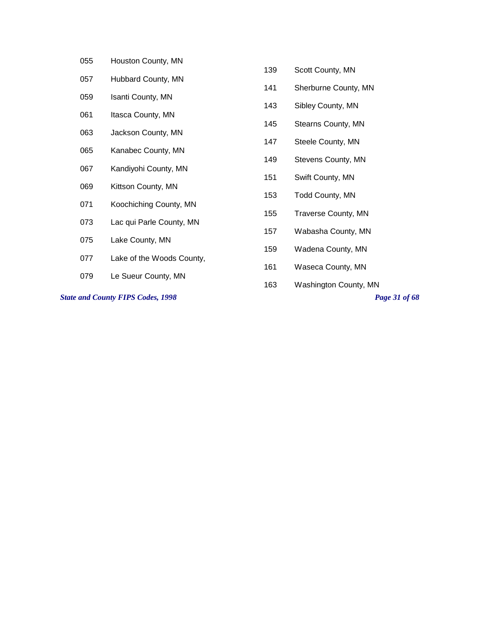- Houston County, MN
- Hubbard County, MN
- Isanti County, MN
- 061 Itasca County, MN
- Jackson County, MN
- Kanabec County, MN
- Kandiyohi County, MN
- Kittson County, MN
- Koochiching County, MN
- Lac qui Parle County, MN
- Lake County, MN
- Lake of the Woods County,
- Le Sueur County, MN

*State and County FIPS Codes, 1998 Page 31 of 68*

- Scott County, MN
- Sherburne County, MN
- Sibley County, MN
- Stearns County, MN
- Steele County, MN
- Stevens County, MN
- Swift County, MN
- Todd County, MN
- Traverse County, MN
- Wabasha County, MN
- Wadena County, MN
- Waseca County, MN
- Washington County, MN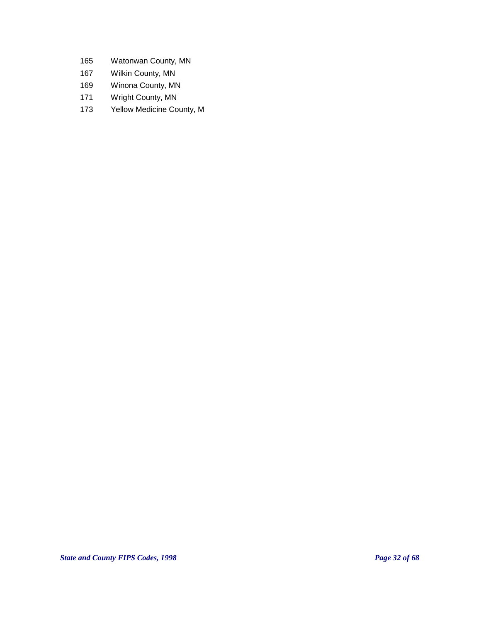- Watonwan County, MN
- Wilkin County, MN
- Winona County, MN
- Wright County, MN
- Yellow Medicine County, M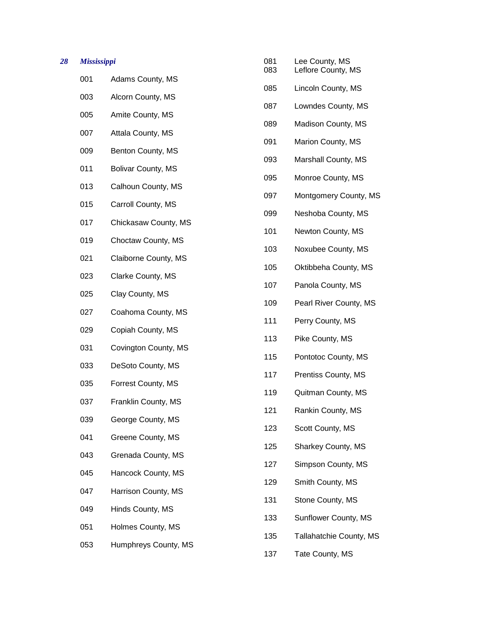#### *Mississippi* 081 Lee County, MS Leflore County, MS Adams County, MS Lincoln County, MS Alcorn County, MS Lowndes County, MS Amite County, MS Madison County, MS Attala County, MS Marion County, MS Benton County, MS Marshall County, MS 011 Bolivar County, MS Monroe County, MS Calhoun County, MS Montgomery County, MS Carroll County, MS Neshoba County, MS Chickasaw County, MS Newton County, MS Choctaw County, MS Noxubee County, MS Claiborne County, MS Oktibbeha County, MS Clarke County, MS Panola County, MS Clay County, MS Pearl River County, MS Coahoma County, MS Perry County, MS Copiah County, MS Pike County, MS Covington County, MS Pontotoc County, MS DeSoto County, MS Prentiss County, MS Forrest County, MS Quitman County, MS Franklin County, MS Rankin County, MS George County, MS Scott County, MS Greene County, MS Sharkey County, MS Grenada County, MS Simpson County, MS Hancock County, MS Smith County, MS Harrison County, MS Stone County, MS Hinds County, MS Sunflower County, MS Holmes County, MS Tallahatchie County, MS

Humphreys County, MS

Tate County, MS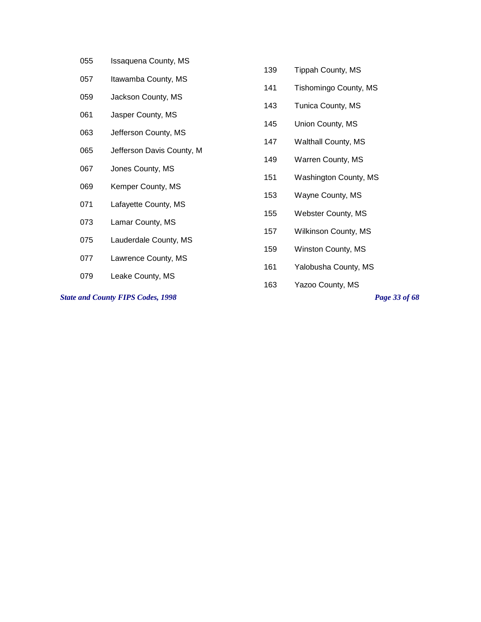- Issaquena County, MS
- 057 Itawamba County, MS
- Jackson County, MS
- Jasper County, MS
- Jefferson County, MS
- Jefferson Davis County, M
- Jones County, MS
- Kemper County, M S
- Lafayette County, MS
- Lamar County, MS
- Lauderdale County, MS
- Lawrence County, MS
- Leake County, MS

*State and County FIPS Codes, 1998 Page 33 of 68*

- Tippah County, MS
- Tishomingo County, MS
- Tunica County, MS
- Union County, MS
- Walthall County, MS
- Warren County, MS
- Washington County, MS
- Wayne County, MS
- Webster County, MS
- Wilkinson County, MS
- Winston County, MS
- Yalobusha County, MS
- Yazoo County, MS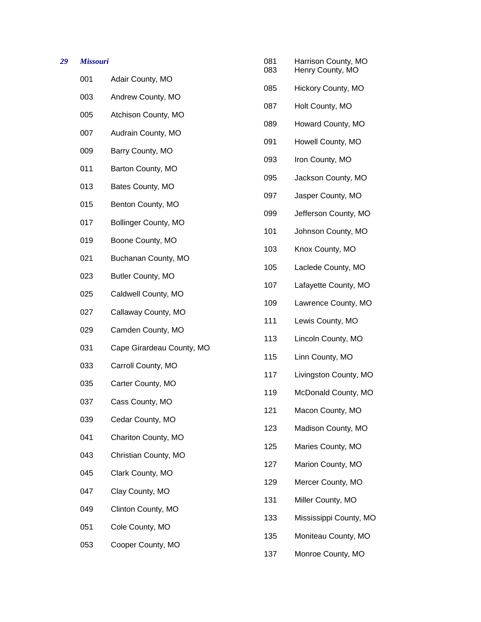| 29 | <b>Missouri</b> |                             | 081<br>Harrison County, MO<br>083<br>Henry County, MO |                                              |
|----|-----------------|-----------------------------|-------------------------------------------------------|----------------------------------------------|
|    | 001             | Adair County, MO            | 085                                                   | Hickory County, MO                           |
|    | 003             | Andrew County, MO           | 087                                                   | Holt County, MO                              |
|    | 005             | Atchison County, MO         | 089                                                   | Howard County, MO                            |
|    | 007             | Audrain County, MO          | 091                                                   | Howell County, MO                            |
|    | 009             | Barry County, MO            | 093                                                   | Iron County, MO                              |
|    | 011             | Barton County, MO           | 095                                                   | Jackson County, MO                           |
|    | 013             | Bates County, MO            | 097                                                   | Jasper County, MO                            |
|    | 015             | Benton County, MO           | 099                                                   | Jefferson County, MO                         |
|    | 017             | <b>Bollinger County, MO</b> | 101                                                   | Johnson County, MO                           |
|    | 019             | Boone County, MO            | 103                                                   | Knox County, MO                              |
|    | 021             | Buchanan County, MO         | 105                                                   | Laclede County, MO                           |
|    | 023             | Butler County, MO           | 107                                                   | Lafayette County, MO                         |
|    | 025             | Caldwell County, MO         | 109                                                   | Lawrence County, MO                          |
|    | 027             | Callaway County, MO         | 111                                                   | Lewis County, MO                             |
|    | 029             | Camden County, MO           | 113                                                   | Lincoln County, MO                           |
|    | 031             | Cape Girardeau County, MO   | 115                                                   | Linn County, MO                              |
|    | 033             | Carroll County, MO          | 117                                                   |                                              |
|    | 035             | Carter County, MO           | 119                                                   | Livingston County, MO<br>McDonald County, MO |
|    | 037             | Cass County, MO             | 121                                                   | Macon County, MO                             |
|    | 039             | Cedar County, MO            |                                                       |                                              |
|    | 041             | Chariton County, MO         | 123<br>125                                            | Madison County, MO<br>Maries County, MO      |
|    | 043             | Christian County, MO        | 127                                                   |                                              |
|    | 045             | Clark County, MO            |                                                       | Marion County, MO                            |
|    | 047             | Clay County, MO             | 129                                                   | Mercer County, MO                            |
|    | 049             | Clinton County, MO          | 131                                                   | Miller County, MO                            |
|    | 051             | Cole County, MO             | 133                                                   | Mississippi County, MO                       |
|    | 053             | Cooper County, MO           | 135                                                   | Moniteau County, MO                          |
|    |                 |                             | 137                                                   | Monroe County, MO                            |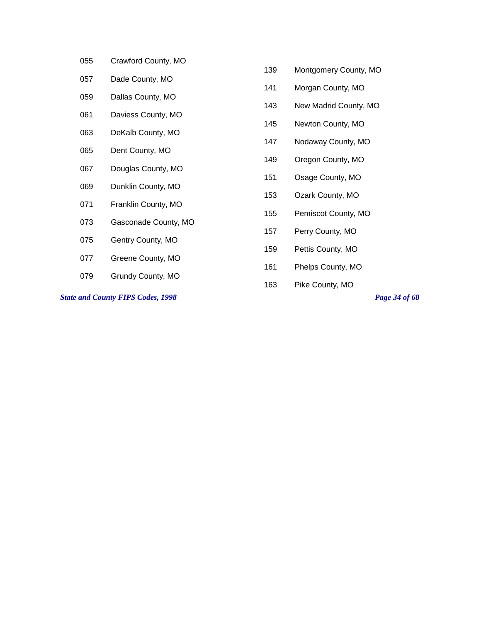- Crawford County, MO
- Dade County, MO
- Dallas County, MO
- Daviess County, MO
- DeKalb County, MO
- Dent County, MO
- Douglas County, MO
- Dunklin County, MO
- Franklin County, MO
- Gasconade County, MO
- Gentry County, MO
- Greene County, MO
- Grundy County, MO

*State and County FIPS Codes, 1998 Page 34 of 68*

- Montgomery County, MO
- Morgan County, MO
- New Madrid County, MO
- Newton County, MO
- Nodaway County, MO
- Oregon County, MO
- Osage County, MO
- Ozark County, MO
- Pemiscot County, MO
- Perry County, MO
- Pettis County, MO
- Phelps County, MO
- Pike County, MO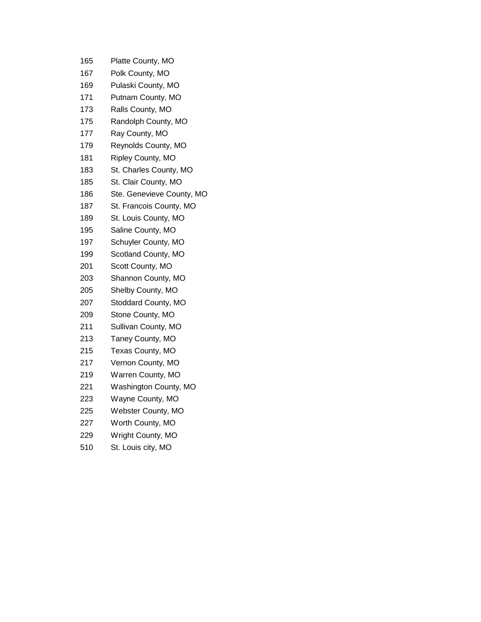| 165 | Platte County, MO         |
|-----|---------------------------|
| 167 | Polk County, MO           |
| 169 | Pulaski County, MO        |
| 171 | Putnam County, MO         |
| 173 | Ralls County, MO          |
| 175 | Randolph County, MO       |
| 177 | Ray County, MO            |
| 179 | Reynolds County, MO       |
| 181 | Ripley County, MO         |
| 183 | St. Charles County, MO    |
| 185 | St. Clair County, MO      |
| 186 | Ste. Genevieve County, MO |
| 187 | St. Francois County, MO   |
| 189 | St. Louis County, MO      |
| 195 | Saline County, MO         |
| 197 | Schuyler County, MO       |
| 199 | Scotland County, MO       |
| 201 | Scott County, MO          |
| 203 | Shannon County, MO        |
| 205 | Shelby County, MO         |
| 207 | Stoddard County, MO       |
| 209 | Stone County, MO          |
| 211 | Sullivan County, MO       |
| 213 | Taney County, MO          |
| 215 | Texas County, MO          |
| 217 | Vernon County, MO         |
| 219 | Warren County, MO         |
| 221 | Washington County, MO     |
| 223 | Wayne County, MO          |
| 225 | Webster County, MO        |
| 227 | Worth County, MO          |
| 229 | Wright County, MO         |
| 510 | St. Louis city, MO        |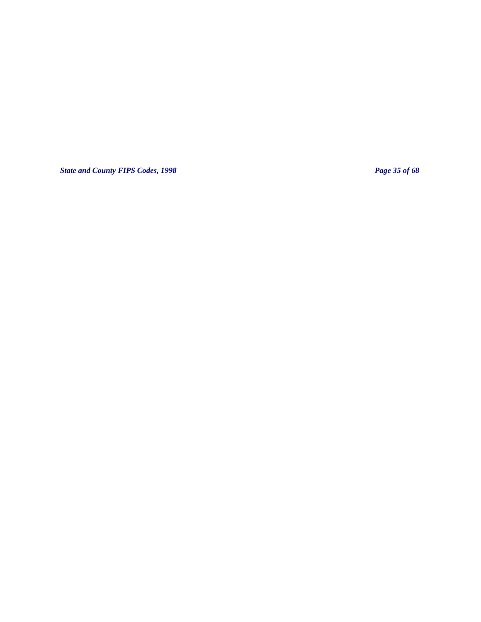*State and County FIPS Codes, 1998 Page 35 of 68*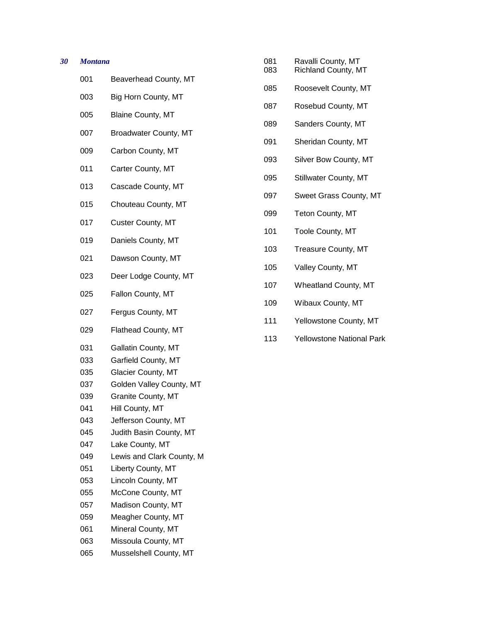- Beaverhead County, MT
- Big Horn County, MT
- Blaine County, MT
- Broadwater County, MT
- Carbon County, MT
- Carter County, MT
- Cascade County, MT
- Chouteau County, MT
- Custer County, MT
- Daniels County, MT
- Dawson County, MT
- Deer Lodge County, MT
- Fallon County, MT
- Fergus County, MT
- Flathead County, MT
- Gallatin County, MT
- Garfield County, MT
- Glacier County, MT
- Golden Valley County, MT
- Granite County, MT
- Hill County, MT
- Jefferson County, MT
- Judith Basin County, MT
- Lake County, MT
- Lewis and Clark County, M
- Liberty County, MT
- Lincoln County, MT
- McCone County, MT
- Madison County, MT
- Meagher County, MT
- Mineral County, MT
- Missoula County, MT
- Musselshell County, MT
- *Montana* 081 Ravalli County, MT
	- Richland County, MT
	- Roosevelt County, MT
	- Rosebud County, MT
	- Sanders County, MT
	- Sheridan County, MT
	- Silver Bow County, MT
	- Stillwater County, MT
	- Sweet Grass County, MT
	- Teton County, MT
	- Toole County, MT
	- Treasure County, MT
	- Valley County, MT
	- Wheatland County, MT
	- Wibaux County, MT
	- Yellowstone County, MT
	- Yellowstone National Park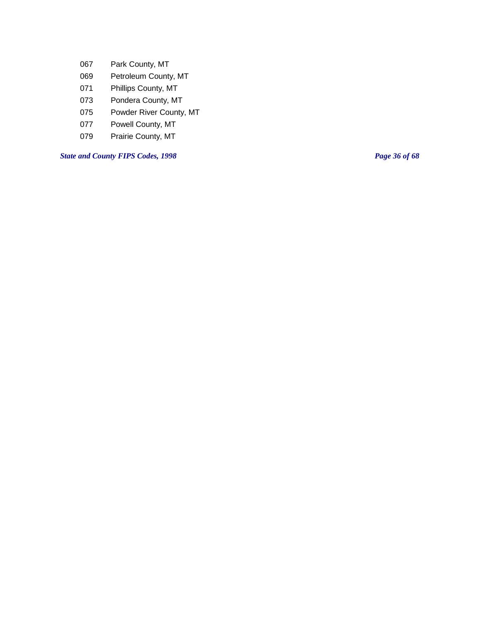- Park County, MT
- Petroleum County, MT
- Phillips County, MT
- Pondera County, MT
- Powder River County, MT
- Powell County, MT
- Prairie County, MT

*State and County FIPS Codes, 1998 Page 36 of 68*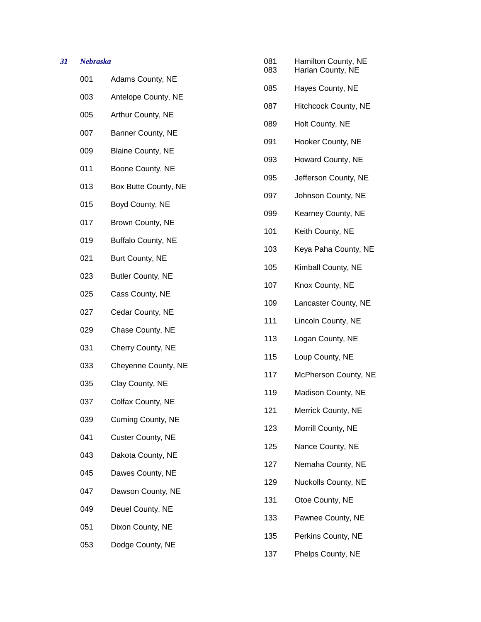| 31 | Nebraska |                           | 081<br>083 | Hamilton County, NE<br>Harlan County, NE |
|----|----------|---------------------------|------------|------------------------------------------|
|    | 001      | Adams County, NE          | 085        | Hayes County, NE                         |
|    | 003      | Antelope County, NE       | 087        | Hitchcock County, NE                     |
|    | 005      | Arthur County, NE         | 089        | Holt County, NE                          |
|    | 007      | Banner County, NE         | 091        | Hooker County, NE                        |
|    | 009      | <b>Blaine County, NE</b>  | 093        | Howard County, NE                        |
|    | 011      | Boone County, NE          |            |                                          |
|    | 013      | Box Butte County, NE      | 095        | Jefferson County, NE                     |
|    | 015      | Boyd County, NE           | 097        | Johnson County, NE                       |
|    | 017      | Brown County, NE          | 099        | Kearney County, NE                       |
|    | 019      | <b>Buffalo County, NE</b> | 101        | Keith County, NE                         |
|    | 021      | Burt County, NE           | 103        | Keya Paha County, NE                     |
|    | 023      | <b>Butler County, NE</b>  | 105        | Kimball County, NE                       |
|    | 025      | Cass County, NE           | 107        | Knox County, NE                          |
|    | 027      | Cedar County, NE          | 109        | Lancaster County, NE                     |
|    | 029      | Chase County, NE          | 111        | Lincoln County, NE                       |
|    | 031      | Cherry County, NE         | 113        | Logan County, NE                         |
|    | 033      | Cheyenne County, NE       | 115        | Loup County, NE                          |
|    | 035      | Clay County, NE           | 117        | McPherson County, NE                     |
|    | 037      | Colfax County, NE         | 119        | Madison County, NE                       |
|    |          |                           | 121        | Merrick County, NE                       |
|    | 039      | Cuming County, NE         | 123        | Morrill County, NE                       |
|    | 041      | Custer County, NE         | 125        | Nance County, NE                         |
|    | 043      | Dakota County, NE         | 127        | Nemaha County, NE                        |
|    | 045      | Dawes County, NE          | 129        | <b>Nuckolls County, NE</b>               |
|    | 047      | Dawson County, NE         | 131        | Otoe County, NE                          |
|    | 049      | Deuel County, NE          | 133        | Pawnee County, NE                        |
|    | 051      | Dixon County, NE          | 135        | Perkins County, NE                       |
|    | 053      | Dodge County, NE          | 137        | Phelps County, NE                        |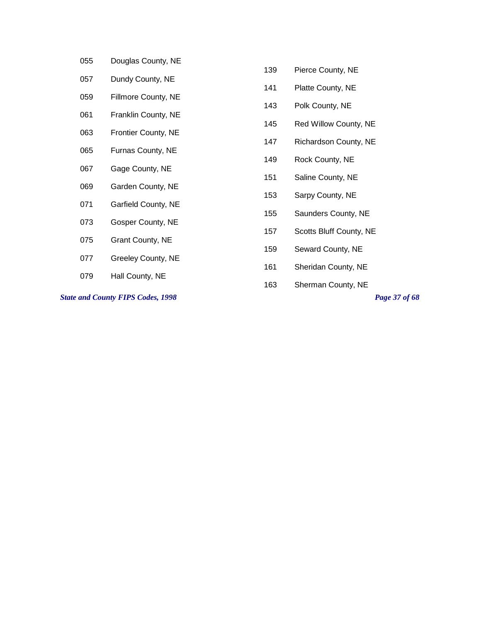- Douglas County, NE
- Dundy County, NE
- Fillmore County, NE
- Franklin County, NE
- Frontier County, NE
- Furnas County, NE
- Gage County, NE
- Garden County, NE
- Garfield County, NE
- Gosper County, NE
- Grant County, NE
- Greeley County, NE
- Hall County, NE

*State and County FIPS Codes, 1998 Page 37 of 68*

- Pierce County, NE
- Platte County, NE
- Polk County, NE
- Red Willow County, NE
- Richardson County, NE
- Rock County, NE
- Saline County, NE
- Sarpy County, NE
- Saunders County, NE
- Scotts Bluff County, NE
- Seward County, NE
- Sheridan County, NE
- Sherman County, NE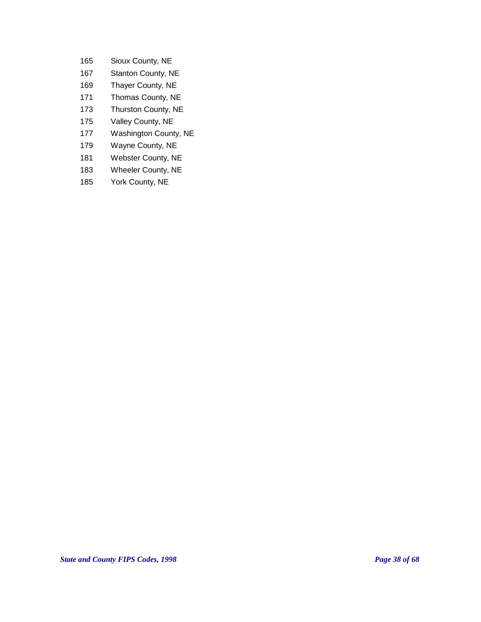- Sioux County, NE
- Stanton County, NE
- Thayer County, NE
- Thomas County, NE
- Thurston County, NE
- Valley County, NE
- Washington County, NE
- Wayne County, NE
- Webster County, NE
- Wheeler County, NE
- York County, NE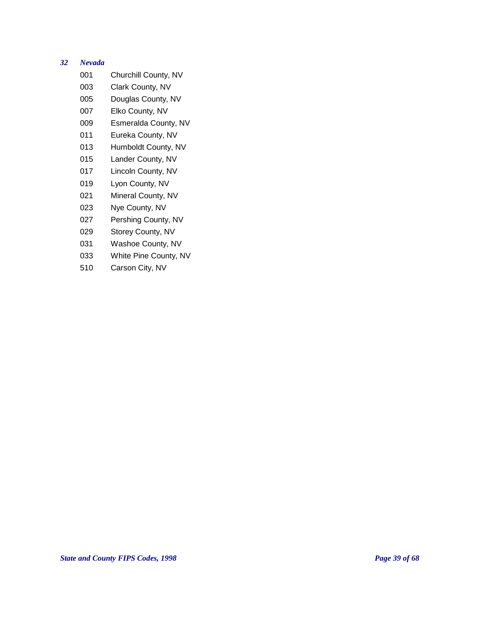#### *Nevada*

- Churchill County, NV
- Clark County, NV
- Douglas County, NV
- Elko County, NV
- Esmeralda County, NV
- Eureka County, NV
- Humboldt County, NV
- Lander County, NV
- Lincoln County, NV
- Lyon County, NV
- Mineral County, NV
- Nye County, NV
- Pershing County, NV
- Storey County, NV
- Washoe County, NV
- White Pine County, NV
- Carson City, NV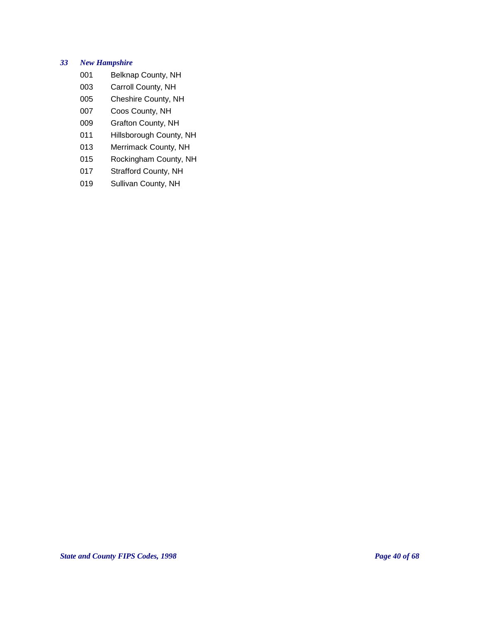# *New Hampshire*

- Belknap County, NH
- Carroll County, NH
- Cheshire County, NH
- Coos County, NH
- Grafton County, NH
- Hillsborough County, NH
- Merrimack County, NH
- Rockingham County, NH
- Strafford County, NH
- Sullivan County, NH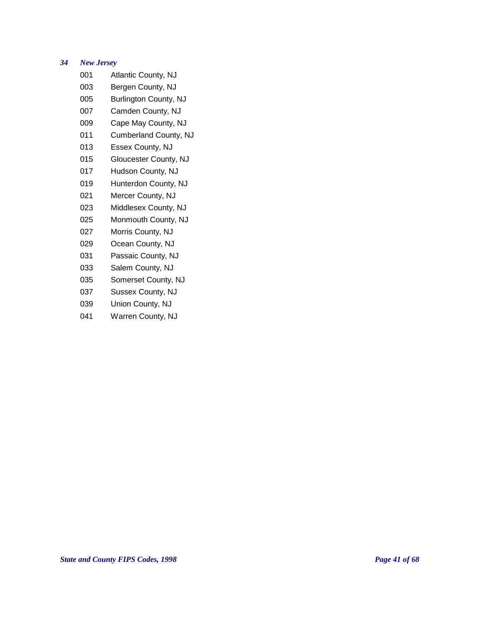#### *New Jersey*

- Atlantic County, NJ
- Bergen County, NJ
- Burlington County, NJ
- Camden County, NJ
- Cape May County, NJ
- Cumberland County, NJ
- Essex County, NJ
- Gloucester County, NJ
- Hudson County, NJ
- Hunterdon County, NJ
- Mercer County, NJ
- Middlesex County, NJ
- Monmouth County, NJ
- Morris County, NJ
- Ocean County, NJ
- Passaic County, NJ
- Salem County, NJ
- Somerset County, NJ
- Sussex County, NJ
- Union County, NJ
- Warren County, NJ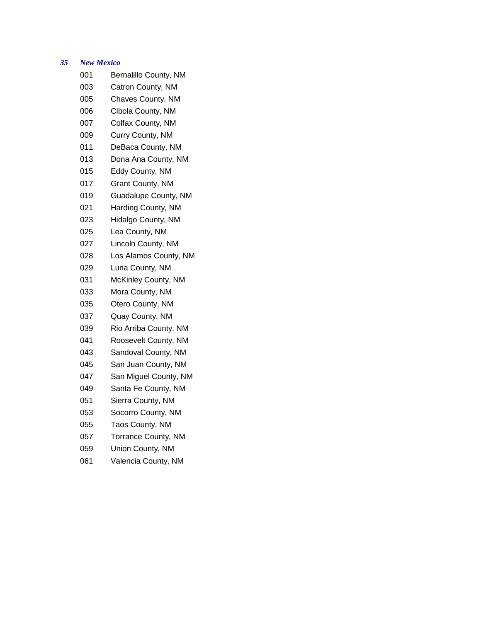| 35 | <b>New Mexico</b> |                         |
|----|-------------------|-------------------------|
|    | 001               | Bernalillo County, NM   |
|    | 003               | Catron County, NM       |
|    | 005               | Chaves County, NM       |
|    | 006               | Cibola County, NM       |
|    | 007               | Colfax County, NM       |
|    | 009               | Curry County, NM        |
|    | 011               | DeBaca County, NM       |
|    | 013               | Dona Ana County, NM     |
|    | 015               | Eddy County, NM         |
|    | 017               | <b>Grant County, NM</b> |
|    | 019               | Guadalupe County, NM    |
|    | 021               | Harding County, NM      |
|    | 023.              | Hidalgo County, NM      |
|    | 025               | Lea County, NM          |
|    | 027               | Lincoln County, NM      |
|    | 028               | Los Alamos County, NM   |
|    | 029               | Luna County, NM         |
|    | 031               | McKinley County, NM     |
|    | 033               | Mora County, NM         |
|    | 035               | Otero County, NM        |
|    | 037               | Quay County, NM         |
|    | 039               | Rio Arriba County, NM   |
|    | 041               | Roosevelt County, NM    |
|    | 043               | Sandoval County, NM     |
|    | 045               | San Juan County, NM     |
|    | 047               | San Miguel County, NM   |
|    | 049               | Santa Fe County, NM     |
|    | 051               | Sierra County, NM       |
|    | 053               | Socorro County, NM      |
|    | 055               | Taos County, NM         |
|    | 057               | Torrance County, NM     |
|    | 059               | Union County, NM        |
|    | 061               | Valencia County, NM     |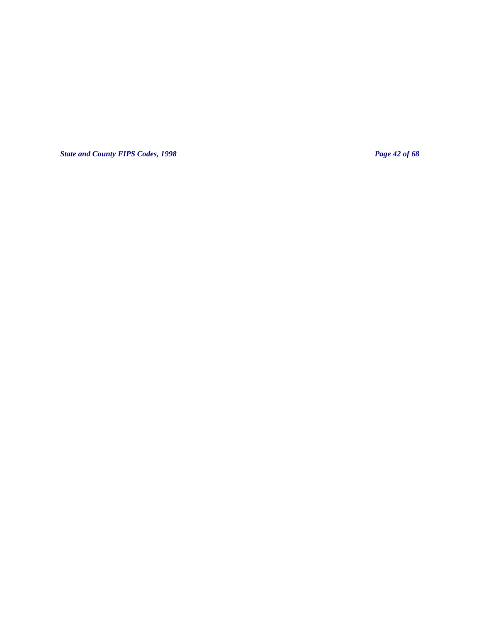*State and County FIPS Codes, 1998 Page 42 of 68*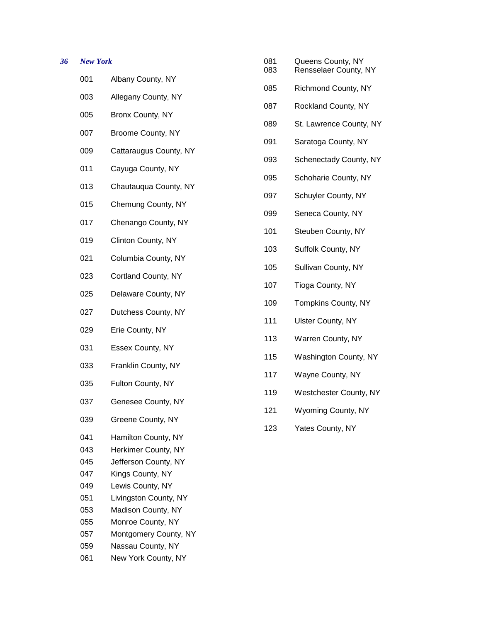| 36 | <b>New York</b> |                                            | 081<br>083 | Queens County, NY<br>Rensselaer County, NY |
|----|-----------------|--------------------------------------------|------------|--------------------------------------------|
|    | 001             | Albany County, NY                          | 085        | Richmond County, NY                        |
|    | 003             | Allegany County, NY                        | 087        | Rockland County, NY                        |
|    | 005             | Bronx County, NY                           | 089        | St. Lawrence County, NY                    |
|    | 007             | <b>Broome County, NY</b>                   | 091        | Saratoga County, NY                        |
|    | 009             | Cattaraugus County, NY                     | 093        | Schenectady County, NY                     |
|    | 011             | Cayuga County, NY                          | 095        | Schoharie County, NY                       |
|    | 013             | Chautauqua County, NY                      | 097        | Schuyler County, NY                        |
|    | 015             | Chemung County, NY                         | 099        | Seneca County, NY                          |
|    | 017             | Chenango County, NY                        | 101        | Steuben County, NY                         |
|    | 019             | Clinton County, NY                         | 103        | Suffolk County, NY                         |
|    | 021<br>023      | Columbia County, NY<br>Cortland County, NY | 105        | Sullivan County, NY                        |
|    | 025             | Delaware County, NY                        | 107        | Tioga County, NY                           |
|    | 027             | Dutchess County, NY                        | 109        | Tompkins County, NY                        |
|    | 029             | Erie County, NY                            | 111        | <b>Ulster County, NY</b>                   |
|    | 031             | Essex County, NY                           | 113        | Warren County, NY                          |
|    | 033             | Franklin County, NY                        | 115        | Washington County, NY                      |
|    | 035             | Fulton County, NY                          | 117        | Wayne County, NY                           |
|    | 037             | Genesee County, NY                         | 119        | Westchester County, NY                     |
|    | 039             | Greene County, NY                          | 121        | Wyoming County, NY                         |
|    | 041             | Hamilton County, NY                        | 123        | Yates County, NY                           |
|    | 043             | Herkimer County, NY                        |            |                                            |
|    | 045             | Jefferson County, NY                       |            |                                            |
|    | 047             | Kings County, NY                           |            |                                            |
|    | 049             | Lewis County, NY                           |            |                                            |
|    | 051             | Livingston County, NY                      |            |                                            |
|    | 053             | Madison County, NY                         |            |                                            |
|    | 055             | Monroe County, NY                          |            |                                            |
|    | 057             | Montgomery County, NY                      |            |                                            |

- Nassau County, NY
- New York County, NY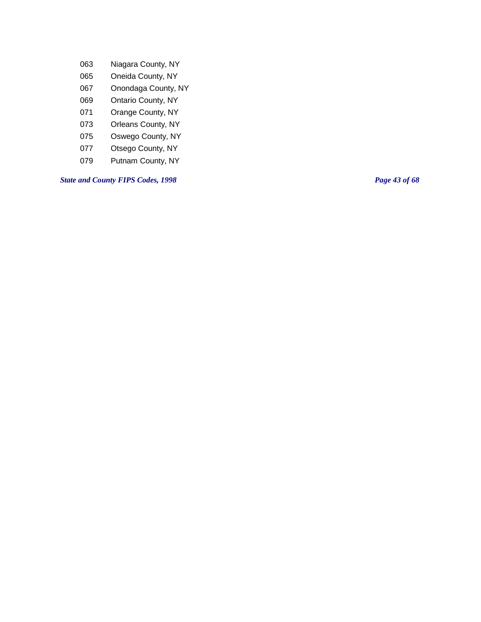- Niagara County, NY
- Oneida County, NY
- Onondaga County, NY
- Ontario County, NY
- Orange County, NY
- Orleans County, NY
- Oswego County, NY
- Otsego County, NY
- Putnam County, NY

*State and County FIPS Codes, 1998 Page 43 of 68*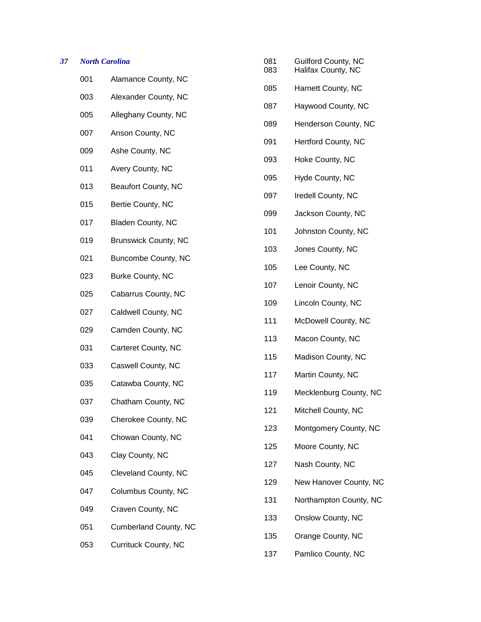- Alamance County, NC
- Alexander County, NC
- Alleghany County, NC
- Anson County, NC
- Ashe County, NC
- Avery County, NC
- Beaufort County, NC
- Bertie County, NC
- Bladen County, NC
- Brunswick County, NC
- Buncombe County, NC
- Burke County, NC
- Cabarrus County, NC
- Caldwell County, NC
- Camden County, NC
- Carteret County, NC
- Caswell County, NC
- Catawba County, NC
- Chatham County, NC
- Cherokee County, NC
- Chowan County, N C
- Clay County, NC
- Cleveland County, NC
- Columbus County, NC
- Craven County, NC
- Cumberland County, NC
- Currituck County, NC
- *North Carolina* 081 Guilford County, NC Halifax County, NC Harnett County, NC Haywood County, NC Henderson County, NC Hertford County, NC Hoke County, NC Hyde County, NC Iredell County, NC Jackson County, NC Johnston County, NC Jones County, NC Lee County, NC Lenoir County, NC Lincoln County, NC McDowell County, NC Macon County, NC Madison County, NC Martin County, NC Mecklenburg County, NC Mitchell County, NC Montgomery County, NC Moore County, NC Nash County, NC New Hanover County, NC Northampton County, NC
	- Onslow County, NC
	- Orange County, NC
	- Pamlico County, NC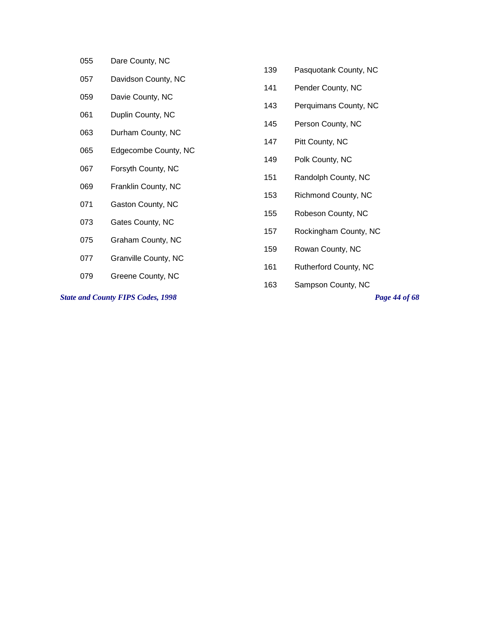| 055 | Dare County, NC |  |
|-----|-----------------|--|
|-----|-----------------|--|

- Davidson County, NC
- Davie County, NC
- Duplin County, NC
- Durham County, NC
- Edgecombe County, NC
- Forsyth County, NC
- Franklin County, NC
- Gaston County, NC
- Gates County, NC
- Graham County, NC
- Granville County, NC
- Greene County, NC

*State and County FIPS Codes, 1998 Page 44 of 68*

- Pasquotank County, NC
- Pender County, NC
- Perquimans County, NC
- Person County, NC
- Pitt County, NC
- Polk County, NC
- Randolph County, NC
- Richmond County, NC
- Robeson County, NC
- Rockingham County, NC
- Rowan County, NC
- Rutherford County, NC
- Sampson County, NC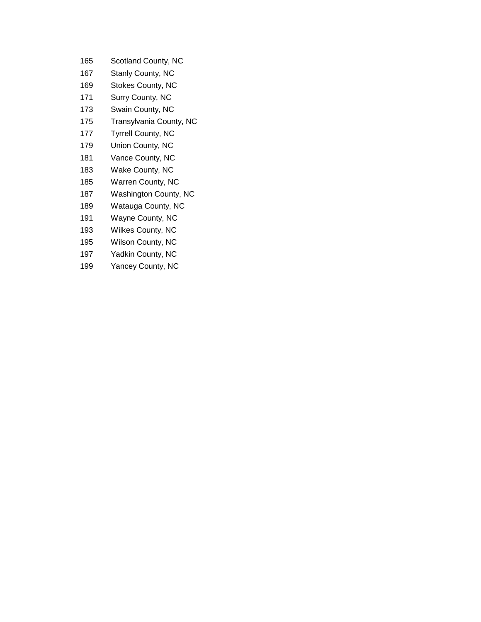- Scotland County, NC
- Stanly County, NC
- Stokes County, NC
- Surry County, NC
- Swain County, NC
- Transylvania County, NC
- Tyrrell County, NC
- Union County, NC
- Vance County, NC
- Wake County, NC
- Warren County, NC
- Washington County, NC
- Watauga County, NC
- Wayne County, NC
- Wilkes County, NC
- Wilson County, NC
- Yadkin County, NC
- Yancey County, NC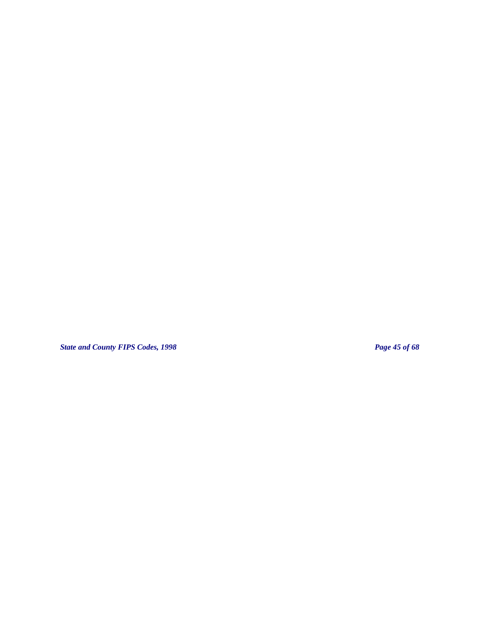*State and County FIPS Codes, 1998 Page 45 of 68*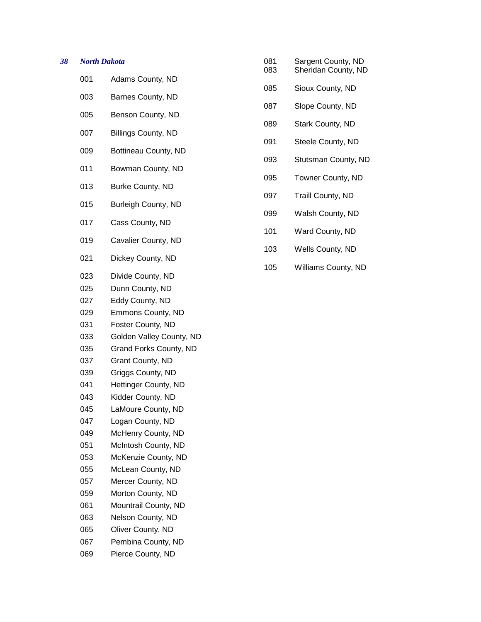- Adams County, ND
- Barnes County, ND
- Benson County, ND
- Billings County, ND
- Bottineau County, ND
- Bowman County, ND
- Burke County, ND
- Burleigh County, ND
- Cass County, ND
- Cavalier County, ND
- Dickey County, ND
- Divide County, ND
- Dunn County, ND
- Eddy County, ND
- Emmons County, ND
- Foster County, ND
- Golden Valley County, ND
- Grand Forks County, ND
- Grant County, ND
- Griggs County, ND
- 041 Hettinger County, ND
- Kidder County, ND
- LaMoure County, ND
- Logan County, ND
- McHenry County, ND
- McIntosh County, ND
- McKenzie County, ND
- McLean County, ND
- Mercer County, ND
- Morton County, ND
- Mountrail County, ND
- Nelson County, ND
- Oliver County, ND
- Pembina County, ND
- Pierce County, ND
- *North Dakota* 081 Sargent County, ND Sheridan County, ND
	- Sioux County, ND
	- Slope County, ND
	- Stark County, ND
	- Steele County, ND
	- Stutsman County, ND
	- Towner County, ND
	- Traill County, ND
	- Walsh County, ND
	- Ward County, ND
	- Wells County, ND
	- Williams County, ND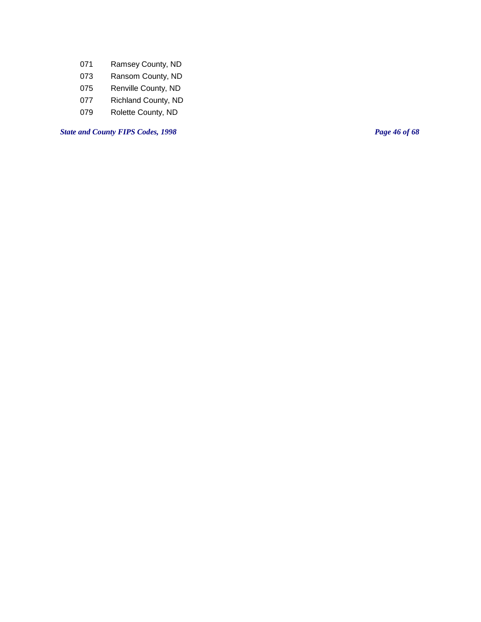- Ramsey County, ND
- Ransom County, ND
- Renville County, ND
- Richland County, ND
- Rolette County, ND

*State and County FIPS Codes, 1998 Page 46 of 68*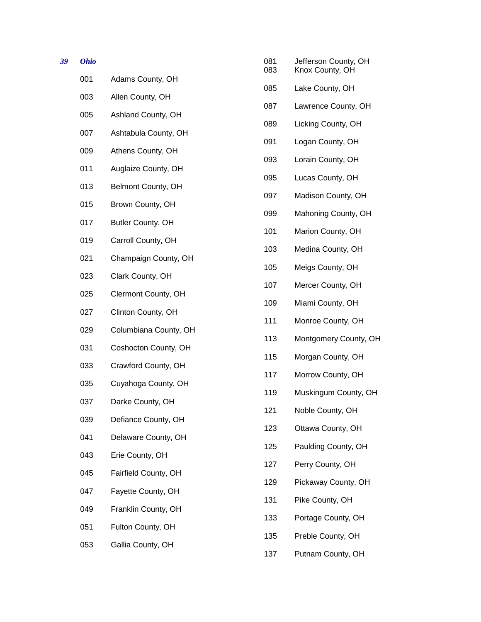| 39 | <b>Ohio</b> |                       | 081<br>083 | Jefferson County, OH<br>Knox County, OH |
|----|-------------|-----------------------|------------|-----------------------------------------|
|    | 001         | Adams County, OH      | 085        | Lake County, OH                         |
|    | 003         | Allen County, OH      | 087        | Lawrence County, OH                     |
|    | 005         | Ashland County, OH    | 089        | Licking County, OH                      |
|    | 007         | Ashtabula County, OH  | 091        | Logan County, OH                        |
|    | 009         | Athens County, OH     | 093        | Lorain County, OH                       |
|    | 011         | Auglaize County, OH   |            |                                         |
|    | 013         | Belmont County, OH    | 095        | Lucas County, OH                        |
|    | 015         | Brown County, OH      | 097        | Madison County, OH                      |
|    | 017         | Butler County, OH     | 099        | Mahoning County, OH                     |
|    | 019         | Carroll County, OH    | 101        | Marion County, OH                       |
|    | 021         | Champaign County, OH  | 103        | Medina County, OH                       |
|    | 023         | Clark County, OH      | 105        | Meigs County, OH                        |
|    | 025         | Clermont County, OH   | 107        | Mercer County, OH                       |
|    | 027         | Clinton County, OH    | 109        | Miami County, OH                        |
|    | 029         | Columbiana County, OH | 111        | Monroe County, OH                       |
|    | 031         | Coshocton County, OH  | 113        | Montgomery County, OH                   |
|    | 033         | Crawford County, OH   | 115        | Morgan County, OH                       |
|    | 035         | Cuyahoga County, OH   | 117        | Morrow County, OH                       |
|    | 037         | Darke County, OH      | 119        | Muskingum County, OH                    |
|    | 039         |                       | 121        | Noble County, OH                        |
|    |             | Defiance County, OH   | 123        | Ottawa County, OH                       |
|    | 041         | Delaware County, OH   | 125        | Paulding County, OH                     |
|    | 043         | Erie County, OH       | 127        | Perry County, OH                        |
|    | 045         | Fairfield County, OH  | 129        | Pickaway County, OH                     |
|    | 047         | Fayette County, OH    | 131        | Pike County, OH                         |
|    | 049         | Franklin County, OH   | 133        | Portage County, OH                      |
|    | 051         | Fulton County, OH     | 135        | Preble County, OH                       |
|    | 053         | Gallia County, OH     | 137        | Putnam County, OH                       |
|    |             |                       |            |                                         |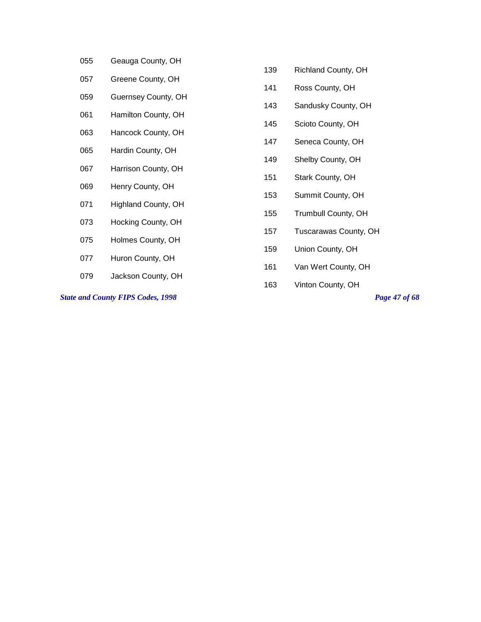- Geauga County, OH
- Greene County, OH
- Guernsey County, OH
- Hamilton County, OH
- Hancock County, OH
- Hardin County, OH
- Harrison County, OH
- Henry County, OH
- Highland County, OH
- Hocking County, OH
- Holmes County, OH
- Huron County, OH
- Jackson County, OH

*State and County FIPS Codes, 1998 Page 47 of 68*

- Richland County, OH
- Ross County, OH
- Sandusky County, OH
- Scioto County, OH
- Seneca County, OH
- Shelby County, OH
- Stark County, OH
- Summit County, OH
- Trumbull County, OH
- Tuscarawas County, OH
- Union County, OH
- Van Wert County, OH
- Vinton County, OH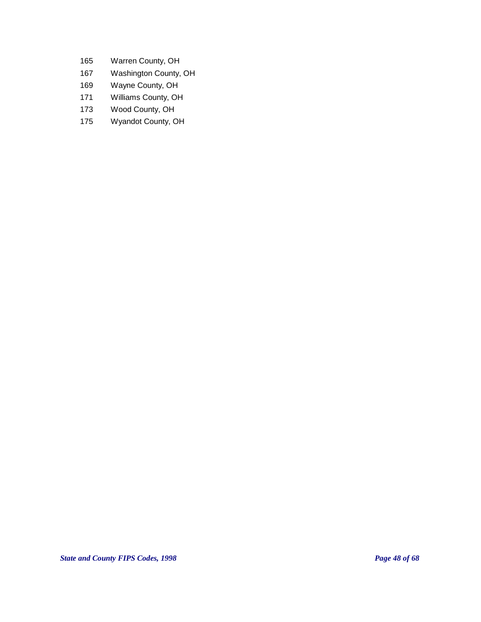- Warren County, OH
- Washington County, OH
- Wayne County, OH
- Williams County, OH
- Wood County, OH
- Wyandot County, OH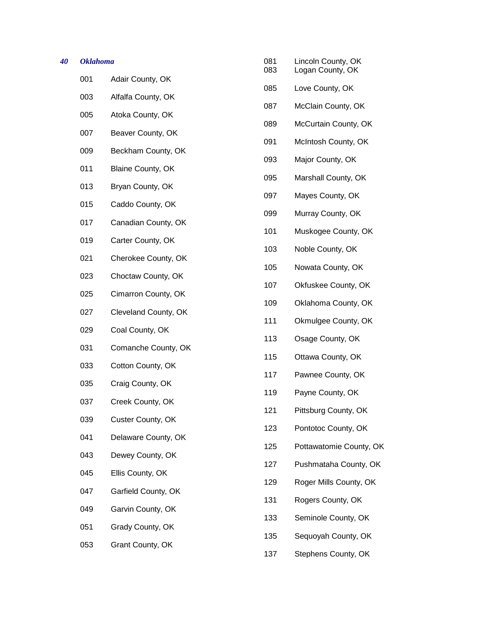### *Oklahoma* 081 Lincoln County, OK Logan County, OK Adair County, OK Love County, OK Alfalfa County, OK McClain County, OK Atoka County, OK McCurtain County, OK Beaver County, OK McIntosh County, OK Beckham County, OK Major County, OK Blaine County, OK Marshall County, OK Bryan County, OK Mayes County, OK Caddo County, OK Murray County, OK Canadian County, OK Muskogee County, OK Carter County, OK Noble County, OK Cherokee County, OK Nowata County, OK Choctaw County, OK Okfuskee County, OK Cimarron County, OK Oklahoma County, OK Cleveland County, OK Okmulgee County, OK Coal County, OK Osage County, OK Comanche County, OK Ottawa County, OK Cotton County, OK Pawnee County, OK Craig County, OK Payne County, OK Creek County, OK Pittsburg County, OK Custer County, OK Pontotoc County, OK Delaware County, OK Pottawatomie County, OK Dewey County, OK Pushmataha County, OK Ellis County, OK Roger Mills County, OK Garfield County, OK Rogers County, OK Garvin County, OK Seminole County, OK Grady County, OK Sequoyah County, OK

Grant County, OK

Stephens County, OK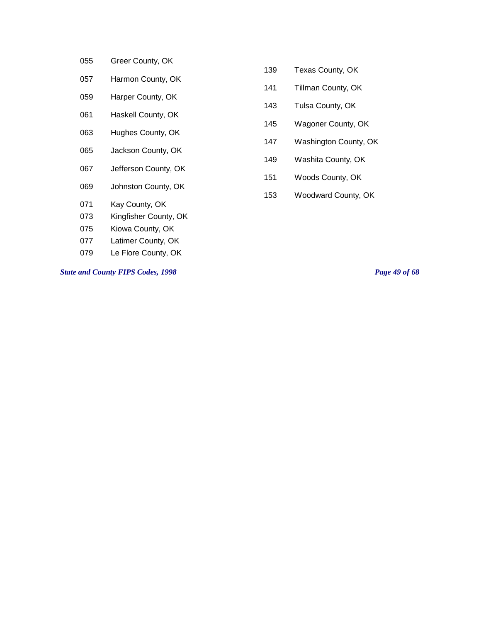- Greer County, OK
- Harmon County, OK
- Harper County, OK
- Haskell County, OK
- Hughes County, OK
- Jackson County, OK
- Jefferson County, OK
- Johnston County, OK
- Kay County, OK
- Kingfisher County, OK
- Kiowa County, OK
- Latimer County, OK
- Le Flore County, OK

*State and County FIPS Codes, 1998 Page 49 of 68*

- Texas County, OK
- Tillman County, OK
- Tulsa County, OK
- Wagoner County, OK
- Washington County, OK
- Washita County, OK
- Woods County, OK
- Woodward County, OK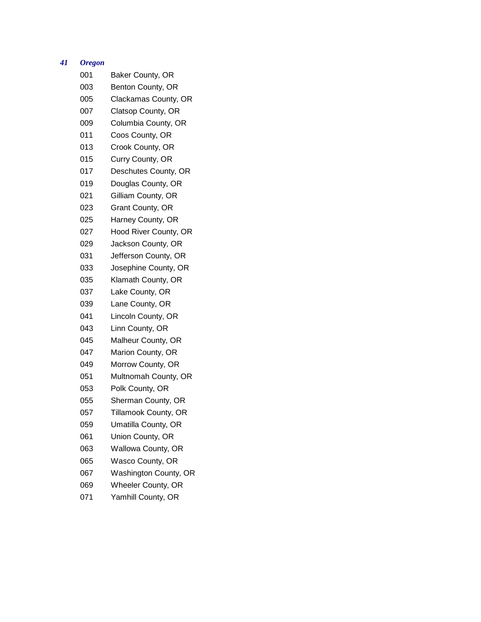| 41 | <b>Oregon</b> |                             |
|----|---------------|-----------------------------|
|    | 001           | <b>Baker County, OR</b>     |
|    | 003           | Benton County, OR           |
|    | 005           | Clackamas County, OR        |
|    | 007           | Clatsop County, OR          |
|    | 009           | Columbia County, OR         |
|    | 011           | Coos County, OR             |
|    | 013           | Crook County, OR            |
|    | 015           | Curry County, OR            |
|    | 017           | Deschutes County, OR        |
|    | 019           | Douglas County, OR          |
|    | 021           | Gilliam County, OR          |
|    | 023           | <b>Grant County, OR</b>     |
|    | 025           | Harney County, OR           |
|    | 027           | Hood River County, OR       |
|    | 029           | Jackson County, OR          |
|    | 031           | Jefferson County, OR        |
|    | 033           | Josephine County, OR        |
|    | 035           | Klamath County, OR          |
|    | 037           | Lake County, OR             |
|    | 039           | Lane County, OR             |
|    | 041           | Lincoln County, OR          |
|    | 043           | Linn County, OR             |
|    | 045           | Malheur County, OR          |
|    | 047           | Marion County, OR           |
|    | 049           | Morrow County, OR           |
|    | 051           | Multnomah County, OR        |
|    | 053           | Polk County, OR             |
|    | 055           | Sherman County, OR          |
|    | 057           | <b>Tillamook County, OR</b> |
|    | 059           | Umatilla County, OR         |
|    | 061           | Union County, OR            |
|    | 063           | Wallowa County, OR          |
|    | 065           | Wasco County, OR            |
|    | 067           | Washington County, OR       |
|    | 069           | <b>Wheeler County, OR</b>   |
|    | 071           | Yamhill County, OR          |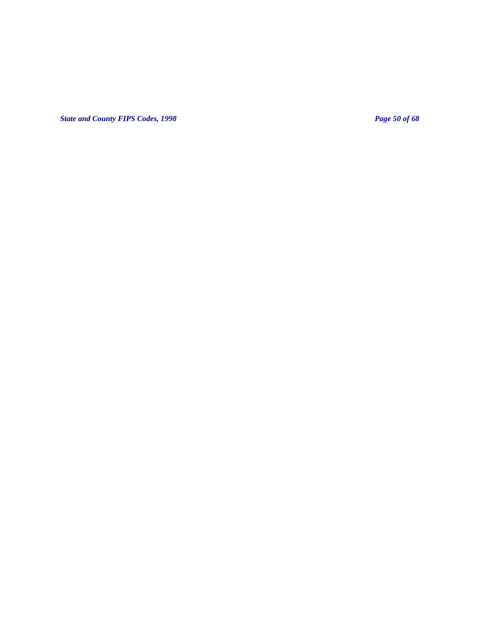*State and County FIPS Codes, 1998 Page 50 of 68*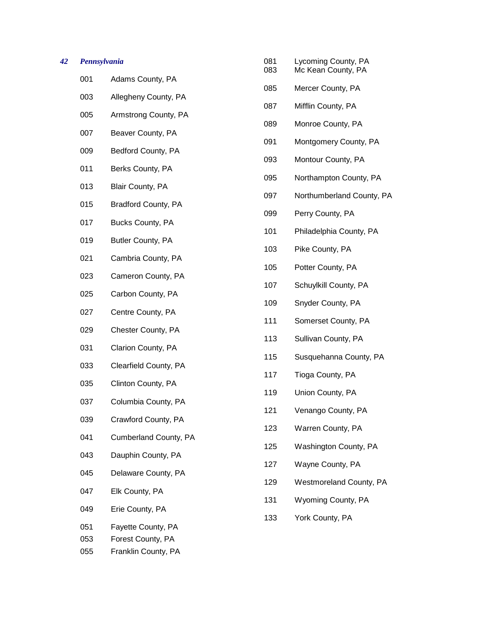# *Pennsylvania* 081 Lycoming County, PA

- Adams County, PA Allegheny County, PA
- Armstrong County, PA
- Beaver County, PA
- Bedford County, PA
- Berks County, PA
- Blair County, PA
- Bradford County, PA
- Bucks County, PA
- Butler County, PA
- Cambria County, PA
- Cameron County, PA
- Carbon County, PA
- Centre County, PA
- Chester County, PA
- Clarion County, PA
- Clearfield County, PA
- Clinton County, PA
- Columbia County, PA
- Crawford County, PA
- Cumberland County, PA
- Dauphin County, PA
- Delaware County, PA
- Elk County, PA
- Erie County, PA
- Fayette County, PA
- Forest County, PA
- Franklin County, PA

| UO I<br>083 | Lycoming County, F<br>۰,<br>۰<br>Mc Kean County, PA |
|-------------|-----------------------------------------------------|
| 085         | Mercer County, PA                                   |
| 087         | Mifflin County, PA                                  |
| 089         | Monroe County, PA                                   |
| 091         | Montgomery County, PA                               |
| 093         | Montour County, PA                                  |
| 095         | Northampton County, PA                              |
| 097         | Northumberland County, PA                           |
| 099         | Perry County, PA                                    |
| 101         | Philadelphia County, PA                             |
| 103         | Pike County, PA                                     |
| 105         | Potter County, PA                                   |
| 107         | Schuylkill County, PA                               |
| 109         | Snyder County, PA                                   |
| 111         | Somerset County, PA                                 |
| 113         | Sullivan County, PA                                 |
| 115         | Susquehanna County, PA                              |
| 117         | Tioga County, PA                                    |
| 119         | Union County, PA                                    |
| 121         | Venango County, PA                                  |
| 123         | Warren County, PA                                   |
| 125         | Washington County, PA                               |
| 127         | Wayne County, PA                                    |
| 129         | Westmoreland County, PA                             |
| 131         | Wyoming County, PA                                  |
| 133         | York County, PA                                     |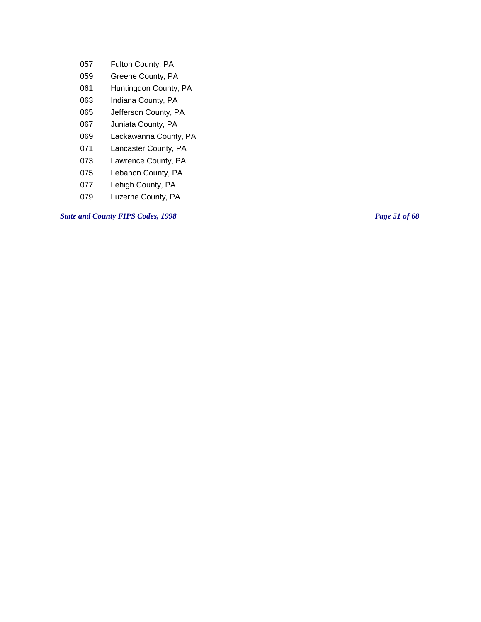- Fulton County, PA
- Greene County, PA
- 061 Huntingdon County, PA
- Indiana County, PA
- Jefferson County, PA
- Juniata County, PA
- Lackawanna County, PA
- Lancaster County, PA
- Lawrence County, PA
- Lebanon County, PA
- Lehigh County, PA
- Luzerne County, PA

*State and County FIPS Codes, 1998 Page 51 of 68*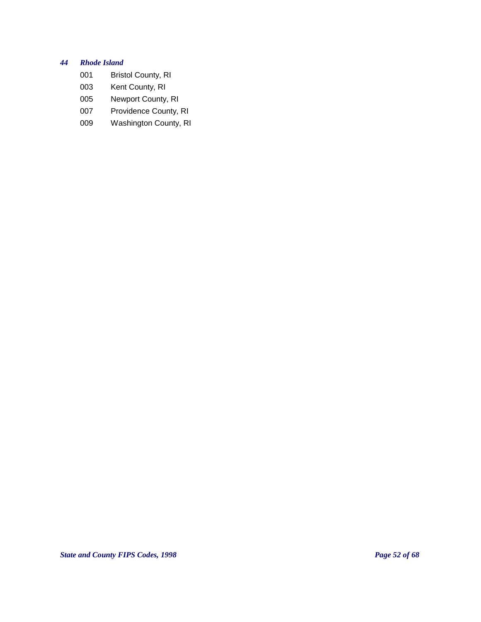# *44 Rhode Island*

- 001 Bristol County, RI
- 003 Kent County, RI
- 005 Newport County, RI
- 007 Providence County, RI
- 009 Washington County, RI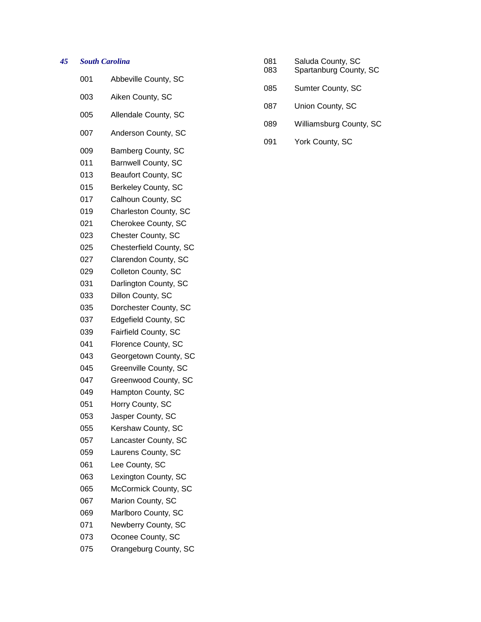- Abbeville County, SC
- Aiken County, SC
- Allendale County, SC
- Anderson County, SC
- Bamberg County, SC
- 011 Barnwell County, SC
- Beaufort County, SC
- 015 Berkeley County, SC
- 017 Calhoun County, SC
- 019 Charleston County, SC
- Cherokee County, SC
- Chester County, SC
- Chesterfield County, SC
- Clarendon County, SC
- Colleton County, SC
- Darlington County, SC
- Dillon County, SC
- Dorchester County, SC
- Edgefield County, SC
- Fairfield County, SC
- Florence County, SC
- Georgetown County, SC
- Greenville County, SC
- Greenwood County, SC
- Hampton County, SC
- Horry County, SC
- Jasper County, SC
- Kershaw County, SC
- Lancaster County, SC
- Laurens County, SC
- 061 Lee County, SC
- Lexington County, SC
- McCormick County, SC
- Marion County, SC
- Marlboro County, SC
- Newberry County, SC
- Oconee County, SC
- Orangeburg County, SC
- *South Carolina* 081 Saluda County, SC
	- Spartanburg County, SC
	- Sumter County, SC
	- Union County, SC
	- Williamsburg County, SC
	- York County, SC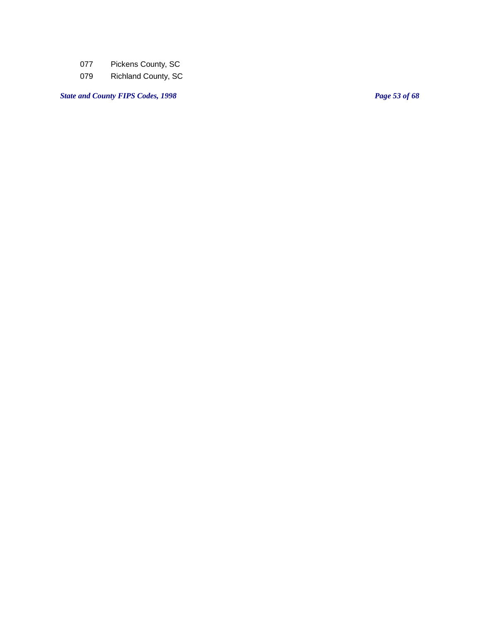- Pickens County, SC
- Richland County, SC

*State and County FIPS Codes, 1998 Page 53 of 68*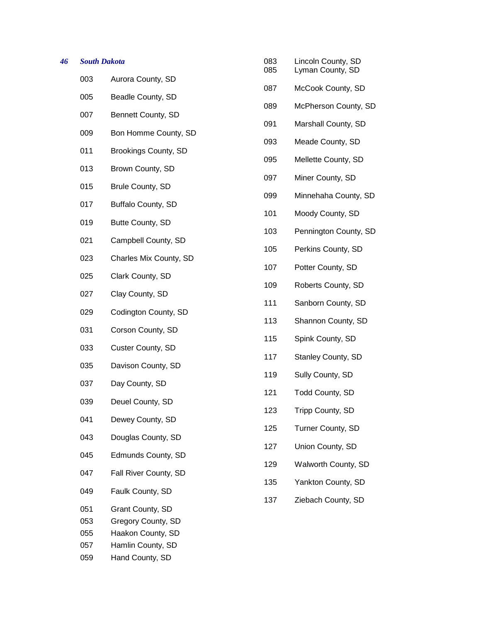| 46 | <b>South Dakota</b> |                             | 083<br>085 | Lincoln County, SD<br>Lyman County, SD |
|----|---------------------|-----------------------------|------------|----------------------------------------|
|    | 003                 | Aurora County, SD           | 087        | McCook County, SD                      |
|    | 005                 | Beadle County, SD           |            |                                        |
|    | 007                 | Bennett County, SD          | 089        | McPherson County, SD                   |
|    | 009                 | Bon Homme County, SD        | 091        | Marshall County, SD                    |
|    | 011                 | <b>Brookings County, SD</b> | 093        | Meade County, SD                       |
|    | 013                 | Brown County, SD            | 095        | Mellette County, SD                    |
|    | 015                 | <b>Brule County, SD</b>     | 097        | Miner County, SD                       |
|    | 017                 | <b>Buffalo County, SD</b>   | 099        | Minnehaha County, SD                   |
|    | 019                 | Butte County, SD            | 101        | Moody County, SD                       |
|    | 021                 | Campbell County, SD         | 103        | Pennington County, SD                  |
|    | 023                 | Charles Mix County, SD      | 105        | Perkins County, SD                     |
|    | 025                 | Clark County, SD            | 107        | Potter County, SD                      |
|    |                     |                             | 109        | Roberts County, SD                     |
|    | 027                 | Clay County, SD             | 111        | Sanborn County, SD                     |
|    | 029                 | Codington County, SD        | 113        | Shannon County, SD                     |
|    | 031                 | Corson County, SD           | 115        | Spink County, SD                       |
|    | 033                 | <b>Custer County, SD</b>    | 117        | <b>Stanley County, SD</b>              |
|    | 035                 | Davison County, SD          | 119        | Sully County, SD                       |
|    | 037                 | Day County, SD              | 121        | Todd County, SD                        |
|    | 039                 | Deuel County, SD            | 123        | Tripp County, SD                       |
|    | 041                 | Dewey County, SD            | 125        | Turner County, SD                      |
|    | 043                 | Douglas County, SD          | 127        | Union County, SD                       |
|    | 045                 | Edmunds County, SD          | 129        | Walworth County, SD                    |
|    | 047                 | Fall River County, SD       |            |                                        |
|    | 049                 | Faulk County, SD            | 135        | Yankton County, SD                     |
|    | 051                 | Grant County, SD            | 137        | Ziebach County, SD                     |
|    | 053                 | Gregory County, SD          |            |                                        |
|    | 055                 | Haakon County, SD           |            |                                        |
|    | 057                 | Hamlin County, SD           |            |                                        |
|    | 059                 | Hand County, SD             |            |                                        |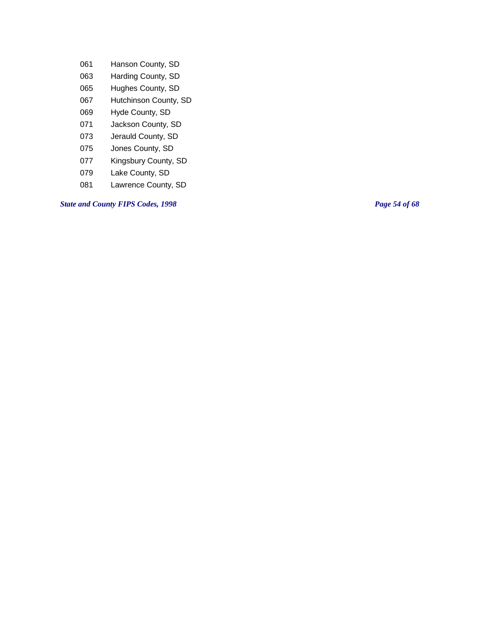- Harding County, SD
- Hughes County, SD
- Hutchinson County, SD
- Hyde County, SD
- Jackson County, SD
- Jerauld County, SD
- Jones County, SD
- Kingsbury County, SD
- Lake County, SD
- 081 Lawrence County, SD

*State and County FIPS Codes, 1998 Page 54 of 68*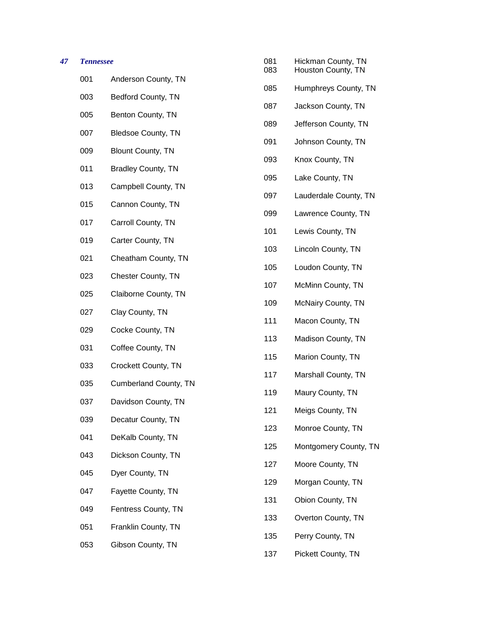- Anderson County, TN
- Bedford County, TN
- Benton County, TN
- Bledsoe County, TN
- Blount County, TN
- 011 Bradley County, TN
- Campbell County, TN
- Cannon County, TN
- Carroll County, TN
- Carter County, TN
- Cheatham County, TN
- Chester County, TN
- Claiborne County, TN
- Clay County, TN
- Cocke County, TN
- Coffee County, TN
- Crockett County, TN
- Cumberland County, TN
- Davidson County, TN
- Decatur County, TN
- DeKalb County, TN
- Dickson County, TN
- Dyer County, TN
- Fayette County, TN
- Fentress County, TN
- Franklin County, TN
- Gibson County, TN
- *Tennessee* 081 Hickman County, TN Houston County, TN Humphreys County, TN Jackson County, TN Jefferson County, TN Johnson County, TN Knox County, TN Lake County, TN Lauderdale County, TN Lawrence County, TN Lewis County, TN Lincoln County, TN Loudon County, TN McMinn County, TN McNairy County, TN Macon County, TN Madison County, TN Marion County, TN Marshall County, TN Maury County, TN Meigs County, TN Monroe County, TN Montgomery County, TN Moore County, TN Morgan County, TN Obion County, TN
	- Overton County, TN
	- Perry County, TN
	- Pickett County, TN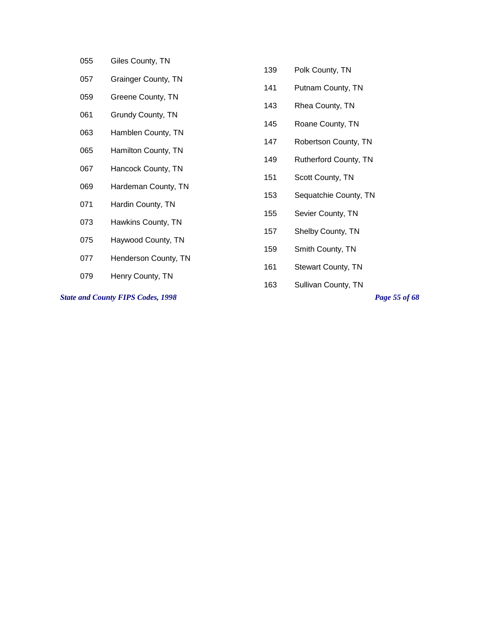- Giles County, TN
- Grainger County, TN
- Greene County, TN
- Grundy County, TN
- Hamblen County, TN
- Hamilton County, TN
- Hancock County, TN
- Hardeman County, TN
- Hardin County, TN
- Hawkins County, TN
- Haywood County, TN
- Henderson County, TN
- Henry County, TN

*State and County FIPS Codes, 1998 Page 55 of 68*

- Polk County, TN
- 141 Putnam County, TN
- Rhea County, TN
- Roane County, TN
- Robertson County, TN
- Rutherford County, TN
- Scott County, TN
- Sequatchie County, TN
- Sevier County, TN
- Shelby County, TN
- Smith County, TN
- Stewart County, TN
- Sullivan County, TN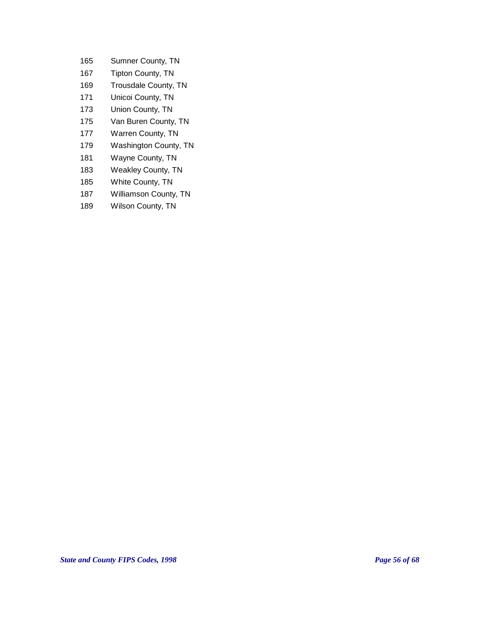| 165 | Sumner County, TN |  |
|-----|-------------------|--|
|     |                   |  |

- Tipton County, TN
- Trousdale County, TN
- Unicoi County, TN
- Union County, TN
- Van Buren County, TN
- Warren County, TN
- Washington County, TN
- Wayne County, TN
- Weakley County, TN
- White County, TN
- Williamson County, TN
- Wilson County, TN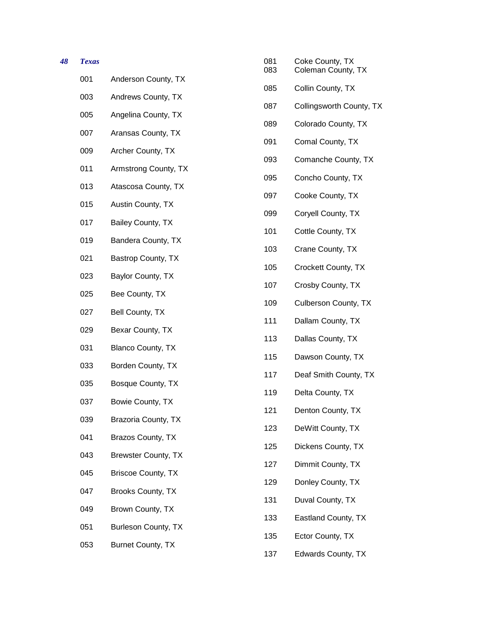| 48 | <b>Texas</b> |                            | 081<br>083 | Coke County, TX<br>Coleman County, TX |
|----|--------------|----------------------------|------------|---------------------------------------|
|    | 001          | Anderson County, TX        | 085        | Collin County, TX                     |
|    | 003          | Andrews County, TX         | 087        | Collingsworth County, TX              |
|    | 005          | Angelina County, TX        | 089        | Colorado County, TX                   |
|    | 007          | Aransas County, TX         | 091        | Comal County, TX                      |
|    | 009          | Archer County, TX          | 093        | Comanche County, TX                   |
|    | 011          | Armstrong County, TX       | 095        | Concho County, TX                     |
|    | 013          | Atascosa County, TX        | 097        |                                       |
|    | 015          | Austin County, TX          |            | Cooke County, TX                      |
|    | 017          | Bailey County, TX          | 099        | Coryell County, TX                    |
|    | 019          | Bandera County, TX         | 101        | Cottle County, TX                     |
|    | 021          | Bastrop County, TX         | 103        | Crane County, TX                      |
|    | 023          | Baylor County, TX          | 105        | Crockett County, TX                   |
|    | 025          | Bee County, TX             | 107        | Crosby County, TX                     |
|    | 027          | Bell County, TX            | 109        | Culberson County, TX                  |
|    | 029          | Bexar County, TX           | 111        | Dallam County, TX                     |
|    | 031          | <b>Blanco County, TX</b>   | 113        | Dallas County, TX                     |
|    | 033          | Borden County, TX          | 115        | Dawson County, TX                     |
|    | 035          | Bosque County, TX          | 117        | Deaf Smith County, TX                 |
|    | 037          | Bowie County, TX           | 119        | Delta County, TX                      |
|    | 039          | Brazoria County, TX        | 121        | Denton County, TX                     |
|    | 041          |                            | 123        | DeWitt County, TX                     |
|    |              | Brazos County, TX          | 125        | Dickens County, TX                    |
|    | 043          | <b>Brewster County, TX</b> | 127        | Dimmit County, TX                     |
|    | 045          | <b>Briscoe County, TX</b>  | 129        | Donley County, TX                     |
|    | 047          | <b>Brooks County, TX</b>   | 131        | Duval County, TX                      |
|    | 049          | Brown County, TX           | 133        | Eastland County, TX                   |
|    | 051          | Burleson County, TX        | 135        | Ector County, TX                      |
|    | 053          | Burnet County, TX          | 137        | Edwards County, TX                    |
|    |              |                            |            |                                       |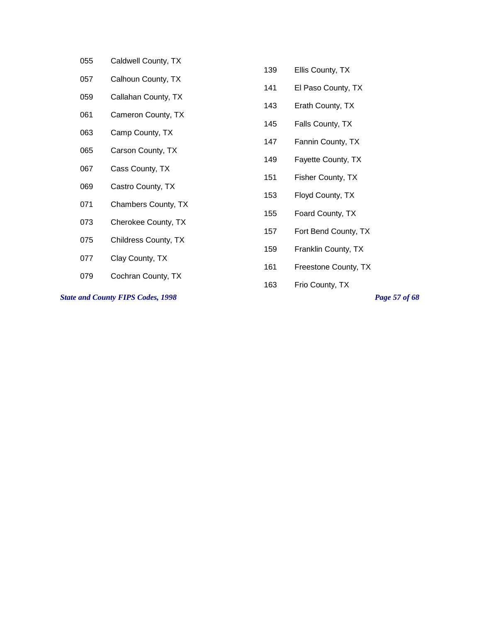- Caldwell County, TX
- Calhoun County, TX
- Callahan County, TX
- Cameron County, TX
- Camp County, TX
- Carson County, TX
- Cass County, TX
- Castro County, TX
- Chambers County, TX
- Cherokee County, TX
- Childress County, TX
- Clay County, TX
- Cochran County, TX

*State and County FIPS Codes, 1998 Page 57 of 68*

- Ellis County, TX
- El Paso County, TX
- Erath County, TX
- Falls County, TX
- Fannin County, TX
- Fayette County, TX
- Fisher County, TX
- Floyd County, TX
- Foard County, TX
- Fort Bend County, TX
- Franklin County, TX
- Freestone County, TX
- Frio County, TX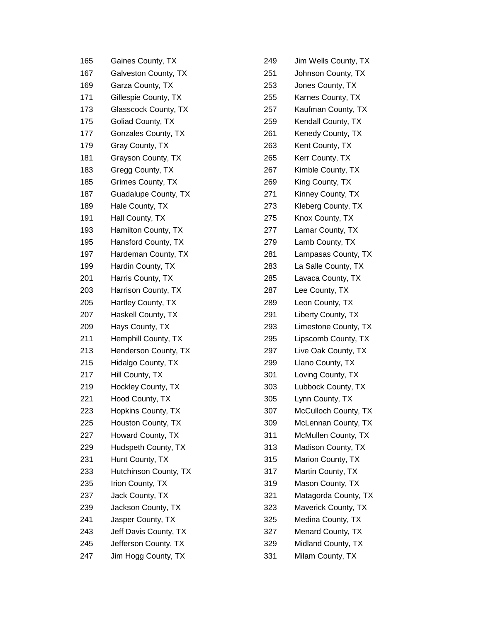| 165 | Gaines County, TX           | 249 | Jim Wells County, TX |
|-----|-----------------------------|-----|----------------------|
| 167 | Galveston County, TX        | 251 | Johnson County, TX   |
| 169 | Garza County, TX            | 253 | Jones County, TX     |
| 171 | Gillespie County, TX        | 255 | Karnes County, TX    |
| 173 | <b>Glasscock County, TX</b> | 257 | Kaufman County, TX   |
| 175 | Goliad County, TX           | 259 | Kendall County, TX   |
| 177 | Gonzales County, TX         | 261 | Kenedy County, TX    |
| 179 | Gray County, TX             | 263 | Kent County, TX      |
| 181 | Grayson County, TX          | 265 | Kerr County, TX      |
| 183 | Gregg County, TX            | 267 | Kimble County, TX    |
| 185 | Grimes County, TX           | 269 | King County, TX      |
| 187 | Guadalupe County, TX        | 271 | Kinney County, TX    |
| 189 | Hale County, TX             | 273 | Kleberg County, TX   |
| 191 | Hall County, TX             | 275 | Knox County, TX      |
| 193 | Hamilton County, TX         | 277 | Lamar County, TX     |
| 195 | Hansford County, TX         | 279 | Lamb County, TX      |
| 197 | Hardeman County, TX         | 281 | Lampasas County, TX  |
| 199 | Hardin County, TX           | 283 | La Salle County, TX  |
| 201 | Harris County, TX           | 285 | Lavaca County, TX    |
| 203 | Harrison County, TX         | 287 | Lee County, TX       |
| 205 | Hartley County, TX          | 289 | Leon County, TX      |
| 207 | Haskell County, TX          | 291 | Liberty County, TX   |
| 209 | Hays County, TX             | 293 | Limestone County, TX |
| 211 | Hemphill County, TX         | 295 | Lipscomb County, TX  |
| 213 | Henderson County, TX        | 297 | Live Oak County, TX  |
| 215 | Hidalgo County, TX          | 299 | Llano County, TX     |
| 217 | Hill County, TX             | 301 | Loving County, TX    |
| 219 | Hockley County, TX          | 303 | Lubbock County, TX   |
| 221 | Hood County, TX             | 305 | Lynn County, TX      |
| 223 | Hopkins County, TX          | 307 | McCulloch County, TX |
| 225 | Houston County, TX          | 309 | McLennan County, TX  |
| 227 | Howard County, TX           | 311 | McMullen County, TX  |
| 229 | Hudspeth County, TX         | 313 | Madison County, TX   |
| 231 | Hunt County, TX             | 315 | Marion County, TX    |
| 233 | Hutchinson County, TX       | 317 | Martin County, TX    |
| 235 | Irion County, TX            | 319 | Mason County, TX     |
| 237 | Jack County, TX             | 321 | Matagorda County, TX |
| 239 | Jackson County, TX          | 323 | Maverick County, TX  |
| 241 | Jasper County, TX           | 325 | Medina County, TX    |
| 243 | Jeff Davis County, TX       | 327 | Menard County, TX    |
| 245 | Jefferson County, TX        | 329 | Midland County, TX   |
| 247 | Jim Hogg County, TX         | 331 | Milam County, TX     |

| 249 | Jim Wells County, TX |
|-----|----------------------|
| 251 | Johnson County, TX   |
| 253 | Jones County, TX     |
| 255 | Karnes County, TX    |
| 257 | Kaufman County, TX   |
| 259 | Kendall County, TX   |
| 261 | Kenedy County, TX    |
| 263 | Kent County, TX      |
| 265 | Kerr County, TX      |
| 267 | Kimble County, TX    |
| 269 | King County, TX      |
| 271 | Kinney County, TX    |
| 273 | Kleberg County, TX   |
| 275 | Knox County, TX      |
| 277 | Lamar County, TX     |
| 279 | Lamb County, TX      |
| 281 | Lampasas County, TX  |
| 283 | La Salle County, TX  |
| 285 | Lavaca County, TX    |
| 287 | Lee County, TX       |
| 289 | Leon County, TX      |
| 291 | Liberty County, TX   |
| 293 | Limestone County, TX |
| 295 | Lipscomb County, TX  |
| 297 | Live Oak County, TX  |
| 299 | Llano County, TX     |
| 301 | Loving County, TX    |
| 303 | Lubbock County, TX   |
| 305 | Lynn County, TX      |
| 307 | McCulloch County, TX |
| 309 | McLennan County, TX  |
| 311 | McMullen County, TX  |
| 313 | Madison County, TX   |
| 315 | Marion County, TX    |
| 317 | Martin County, TX    |
| 319 | Mason County, TX     |
| 321 | Matagorda County, TX |
| 323 | Maverick County, TX  |
| 325 | Medina County, TX    |
| 327 | Menard County, TX    |
| 329 | Midland County, TX   |
| 331 | Milam County, TX     |
|     |                      |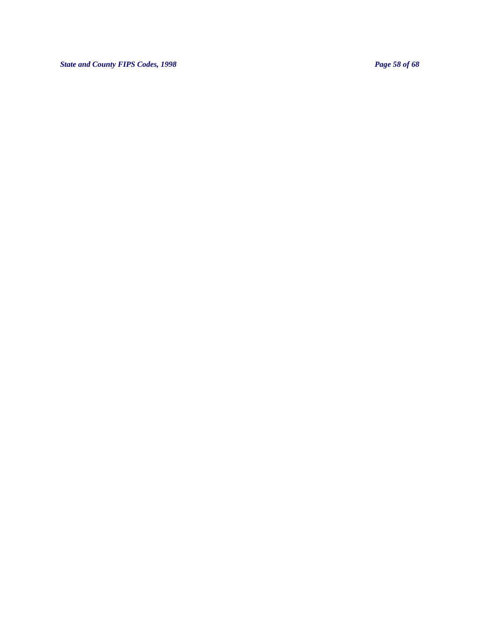*State and County FIPS Codes, 1998 Page 58 of 68*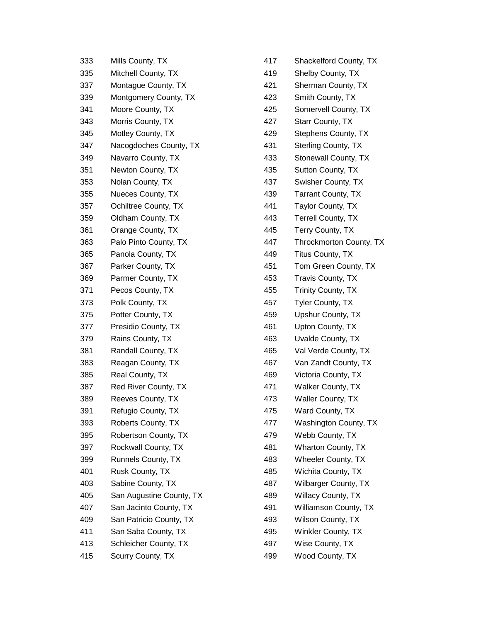| 333 | Mills County, TX         | 417 | Shackelford County, TX       |
|-----|--------------------------|-----|------------------------------|
| 335 | Mitchell County, TX      | 419 | Shelby County, TX            |
| 337 | Montague County, TX      | 421 | Sherman County, TX           |
| 339 | Montgomery County, TX    | 423 | Smith County, TX             |
| 341 | Moore County, TX         | 425 | Somervell County, TX         |
| 343 | Morris County, TX        | 427 | Starr County, TX             |
| 345 | Motley County, TX        | 429 | Stephens County, TX          |
| 347 | Nacogdoches County, TX   | 431 | <b>Sterling County, TX</b>   |
| 349 | Navarro County, TX       | 433 | Stonewall County, TX         |
| 351 | Newton County, TX        | 435 | Sutton County, TX            |
| 353 | Nolan County, TX         | 437 | Swisher County, TX           |
| 355 | Nueces County, TX        | 439 | Tarrant County, TX           |
| 357 | Ochiltree County, TX     | 441 | Taylor County, TX            |
| 359 | Oldham County, TX        | 443 | Terrell County, TX           |
| 361 | Orange County, TX        | 445 | Terry County, TX             |
| 363 | Palo Pinto County, TX    | 447 | Throckmorton County, 1       |
| 365 | Panola County, TX        | 449 | Titus County, TX             |
| 367 | Parker County, TX        | 451 | Tom Green County, TX         |
| 369 | Parmer County, TX        | 453 | Travis County, TX            |
| 371 | Pecos County, TX         | 455 | Trinity County, TX           |
| 373 | Polk County, TX          | 457 | Tyler County, TX             |
| 375 | Potter County, TX        | 459 | Upshur County, TX            |
| 377 | Presidio County, TX      | 461 | Upton County, TX             |
| 379 | Rains County, TX         | 463 | Uvalde County, TX            |
| 381 | Randall County, TX       | 465 | Val Verde County, TX         |
| 383 | Reagan County, TX        | 467 | Van Zandt County, TX         |
| 385 | Real County, TX          | 469 | Victoria County, TX          |
| 387 | Red River County, TX     | 471 | <b>Walker County, TX</b>     |
| 389 | Reeves County, TX        | 473 | Waller County, TX            |
| 391 | Refugio County, TX       | 475 | Ward County, TX              |
| 393 | Roberts County, TX       | 477 | Washington County, TX        |
| 395 | Robertson County, TX     | 479 | Webb County, TX              |
| 397 | Rockwall County, TX      | 481 | Wharton County, TX           |
| 399 | Runnels County, TX       | 483 | <b>Wheeler County, TX</b>    |
| 401 | Rusk County, TX          | 485 | Wichita County, TX           |
| 403 | Sabine County, TX        | 487 | <b>Wilbarger County, TX</b>  |
| 405 | San Augustine County, TX | 489 | Willacy County, TX           |
| 407 | San Jacinto County, TX   | 491 | <b>Williamson County, TX</b> |
| 409 | San Patricio County, TX  | 493 | Wilson County, TX            |
| 411 | San Saba County, TX      | 495 | Winkler County, TX           |
| 413 | Schleicher County, TX    | 497 | Wise County, TX              |
| 415 | Scurry County, TX        | 499 | Wood County, TX              |

| 417 | Shackelford County, TX      |
|-----|-----------------------------|
| 419 | Shelby County, TX           |
| 421 | Sherman County, TX          |
| 423 | Smith County, TX            |
| 425 | Somervell County, TX        |
| 427 | <b>Starr County, TX</b>     |
| 429 | Stephens County, TX         |
| 431 | <b>Sterling County, TX</b>  |
| 433 | Stonewall County, TX        |
| 435 | Sutton County, TX           |
| 437 | Swisher County, TX          |
| 439 | <b>Tarrant County, TX</b>   |
| 441 | Taylor County, TX           |
| 443 | <b>Terrell County, TX</b>   |
| 445 | Terry County, TX            |
| 447 | Throckmorton County, TX     |
| 449 | Titus County, TX            |
| 451 | Tom Green County, TX        |
| 453 | Travis County, TX           |
| 455 | <b>Trinity County, TX</b>   |
| 457 | Tyler County, TX            |
| 459 | Upshur County, TX           |
| 461 | Upton County, TX            |
| 463 | Uvalde County, TX           |
| 465 | Val Verde County, TX        |
| 467 | Van Zandt County, TX        |
| 469 | Victoria County, TX         |
| 471 | <b>Walker County, TX</b>    |
| 473 | Waller County, TX           |
| 475 | Ward County, TX             |
| 477 | Washington County, TX       |
| 479 | Webb County, TX             |
| 481 | <b>Wharton County, TX</b>   |
| 483 | <b>Wheeler County, TX</b>   |
| 485 | Wichita County, TX          |
| 487 | <b>Wilbarger County, TX</b> |
| 489 | <b>Willacy County, TX</b>   |
| 491 | Williamson County, TX       |
| 493 | Wilson County, TX           |
| 495 | Winkler County, TX          |
| 497 | Wise County, TX             |
| 499 | Wood County, TX             |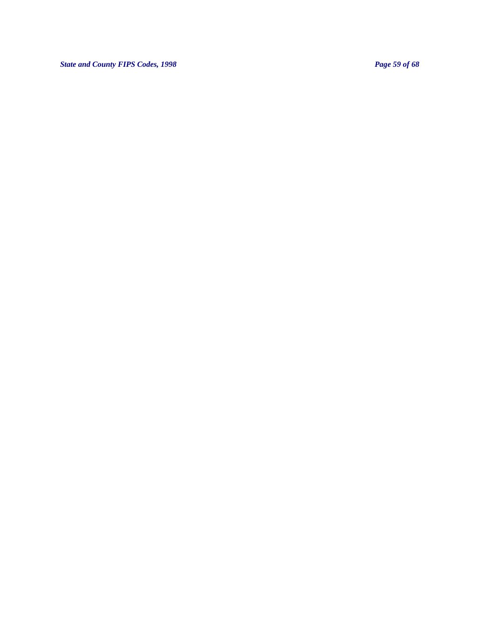*State and County FIPS Codes, 1998 Page 59 of 68*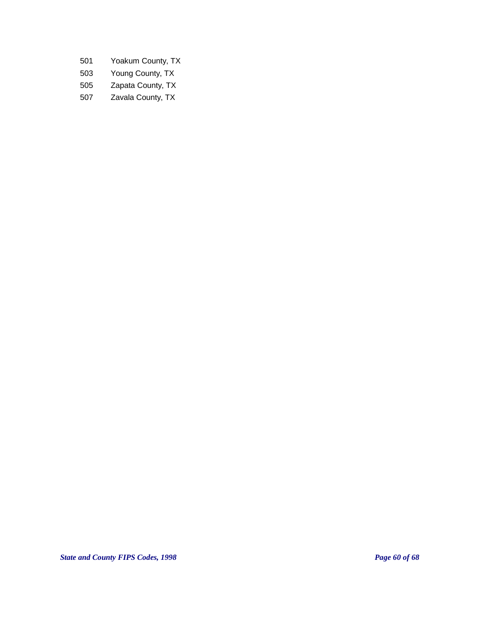Yoakum County, TX

- Young County, TX
- Zapata County, TX
- Zavala County, TX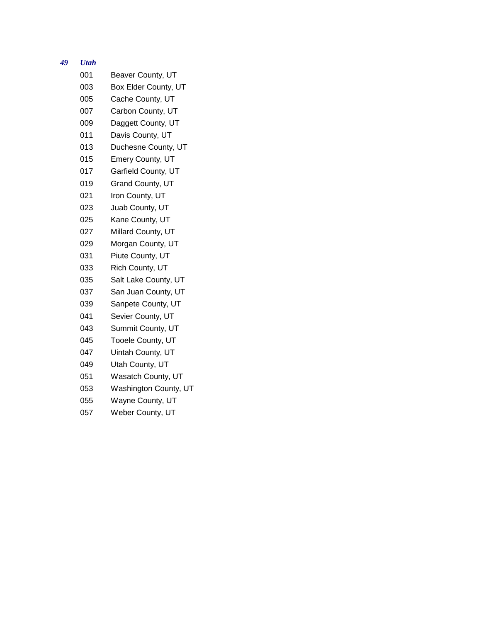| v vun |                      |
|-------|----------------------|
| 001   | Beaver County, UT    |
| 003   | Box Elder County, UT |
| 005   | Cache County, UT     |
| 007   | Carbon County, UT    |
| 009   | Daggett County, UT   |
| 011   | Davis County, UT     |
| 013   | Duchesne County, UT  |
| 015   | Emery County, UT     |
| 017   | Garfield County, UT  |
| 019   | Grand County, UT     |
| 021   | Iron County, UT      |
| 023   | Juab County, UT      |
| 025   | Kane County, UT      |
| 027   | Millard County, UT   |

- Morgan County, UT
- Piute County, UT
- Rich County, UT
- Salt Lake County, UT
- San Juan County, UT
- Sanpete County, UT
- Sevier County, UT
- Summit County, UT
- Tooele County, UT
- Uintah County, UT
- Utah County, UT
- Wasatch County, UT
- Washington County, UT
- Wayne County, UT
- Weber County, UT

### *Utah*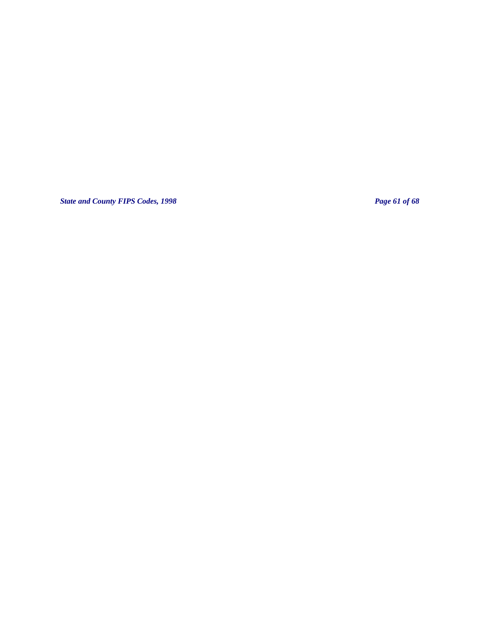*State and County FIPS Codes, 1998 Page 61 of 68*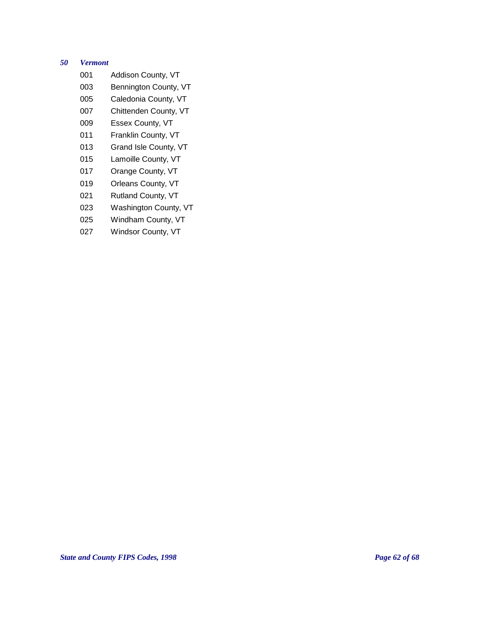## *Vermont*

- Addison County, VT
- Bennington County, VT
- Caledonia County, VT
- Chittenden County, VT
- Essex County, VT
- 011 Franklin County, VT
- Grand Isle County, VT
- Lamoille County, VT
- Orange County, VT
- Orleans County, VT
- Rutland County, VT
- Washington County, VT
- Windham County, VT
- Windsor County, VT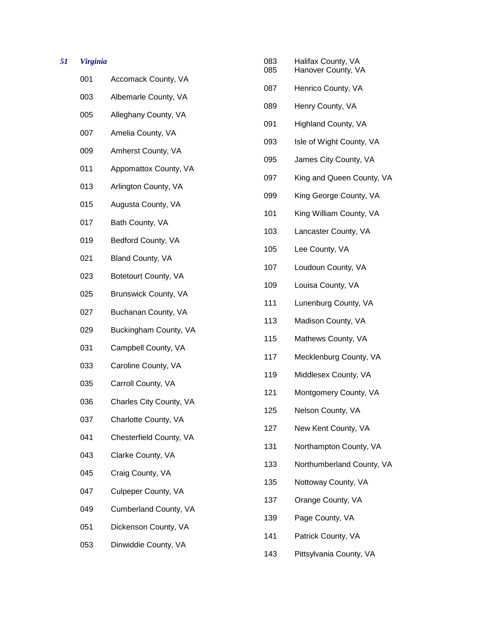- Accomack County, VA
- Albemarle County, VA
- Alleghany County, VA
- Amelia County, VA
- Amherst County, VA
- Appomattox County, VA
- Arlington County, VA
- Augusta County, VA
- Bath County, VA
- Bedford County, VA
- Bland County, VA
- Botetourt County, VA
- Brunswick County, VA
- Buchanan County, VA
- Buckingham County, VA
- Campbell County, VA
- Caroline County, VA
- Carroll County, VA
- Charles City County, VA
- Charlotte County, VA
- Chesterfield County, VA
- Clarke County, VA
- Craig County, VA
- Culpeper County, VA
- Cumberland County, VA
- Dickenson County, VA
- Dinwiddie County, VA

| 51 | <b>Virginia</b> |                             | 083<br>085 | Halifax County, VA<br>Hanover County, VA |
|----|-----------------|-----------------------------|------------|------------------------------------------|
|    | 001             | Accomack County, VA         | 087        | Henrico County, VA                       |
|    | 003             | Albemarle County, VA        | 089        | Henry County, VA                         |
|    | 005             | Alleghany County, VA        |            |                                          |
|    | 007             | Amelia County, VA           | 091        | <b>Highland County, VA</b>               |
|    | 009             | Amherst County, VA          | 093        | Isle of Wight County, VA                 |
|    | 011             | Appomattox County, VA       | 095        | James City County, VA                    |
|    | 013             | Arlington County, VA        | 097        | King and Queen County, VA                |
|    | 015             | Augusta County, VA          | 099        | King George County, VA                   |
|    |                 |                             | 101        | King William County, VA                  |
|    | 017             | Bath County, VA             | 103        | Lancaster County, VA                     |
|    | 019             | Bedford County, VA          | 105        | Lee County, VA                           |
|    | 021             | Bland County, VA            | 107        | Loudoun County, VA                       |
|    | 023             | Botetourt County, VA        | 109        | Louisa County, VA                        |
|    | 025             | <b>Brunswick County, VA</b> |            |                                          |
|    | 027             | Buchanan County, VA         | 111        | Lunenburg County, VA                     |
|    | 029             | Buckingham County, VA       | 113        | Madison County, VA                       |
|    | 031             | Campbell County, VA         | 115        | Mathews County, VA                       |
|    | 033             | Caroline County, VA         | 117        | Mecklenburg County, VA                   |
|    |                 |                             | 119        | Middlesex County, VA                     |
|    | 035             | Carroll County, VA          | 121        | Montgomery County, VA                    |
|    | 036             | Charles City County, VA     | 125        | Nelson County, VA                        |
|    | 037             | Charlotte County, VA        | 127        | New Kent County, VA                      |
|    | 041             | Chesterfield County, VA     | 131        | Northampton County, VA                   |
|    | 043             | Clarke County. VA           |            |                                          |

- Northumberland County, VA
- Nottoway County, VA
- Orange County, VA
- Page County, VA
- Patrick County, VA
- Pittsylvania County, VA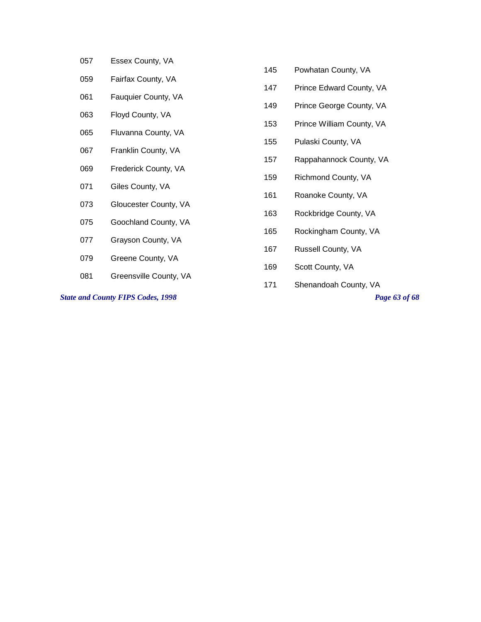- Essex County, VA
- Fairfax County, VA
- 061 Fauquier County, VA
- Floyd County, VA
- Fluvanna County, VA
- Franklin County, VA
- Frederick County, VA
- Giles County, VA
- Gloucester County, VA
- Goochland County, VA
- Grayson County, VA
- Greene County, VA
- Greensville County, VA

*State and County FIPS Codes, 1998 Page 63 of 68*

- Powhatan County, VA
- 147 Prince Edward County, VA
- Prince George County, VA
- Prince William County, VA
- Pulaski County, VA
- Rappahannock County, VA
- Richmond County, VA
- Roanoke County, VA
- Rockbridge County, VA
- Rockingham County, VA
- Russell County, VA
- Scott County, VA
- Shenandoah County, VA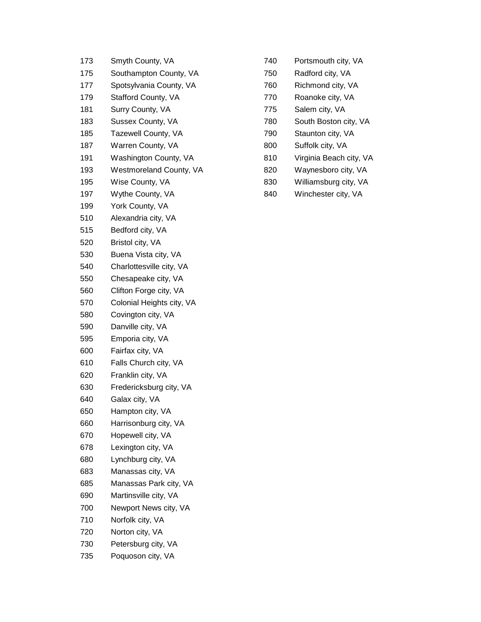| 173 | Smyth County, VA               |
|-----|--------------------------------|
| 175 | Southampton County, VA         |
| 177 | Spotsylvania County, VA        |
| 179 | Stafford County, VA            |
| 181 | Surry County, VA               |
| 183 | Sussex County, VA              |
| 185 | Tazewell County, VA            |
| 187 | Warren County, VA              |
| 191 | Washington County, VA          |
| 193 | <b>Westmoreland County, VA</b> |
| 195 | Wise County, VA                |
| 197 | Wythe County, VA               |
| 199 | York County, VA                |
| 510 | Alexandria city, VA            |
| 515 | Bedford city, VA               |
| 520 | Bristol city, VA               |
| 530 | Buena Vista city, VA           |
| 540 | Charlottesville city, VA       |
| 550 | Chesapeake city, VA            |
| 560 | Clifton Forge city, VA         |
| 570 | Colonial Heights city, VA      |
| 580 | Covington city, VA             |
| 590 | Danville city, VA              |
| 595 | Emporia city, VA               |
| 600 | Fairfax city, VA               |
| 610 | Falls Church city, VA          |
| 620 | Franklin city, VA              |
| 630 | Fredericksburg city, VA        |
| 640 | Galax city, VA                 |
| 650 | Hampton city, VA               |
| 660 | Harrisonburg city, VA          |
| 670 | Hopewell city, VA              |
| 678 | Lexington city, VA             |
| 680 | Lynchburg city, VA             |
| 683 | Manassas city, VA              |
| 685 | Manassas Park city, VA         |
| 690 | Martinsville city, VA          |
| 700 | Newport News city, VA          |
| 710 | Norfolk city, VA               |
| 720 | Norton city, VA                |
| 730 | Petersburg city, VA            |
| 735 | Poquoson city, VA              |

- 740 Portsmouth city, VA
- 750 Radford city, VA
- 760 Richmond city, VA
- 770 Roanoke city, VA
- 775 Salem city, VA
- 780 South Boston city, VA
- 790 Staunton city, VA
- 800 Suffolk city, VA
- 810 Virginia Beach city, VA
- 820 Waynesboro city, VA
- 830 Williamsburg city, VA
- 840 Winchester city, VA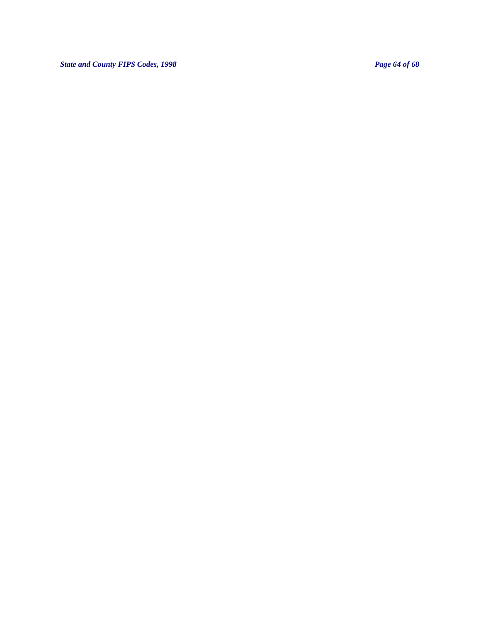*State and County FIPS Codes, 1998 Page 64 of 68*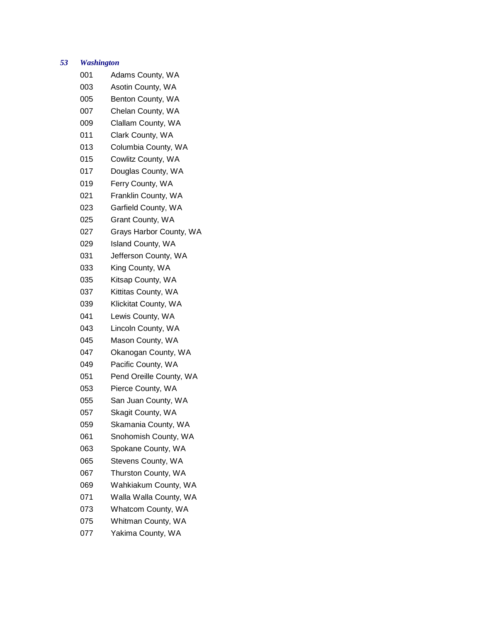# *Washington*

| 001 | Adams County, WA         |
|-----|--------------------------|
| 003 | Asotin County, WA        |
| 005 | Benton County, WA        |
| 007 | Chelan County, WA        |
| 009 | Clallam County, WA       |
| 011 | Clark County, WA         |
| 013 | Columbia County, WA      |
| 015 | Cowlitz County, WA       |
| 017 | Douglas County, WA       |
| 019 | Ferry County, WA         |
| 021 | Franklin County, WA      |
| 023 | Garfield County, WA      |
| 025 | Grant County, WA         |
| 027 | Grays Harbor County, WA  |
| 029 | <b>Island County, WA</b> |
| 031 | Jefferson County, WA     |
| 033 | King County, WA          |
| 035 | Kitsap County, WA        |
| 037 | Kittitas County, WA      |
| 039 | Klickitat County, WA     |
| 041 | Lewis County, WA         |
| 043 | Lincoln County, WA       |
| 045 | Mason County, WA         |
| 047 | Okanogan County, WA      |
| 049 | Pacific County, WA       |
| 051 | Pend Oreille County, WA  |
| 053 | Pierce County, WA        |
| 055 | San Juan County, WA      |
| 057 | Skagit County, WA        |
| 059 | Skamania County, WA      |
| 061 | Snohomish County, WA     |
| 063 | Spokane County, WA       |
| 065 | Stevens County, WA       |
| 067 | Thurston County, WA      |
| 069 | Wahkiakum County, WA     |
| 071 | Walla Walla County, WA   |
| 073 | Whatcom County, WA       |
| 075 | Whitman County, WA       |

Yakima County, WA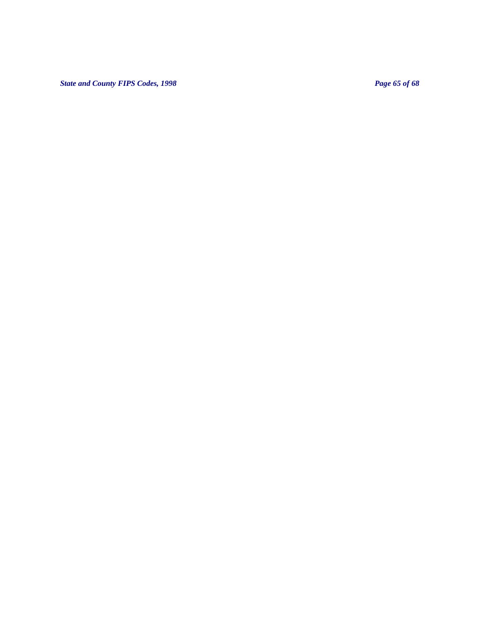*State and County FIPS Codes, 1998 Page 65 of 68*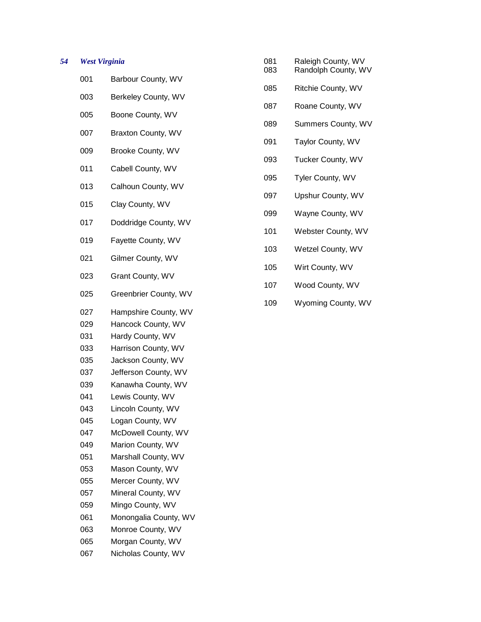- Barbour County, WV
- Berkeley County, WV
- Boone County, WV
- Braxton County, WV
- Brooke County, WV
- Cabell County, WV
- Calhoun County, WV
- Clay County, WV
- Doddridge County, WV
- Fayette County, WV
- Gilmer County, WV
- Grant County, WV
- Greenbrier County, WV
- Hampshire County, WV
- Hancock County, WV
- Hardy County, WV
- Harrison County, WV
- Jackson County, WV
- Jefferson County, WV
- Kanawha County, WV
- Lewis County, WV
- Lincoln County, WV
- Logan County, WV
- McDowell County, WV
- Marion County, WV
- Marshall County, WV
- Mason County, WV Mercer County, WV
- Mineral County, WV
- Mingo County, WV
- 
- Monongalia County, WV
- Monroe County, WV
- Morgan County, WV
- Nicholas County, WV
- *West Virginia* 081 Raleigh County, WV
	- Randolph County, WV
	- Ritchie County, WV
	- Roane County, WV
	- Summers County, WV
	- Taylor County, WV
	- Tucker County, WV
	- Tyler County, WV
	- Upshur County, WV
	- Wayne County, WV
	- Webster County, WV
	- Wetzel County, WV
	- Wirt County, WV
	- Wood County, WV
	- Wyoming County, WV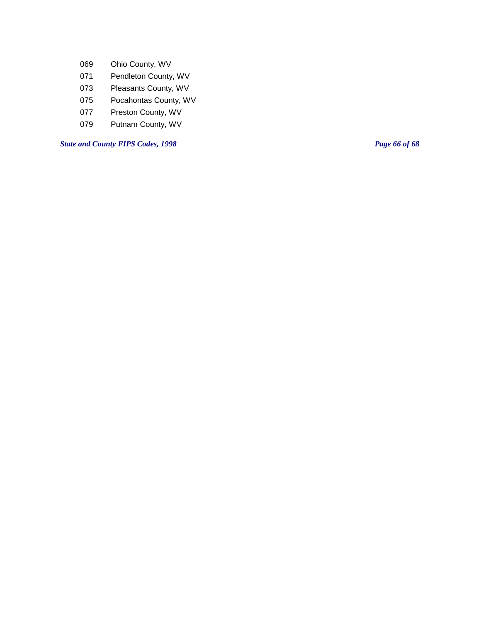- 069 Ohio County, WV
- 071 Pendleton County, WV
- 073 Pleasants County, WV
- 075 Pocahontas County, WV
- 077 Preston County, WV
- 079 Putnam County, WV

*State and County FIPS Codes, 1998 Page 66 of 68*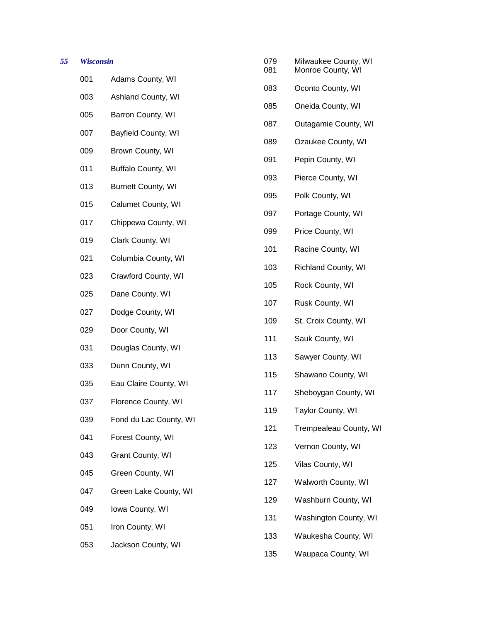### *Wisconsin* 079 Milwaukee County, WI Monroe County, WI Adams County, WI Oconto County, WI Ashland County, WI Oneida County, WI Barron County, WI Outagamie County, WI Bayfield County, WI Ozaukee County, WI Brown County, WI Pepin County, WI 011 Buffalo County, WI Pierce County, WI Burnett County, WI Polk County, WI Calumet County, WI Portage County, WI Chippewa County, WI Price County, WI Clark County, WI Racine County, WI Columbia County, WI Richland County, WI Crawford County, WI Rock County, WI Dane County, WI Rusk County, WI Dodge County, WI St. Croix County, WI Door County, WI Sauk County, WI Douglas County, WI Sawyer County, WI Dunn County, WI Shawano County, WI Eau Claire County, WI Sheboygan County, WI Florence County, WI Taylor County, WI Fond du Lac County, WI Trempealeau County, WI Forest County, WI Vernon County, WI Grant County, WI Vilas County, WI Green County, WI Walworth County, WI Green Lake County, WI Washburn County, WI Iowa County, WI Washington County, WI Iron County, WI

Jackson County, WI

Waupaca County, WI

Waukesha County, WI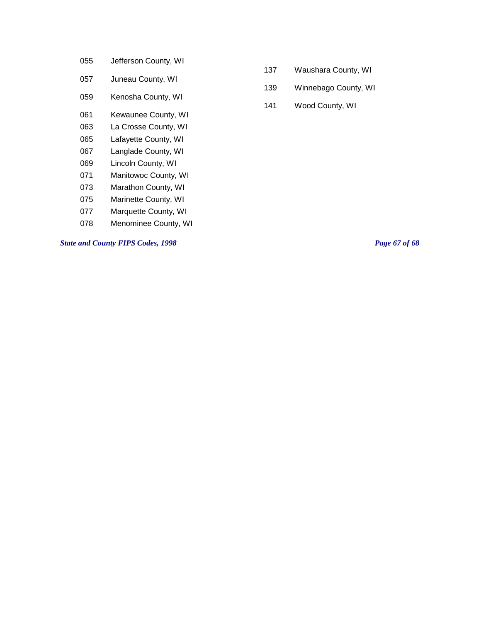- Jefferson County, WI
- Juneau County, WI
- Kenosha County, WI
- Kewaunee County, WI
- La Crosse County, WI
- Lafayette County, WI
- Langlade County, WI
- Lincoln County, WI
- Manitowoc County, WI
- Marathon County, WI
- Marinette County, WI
- Marquette County, WI
- Menominee County, WI

*State and County FIPS Codes, 1998 Page 67 of 68*

- Waushara County, WI
- Winnebago County, WI
- Wood County, WI